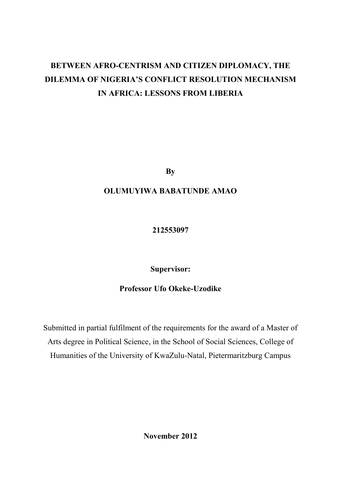# **BETWEEN AFRO-CENTRISM AND CITIZEN DIPLOMACY, THE DILEMMA OF NIGERIA'S CONFLICT RESOLUTION MECHANISM IN AFRICA: LESSONS FROM LIBERIA**

**By**

## **OLUMUYIWA BABATUNDE AMAO**

**212553097** 

**Supervisor:** 

## **Professor Ufo Okeke-Uzodike**

Submitted in partial fulfilment of the requirements for the award of a Master of Arts degree in Political Science, in the School of Social Sciences, College of Humanities of the University of KwaZulu-Natal, Pietermaritzburg Campus

<span id="page-0-0"></span>**November 2012**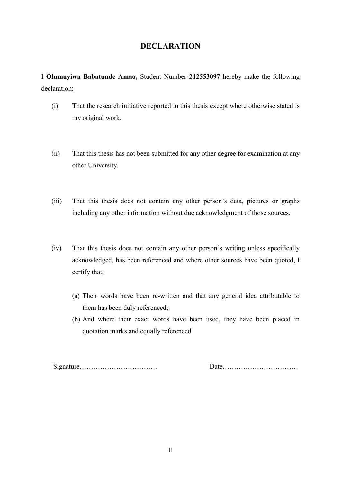## **DECLARATION**

I **Olumuyiwa Babatunde Amao,** Student Number **212553097** hereby make the following declaration:

- (i) That the research initiative reported in this thesis except where otherwise stated is my original work.
- (ii) That this thesis has not been submitted for any other degree for examination at any other University.
- (iii) That this thesis does not contain any other person"s data, pictures or graphs including any other information without due acknowledgment of those sources.
- (iv) That this thesis does not contain any other person"s writing unless specifically acknowledged, has been referenced and where other sources have been quoted, I certify that;
	- (a) Their words have been re-written and that any general idea attributable to them has been duly referenced;
	- (b) And where their exact words have been used, they have been placed in quotation marks and equally referenced.

Signature……………………………. Date……………………………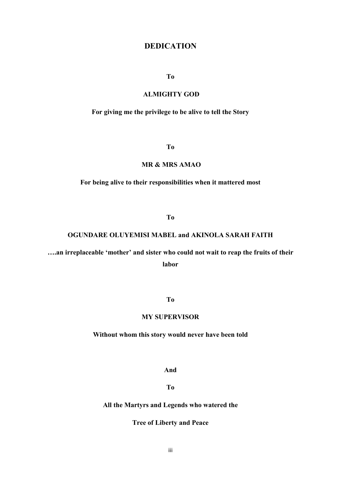## **DEDICATION**

### **To**

## **ALMIGHTY GOD**

## <span id="page-2-0"></span>**For giving me the privilege to be alive to tell the Story**

**To**

#### **MR & MRS AMAO**

### **For being alive to their responsibilities when it mattered most**

**To** 

## **OGUNDARE OLUYEMISI MABEL and AKINOLA SARAH FAITH**

**….an irreplaceable 'mother' and sister who could not wait to reap the fruits of their labor** 

**To** 

### **MY SUPERVISOR**

### **Without whom this story would never have been told**

**And** 

**To**

### **All the Martyrs and Legends who watered the**

**Tree of Liberty and Peace**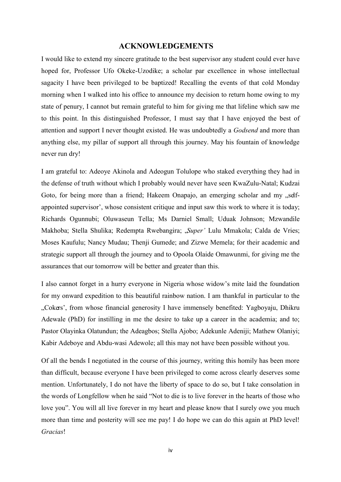## **ACKNOWLEDGEMENTS**

<span id="page-3-0"></span>I would like to extend my sincere gratitude to the best supervisor any student could ever have hoped for, Professor Ufo Okeke-Uzodike; a scholar par excellence in whose intellectual sagacity I have been privileged to be baptized! Recalling the events of that cold Monday morning when I walked into his office to announce my decision to return home owing to my state of penury, I cannot but remain grateful to him for giving me that lifeline which saw me to this point. In this distinguished Professor, I must say that I have enjoyed the best of attention and support I never thought existed. He was undoubtedly a *Godsend* and more than anything else, my pillar of support all through this journey. May his fountain of knowledge never run dry!

I am grateful to: Adeoye Akinola and Adeogun Tolulope who staked everything they had in the defense of truth without which I probably would never have seen KwaZulu-Natal; Kudzai Goto, for being more than a friend; Hakeem Onapajo, an emerging scholar and my "selfappointed supervisor', whose consistent critique and input saw this work to where it is today; Richards Ogunnubi; Oluwaseun Tella; Ms Darniel Small; Uduak Johnson; Mzwandile Makhoba; Stella Shulika; Redempta Rwebangira; "*Super'* Lulu Mmakola; Calda de Vries; Moses Kaufulu; Nancy Mudau; Thenji Gumede; and Zizwe Memela; for their academic and strategic support all through the journey and to Opoola Olaide Omawunmi, for giving me the assurances that our tomorrow will be better and greater than this.

I also cannot forget in a hurry everyone in Nigeria whose widow"s mite laid the foundation for my onward expedition to this beautiful rainbow nation. I am thankful in particular to the "Cokers', from whose financial generosity I have immensely benefited: Yagboyaju, Dhikru, Adewale (PhD) for instilling in me the desire to take up a career in the academia; and to; Pastor Olayinka Olatundun; the Adeagbos; Stella Ajobo; Adekunle Adeniji; Mathew Olaniyi; Kabir Adeboye and Abdu-wasi Adewole; all this may not have been possible without you.

Of all the bends I negotiated in the course of this journey, writing this homily has been more than difficult, because everyone I have been privileged to come across clearly deserves some mention. Unfortunately, I do not have the liberty of space to do so, but I take consolation in the words of Longfellow when he said "Not to die is to live forever in the hearts of those who love you". You will all live forever in my heart and please know that I surely owe you much more than time and posterity will see me pay! I do hope we can do this again at PhD level! *Gracias*!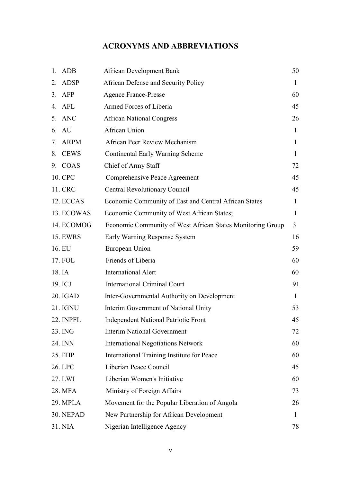## **ACRONYMS AND ABBREVIATIONS**

|    | 1. ADB          | <b>African Development Bank</b>                            | 50           |
|----|-----------------|------------------------------------------------------------|--------------|
| 2. | <b>ADSP</b>     | African Defense and Security Policy                        | $\mathbf{I}$ |
|    | $3.$ AFP        | <b>Agence France-Presse</b>                                | 60           |
|    | 4. AFL          | Armed Forces of Liberia                                    | 45           |
|    | 5. ANC          | <b>African National Congress</b>                           | 26           |
|    | 6. AU           | African Union                                              | 1            |
|    | 7. ARPM         | African Peer Review Mechanism                              | 1            |
| 8. | <b>CEWS</b>     | Continental Early Warning Scheme                           | $\mathbf{1}$ |
|    | 9. COAS         | Chief of Army Staff                                        | 72           |
|    | 10. CPC         | Comprehensive Peace Agreement                              | 45           |
|    | 11. CRC         | <b>Central Revolutionary Council</b>                       | 45           |
|    | 12. ECCAS       | Economic Community of East and Central African States      | $\mathbf{1}$ |
|    | 13. ECOWAS      | Economic Community of West African States;                 | 1            |
|    | 14. ECOMOG      | Economic Community of West African States Monitoring Group | 3            |
|    | <b>15. EWRS</b> | Early Warning Response System                              | 16           |
|    | 16. EU          | European Union                                             | 59           |
|    | 17. FOL         | Friends of Liberia                                         | 60           |
|    | 18. IA          | <b>International Alert</b>                                 | 60           |
|    | 19. ICJ         | <b>International Criminal Court</b>                        | 91           |
|    | 20. IGAD        | Inter-Governmental Authority on Development                | 1            |
|    | 21. IGNU        | Interim Government of National Unity                       | 53           |
|    | 22. INPFL       | <b>Independent National Patriotic Front</b>                | 45           |
|    | 23. ING         | <b>Interim National Government</b>                         | 72           |
|    | 24. INN         | <b>International Negotiations Network</b>                  | 60           |
|    | 25. ITIP        | International Training Institute for Peace                 | 60           |
|    | 26. LPC         | Liberian Peace Council                                     | 45           |
|    | 27. LWI         | Liberian Women's Initiative                                | 60           |
|    | 28. MFA         | Ministry of Foreign Affairs                                | 73           |
|    | 29. MPLA        | Movement for the Popular Liberation of Angola              | 26           |
|    | 30. NEPAD       | New Partnership for African Development                    | 1            |
|    | 31. NIA         | Nigerian Intelligence Agency                               | 78           |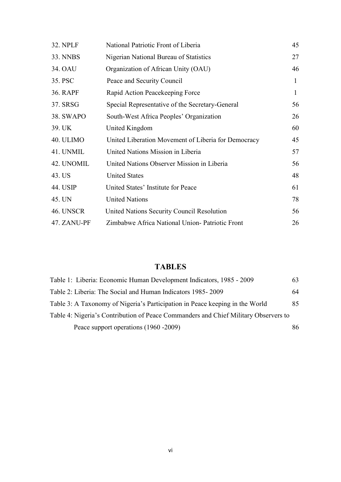| <b>32. NPLF</b> | National Patriotic Front of Liberia                 | 45           |
|-----------------|-----------------------------------------------------|--------------|
| <b>33. NNBS</b> | Nigerian National Bureau of Statistics              | 27           |
| 34. OAU         | Organization of African Unity (OAU)                 | 46           |
| 35. PSC         | Peace and Security Council                          | $\mathbf{1}$ |
| <b>36. RAPF</b> | Rapid Action Peacekeeping Force                     | $\mathbf{1}$ |
| 37. SRSG        | Special Representative of the Secretary-General     | 56           |
| 38. SWAPO       | South-West Africa Peoples' Organization             | 26           |
| 39. UK          | United Kingdom                                      | 60           |
| 40. ULIMO       | United Liberation Movement of Liberia for Democracy | 45           |
| 41. UNMIL       | United Nations Mission in Liberia                   | 57           |
| 42. UNOMIL      | United Nations Observer Mission in Liberia          | 56           |
| 43. US          | <b>United States</b>                                | 48           |
| 44. USIP        | United States' Institute for Peace                  | 61           |
| 45. UN          | <b>United Nations</b>                               | 78           |
| 46. UNSCR       | United Nations Security Council Resolution          | 56           |
| 47. ZANU-PF     | Zimbabwe Africa National Union-Patriotic Front      | 26           |

## **TABLES**

<span id="page-5-0"></span>

| Table 1: Liberia: Economic Human Development Indicators, 1985 - 2009                | 63 |
|-------------------------------------------------------------------------------------|----|
| Table 2: Liberia: The Social and Human Indicators 1985-2009                         | 64 |
| Table 3: A Taxonomy of Nigeria's Participation in Peace keeping in the World        | 85 |
| Table 4: Nigeria's Contribution of Peace Commanders and Chief Military Observers to |    |
| Peace support operations (1960 - 2009)                                              | 86 |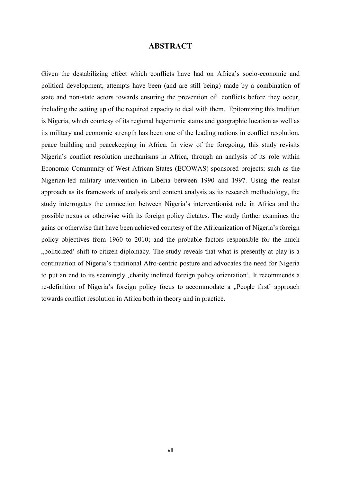## **ABSTRACT**

<span id="page-6-0"></span>Given the destabilizing effect which conflicts have had on Africa"s socio-economic and political development, attempts have been (and are still being) made by a combination of state and non-state actors towards ensuring the prevention of conflicts before they occur, including the setting up of the required capacity to deal with them. Epitomizing this tradition is Nigeria, which courtesy of its regional hegemonic status and geographic location as well as its military and economic strength has been one of the leading nations in conflict resolution, peace building and peacekeeping in Africa. In view of the foregoing, this study revisits Nigeria"s conflict resolution mechanisms in Africa, through an analysis of its role within Economic Community of West African States (ECOWAS)-sponsored projects; such as the Nigerian-led military intervention in Liberia between 1990 and 1997. Using the realist approach as its framework of analysis and content analysis as its research methodology, the study interrogates the connection between Nigeria"s interventionist role in Africa and the possible nexus or otherwise with its foreign policy dictates. The study further examines the gains or otherwise that have been achieved courtesy of the Africanization of Nigeria's foreign policy objectives from 1960 to 2010; and the probable factors responsible for the much "politicized" shift to citizen diplomacy. The study reveals that what is presently at play is a continuation of Nigeria"s traditional Afro-centric posture and advocates the need for Nigeria to put an end to its seemingly , charity inclined foreign policy orientation'. It recommends a re-definition of Nigeria's foreign policy focus to accommodate a "People first' approach towards conflict resolution in Africa both in theory and in practice.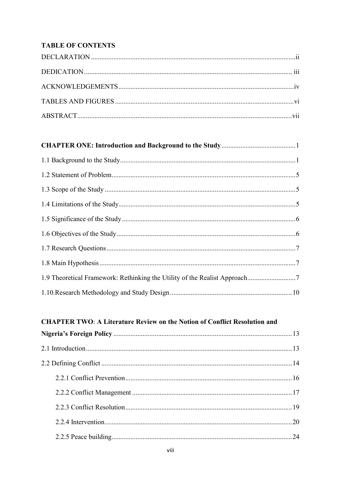## **TABLE OF CONTENTS**

## 

## **CHAPTER TWO: A Literature Review on the Notion of Conflict Resolution and**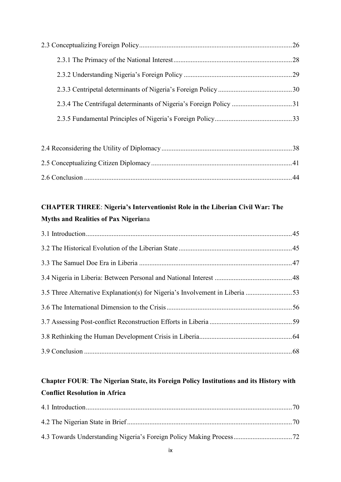## **[CHAPTER THREE](#page-54-0)**: **[Nigeria's Interventionist Role in the Liberian Civil War: The](#page-54-1)  [Myths and Realities of Pax Nigeria](#page-54-1)**na

| 3.5 Three Alternative Explanation(s) for Nigeria's Involvement in Liberia 53 |  |
|------------------------------------------------------------------------------|--|
|                                                                              |  |
|                                                                              |  |
|                                                                              |  |
|                                                                              |  |

## **[Chapter FOUR](#page-79-0)**: **[The Nigerian State, its Foreign Policy Institutions and its History with](#page-79-1)  [Conflict Resolution in Africa](#page-79-1)**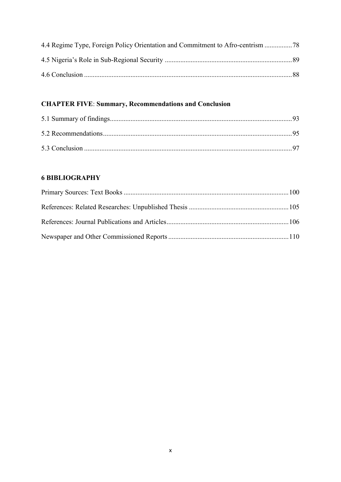| 4.4 Regime Type, Foreign Policy Orientation and Commitment to Afro-centrism |  |
|-----------------------------------------------------------------------------|--|
|                                                                             |  |
|                                                                             |  |

## **[CHAPTER FIVE](#page-101-0)**: **[Summary, Recommendations and Conclusion](#page-102-0)**

## **6 [BIBLIOGRAPHY](#page-109-0)**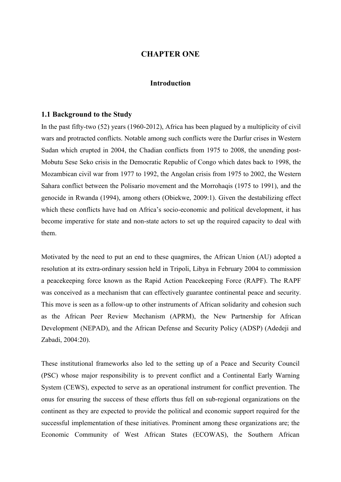## **CHAPTER ONE**

### **Introduction**

#### <span id="page-10-1"></span><span id="page-10-0"></span>**1.1 Background to the Study**

In the past fifty-two (52) years (1960-2012), Africa has been plagued by a multiplicity of civil wars and protracted conflicts. Notable among such conflicts were the Darfur crises in Western Sudan which erupted in 2004, the Chadian conflicts from 1975 to 2008, the unending post-Mobutu Sese Seko crisis in the Democratic Republic of Congo which dates back to 1998, the Mozambican civil war from 1977 to 1992, the Angolan crisis from 1975 to 2002, the Western Sahara conflict between the Polisario movement and the Morrohaqis (1975 to 1991), and the genocide in Rwanda (1994), among others (Obiekwe, 2009:1). Given the destabilizing effect which these conflicts have had on Africa's socio-economic and political development, it has become imperative for state and non-state actors to set up the required capacity to deal with them.

Motivated by the need to put an end to these quagmires, the African Union (AU) adopted a resolution at its extra-ordinary session held in Tripoli, Libya in February 2004 to commission a peacekeeping force known as the Rapid Action Peacekeeping Force (RAPF). The RAPF was conceived as a mechanism that can effectively guarantee continental peace and security. This move is seen as a follow-up to other instruments of African solidarity and cohesion such as the African Peer Review Mechanism (APRM), the New Partnership for African Development (NEPAD), and the African Defense and Security Policy (ADSP) (Adedeji and Zabadi, 2004:20).

These institutional frameworks also led to the setting up of a Peace and Security Council (PSC) whose major responsibility is to prevent conflict and a Continental Early Warning System (CEWS), expected to serve as an operational instrument for conflict prevention. The onus for ensuring the success of these efforts thus fell on sub-regional organizations on the continent as they are expected to provide the political and economic support required for the successful implementation of these initiatives. Prominent among these organizations are; the Economic Community of West African States (ECOWAS), the Southern African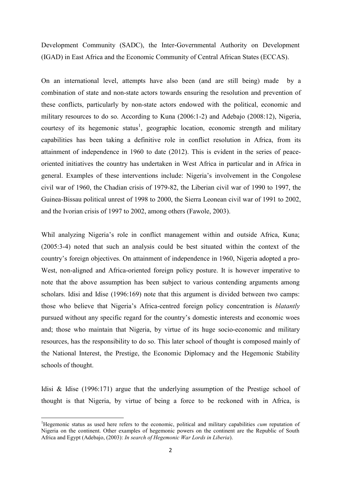Development Community (SADC), the Inter-Governmental Authority on Development (IGAD) in East Africa and the Economic Community of Central African States (ECCAS).

On an international level, attempts have also been (and are still being) made by a combination of state and non-state actors towards ensuring the resolution and prevention of these conflicts, particularly by non-state actors endowed with the political, economic and military resources to do so. According to Kuna (2006:1-2) and Adebajo (2008:12), Nigeria, courtesy of its hegemonic status<sup>1</sup>, geographic location, economic strength and military capabilities has been taking a definitive role in conflict resolution in Africa, from its attainment of independence in 1960 to date (2012). This is evident in the series of peaceoriented initiatives the country has undertaken in West Africa in particular and in Africa in general. Examples of these interventions include: Nigeria"s involvement in the Congolese civil war of 1960, the Chadian crisis of 1979-82, the Liberian civil war of 1990 to 1997, the Guinea-Bissau political unrest of 1998 to 2000, the Sierra Leonean civil war of 1991 to 2002, and the Ivorian crisis of 1997 to 2002, among others (Fawole, 2003).

Whil analyzing Nigeria's role in conflict management within and outside Africa, Kuna; (2005:3-4) noted that such an analysis could be best situated within the context of the country"s foreign objectives. On attainment of independence in 1960, Nigeria adopted a pro-West, non-aligned and Africa-oriented foreign policy posture. It is however imperative to note that the above assumption has been subject to various contending arguments among scholars. Idisi and Idise (1996:169) note that this argument is divided between two camps: those who believe that Nigeria"s Africa-centred foreign policy concentration is *blatantly* pursued without any specific regard for the country"s domestic interests and economic woes and; those who maintain that Nigeria, by virtue of its huge socio-economic and military resources, has the responsibility to do so. This later school of thought is composed mainly of the National Interest, the Prestige, the Economic Diplomacy and the Hegemonic Stability schools of thought.

Idisi & Idise (1996:171) argue that the underlying assumption of the Prestige school of thought is that Nigeria, by virtue of being a force to be reckoned with in Africa, is

1

<sup>1</sup>Hegemonic status as used here refers to the economic, political and military capabilities *cum* reputation of Nigeria on the continent. Other examples of hegemonic powers on the continent are the Republic of South Africa and Egypt (Adebajo, (2003): *In search of Hegemonic War Lords in Liberia*).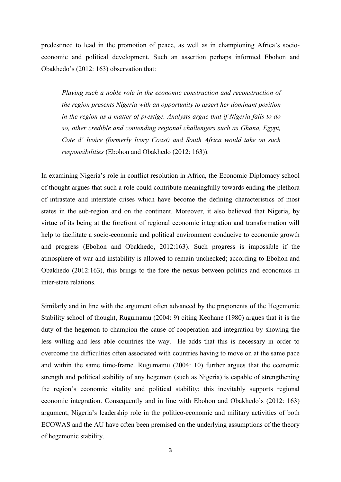predestined to lead in the promotion of peace, as well as in championing Africa"s socioeconomic and political development. Such an assertion perhaps informed Ebohon and Obakhedo"s (2012: 163) observation that:

*Playing such a noble role in the economic construction and reconstruction of the region presents Nigeria with an opportunity to assert her dominant position in the region as a matter of prestige. Analysts argue that if Nigeria fails to do so, other credible and contending regional challengers such as Ghana, Egypt, Cote d' Ivoire (formerly Ivory Coast) and South Africa would take on such responsibilities* (Ebohon and Obakhedo (2012: 163)).

In examining Nigeria"s role in conflict resolution in Africa, the Economic Diplomacy school of thought argues that such a role could contribute meaningfully towards ending the plethora of intrastate and interstate crises which have become the defining characteristics of most states in the sub-region and on the continent. Moreover, it also believed that Nigeria, by virtue of its being at the forefront of regional economic integration and transformation will help to facilitate a socio-economic and political environment conducive to economic growth and progress (Ebohon and Obakhedo, 2012:163). Such progress is impossible if the atmosphere of war and instability is allowed to remain unchecked; according to Ebohon and Obakhedo (2012:163), this brings to the fore the nexus between politics and economics in inter-state relations.

Similarly and in line with the argument often advanced by the proponents of the Hegemonic Stability school of thought, Rugumamu (2004: 9) citing Keohane (1980) argues that it is the duty of the hegemon to champion the cause of cooperation and integration by showing the less willing and less able countries the way. He adds that this is necessary in order to overcome the difficulties often associated with countries having to move on at the same pace and within the same time-frame. Rugumamu (2004: 10) further argues that the economic strength and political stability of any hegemon (such as Nigeria) is capable of strengthening the region"s economic vitality and political stability; this inevitably supports regional economic integration. Consequently and in line with Ebohon and Obakhedo"s (2012: 163) argument, Nigeria"s leadership role in the politico-economic and military activities of both ECOWAS and the AU have often been premised on the underlying assumptions of the theory of hegemonic stability.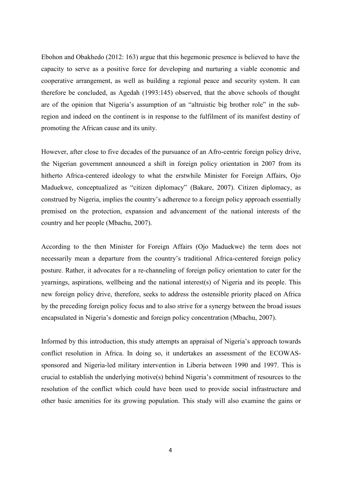Ebohon and Obakhedo (2012: 163) argue that this hegemonic presence is believed to have the capacity to serve as a positive force for developing and nurturing a viable economic and cooperative arrangement, as well as building a regional peace and security system. It can therefore be concluded, as Agedah (1993:145) observed, that the above schools of thought are of the opinion that Nigeria"s assumption of an "altruistic big brother role" in the subregion and indeed on the continent is in response to the fulfilment of its manifest destiny of promoting the African cause and its unity.

However, after close to five decades of the pursuance of an Afro-centric foreign policy drive, the Nigerian government announced a shift in foreign policy orientation in 2007 from its hitherto Africa-centered ideology to what the erstwhile Minister for Foreign Affairs, Ojo Maduekwe, conceptualized as "citizen diplomacy" (Bakare, 2007). Citizen diplomacy, as construed by Nigeria, implies the country"s adherence to a foreign policy approach essentially premised on the protection, expansion and advancement of the national interests of the country and her people (Mbachu, 2007).

According to the then Minister for Foreign Affairs (Ojo Maduekwe) the term does not necessarily mean a departure from the country's traditional Africa-centered foreign policy posture. Rather, it advocates for a re-channeling of foreign policy orientation to cater for the yearnings, aspirations, wellbeing and the national interest(s) of Nigeria and its people. This new foreign policy drive, therefore, seeks to address the ostensible priority placed on Africa by the preceding foreign policy focus and to also strive for a synergy between the broad issues encapsulated in Nigeria"s domestic and foreign policy concentration (Mbachu, 2007).

Informed by this introduction, this study attempts an appraisal of Nigeria's approach towards conflict resolution in Africa. In doing so, it undertakes an assessment of the ECOWASsponsored and Nigeria-led military intervention in Liberia between 1990 and 1997. This is crucial to establish the underlying motive(s) behind Nigeria"s commitment of resources to the resolution of the conflict which could have been used to provide social infrastructure and other basic amenities for its growing population. This study will also examine the gains or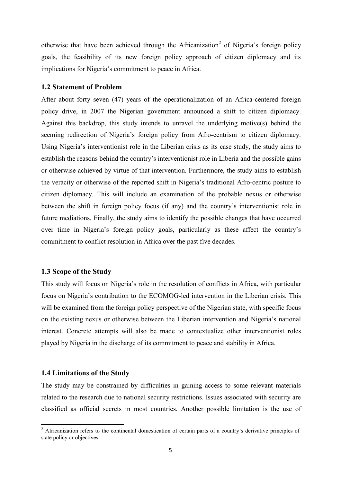otherwise that have been achieved through the Africanization<sup>2</sup> of Nigeria's foreign policy goals, the feasibility of its new foreign policy approach of citizen diplomacy and its implications for Nigeria's commitment to peace in Africa.

### <span id="page-14-0"></span>**1.2 Statement of Problem**

After about forty seven (47) years of the operationalization of an Africa-centered foreign policy drive, in 2007 the Nigerian government announced a shift to citizen diplomacy. Against this backdrop, this study intends to unravel the underlying motive(s) behind the seeming redirection of Nigeria's foreign policy from Afro-centrism to citizen diplomacy. Using Nigeria's interventionist role in the Liberian crisis as its case study, the study aims to establish the reasons behind the country"s interventionist role in Liberia and the possible gains or otherwise achieved by virtue of that intervention. Furthermore, the study aims to establish the veracity or otherwise of the reported shift in Nigeria"s traditional Afro-centric posture to citizen diplomacy. This will include an examination of the probable nexus or otherwise between the shift in foreign policy focus (if any) and the country"s interventionist role in future mediations. Finally, the study aims to identify the possible changes that have occurred over time in Nigeria"s foreign policy goals, particularly as these affect the country"s commitment to conflict resolution in Africa over the past five decades.

### <span id="page-14-1"></span>**1.3 Scope of the Study**

This study will focus on Nigeria's role in the resolution of conflicts in Africa, with particular focus on Nigeria"s contribution to the ECOMOG-led intervention in the Liberian crisis. This will be examined from the foreign policy perspective of the Nigerian state, with specific focus on the existing nexus or otherwise between the Liberian intervention and Nigeria"s national interest. Concrete attempts will also be made to contextualize other interventionist roles played by Nigeria in the discharge of its commitment to peace and stability in Africa.

## <span id="page-14-2"></span>**1.4 Limitations of the Study**

**.** 

The study may be constrained by difficulties in gaining access to some relevant materials related to the research due to national security restrictions. Issues associated with security are classified as official secrets in most countries. Another possible limitation is the use of

 $2$  Africanization refers to the continental domestication of certain parts of a country's derivative principles of state policy or objectives.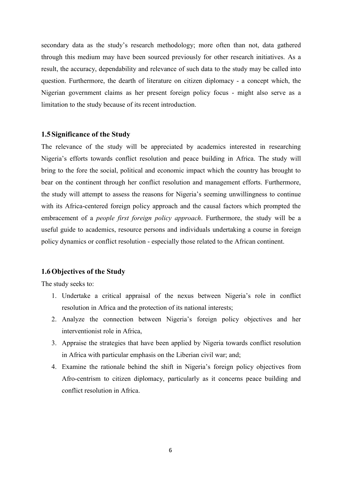secondary data as the study"s research methodology; more often than not, data gathered through this medium may have been sourced previously for other research initiatives. As a result, the accuracy, dependability and relevance of such data to the study may be called into question. Furthermore, the dearth of literature on citizen diplomacy - a concept which, the Nigerian government claims as her present foreign policy focus - might also serve as a limitation to the study because of its recent introduction.

## <span id="page-15-0"></span>**1.5Significance of the Study**

The relevance of the study will be appreciated by academics interested in researching Nigeria"s efforts towards conflict resolution and peace building in Africa. The study will bring to the fore the social, political and economic impact which the country has brought to bear on the continent through her conflict resolution and management efforts. Furthermore, the study will attempt to assess the reasons for Nigeria"s seeming unwillingness to continue with its Africa-centered foreign policy approach and the causal factors which prompted the embracement of a *people first foreign policy approach*. Furthermore, the study will be a useful guide to academics, resource persons and individuals undertaking a course in foreign policy dynamics or conflict resolution - especially those related to the African continent.

#### <span id="page-15-1"></span>**1.6Objectives of the Study**

The study seeks to:

- 1. Undertake a critical appraisal of the nexus between Nigeria"s role in conflict resolution in Africa and the protection of its national interests;
- 2. Analyze the connection between Nigeria"s foreign policy objectives and her interventionist role in Africa,
- 3. Appraise the strategies that have been applied by Nigeria towards conflict resolution in Africa with particular emphasis on the Liberian civil war; and;
- 4. Examine the rationale behind the shift in Nigeria"s foreign policy objectives from Afro-centrism to citizen diplomacy, particularly as it concerns peace building and conflict resolution in Africa.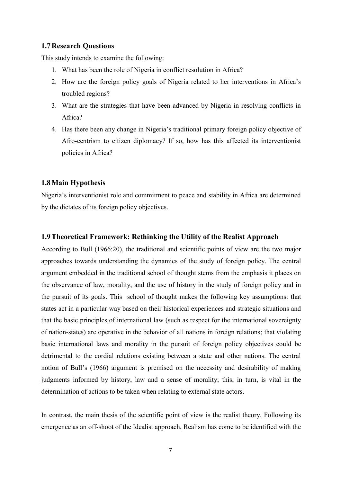## <span id="page-16-0"></span>**1.7Research Questions**

This study intends to examine the following:

- 1. What has been the role of Nigeria in conflict resolution in Africa?
- 2. How are the foreign policy goals of Nigeria related to her interventions in Africa"s troubled regions?
- 3. What are the strategies that have been advanced by Nigeria in resolving conflicts in Africa?
- 4. Has there been any change in Nigeria's traditional primary foreign policy objective of Afro-centrism to citizen diplomacy? If so, how has this affected its interventionist policies in Africa?

## <span id="page-16-1"></span>**1.8Main Hypothesis**

Nigeria"s interventionist role and commitment to peace and stability in Africa are determined by the dictates of its foreign policy objectives.

## <span id="page-16-2"></span>**1.9Theoretical Framework: Rethinking the Utility of the Realist Approach**

According to Bull (1966:20), the traditional and scientific points of view are the two major approaches towards understanding the dynamics of the study of foreign policy. The central argument embedded in the traditional school of thought stems from the emphasis it places on the observance of law, morality, and the use of history in the study of foreign policy and in the pursuit of its goals. This school of thought makes the following key assumptions: that states act in a particular way based on their historical experiences and strategic situations and that the basic principles of international law (such as respect for the international sovereignty of nation-states) are operative in the behavior of all nations in foreign relations; that violating basic international laws and morality in the pursuit of foreign policy objectives could be detrimental to the cordial relations existing between a state and other nations. The central notion of Bull"s (1966) argument is premised on the necessity and desirability of making judgments informed by history, law and a sense of morality; this, in turn, is vital in the determination of actions to be taken when relating to external state actors.

In contrast, the main thesis of the scientific point of view is the realist theory. Following its emergence as an off-shoot of the Idealist approach, Realism has come to be identified with the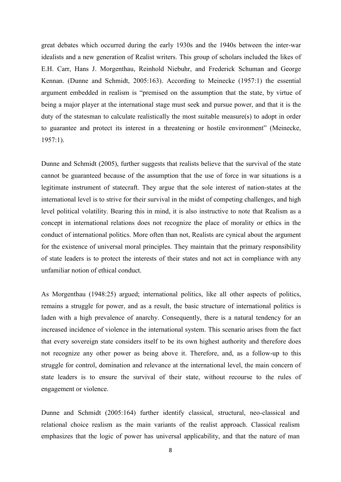great debates which occurred during the early 1930s and the 1940s between the inter-war idealists and a new generation of Realist writers. This group of scholars included the likes of E.H. Carr, Hans J. Morgenthau, Reinhold Niebuhr, and Frederick Schuman and George Kennan. (Dunne and Schmidt, 2005:163). According to Meinecke (1957:1) the essential argument embedded in realism is "premised on the assumption that the state, by virtue of being a major player at the international stage must seek and pursue power, and that it is the duty of the statesman to calculate realistically the most suitable measure(s) to adopt in order to guarantee and protect its interest in a threatening or hostile environment" (Meinecke, 1957:1).

Dunne and Schmidt (2005), further suggests that realists believe that the survival of the state cannot be guaranteed because of the assumption that the use of force in war situations is a legitimate instrument of statecraft. They argue that the sole interest of nation-states at the international level is to strive for their survival in the midst of competing challenges, and high level political volatility. Bearing this in mind, it is also instructive to note that Realism as a concept in international relations does not recognize the place of morality or ethics in the conduct of international politics. More often than not, Realists are cynical about the argument for the existence of universal moral principles. They maintain that the primary responsibility of state leaders is to protect the interests of their states and not act in compliance with any unfamiliar notion of ethical conduct.

As Morgenthau (1948:25) argued; international politics, like all other aspects of politics, remains a struggle for power, and as a result, the basic structure of international politics is laden with a high prevalence of anarchy. Consequently, there is a natural tendency for an increased incidence of violence in the international system. This scenario arises from the fact that every sovereign state considers itself to be its own highest authority and therefore does not recognize any other power as being above it. Therefore, and, as a follow-up to this struggle for control, domination and relevance at the international level, the main concern of state leaders is to ensure the survival of their state, without recourse to the rules of engagement or violence.

Dunne and Schmidt (2005:164) further identify classical, structural, neo-classical and relational choice realism as the main variants of the realist approach. Classical realism emphasizes that the logic of power has universal applicability, and that the nature of man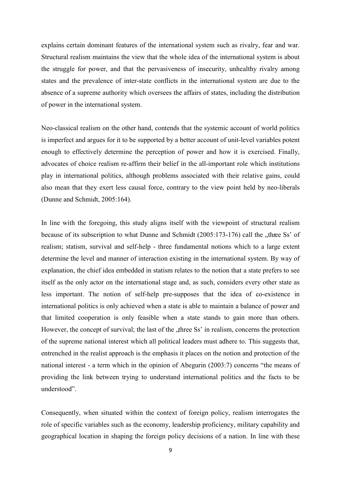explains certain dominant features of the international system such as rivalry, fear and war. Structural realism maintains the view that the whole idea of the international system is about the struggle for power, and that the pervasiveness of insecurity, unhealthy rivalry among states and the prevalence of inter-state conflicts in the international system are due to the absence of a supreme authority which oversees the affairs of states, including the distribution of power in the international system.

Neo-classical realism on the other hand, contends that the systemic account of world politics is imperfect and argues for it to be supported by a better account of unit-level variables potent enough to effectively determine the perception of power and how it is exercised. Finally, advocates of choice realism re-affirm their belief in the all-important role which institutions play in international politics, although problems associated with their relative gains, could also mean that they exert less causal force, contrary to the view point held by neo-liberals (Dunne and Schmidt, 2005:164).

In line with the foregoing, this study aligns itself with the viewpoint of structural realism because of its subscription to what Dunne and Schmidt  $(2005:173-176)$  call the "three Ss' of realism; statism, survival and self-help - three fundamental notions which to a large extent determine the level and manner of interaction existing in the international system. By way of explanation, the chief idea embedded in statism relates to the notion that a state prefers to see itself as the only actor on the international stage and, as such, considers every other state as less important. The notion of self-help pre-supposes that the idea of co-existence in international politics is only achieved when a state is able to maintain a balance of power and that limited cooperation is only feasible when a state stands to gain more than others. However, the concept of survival; the last of the "three Ss" in realism, concerns the protection of the supreme national interest which all political leaders must adhere to. This suggests that, entrenched in the realist approach is the emphasis it places on the notion and protection of the national interest - a term which in the opinion of Abegurin (2003:7) concerns "the means of providing the link between trying to understand international politics and the facts to be understood".

Consequently, when situated within the context of foreign policy, realism interrogates the role of specific variables such as the economy, leadership proficiency, military capability and geographical location in shaping the foreign policy decisions of a nation. In line with these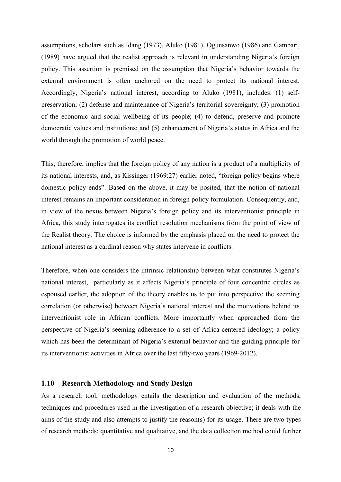assumptions, scholars such as Idang (1973), Aluko (1981), Ogunsanwo (1986) and Gambari, (1989) have argued that the realist approach is relevant in understanding Nigeria"s foreign policy. This assertion is premised on the assumption that Nigeria"s behavior towards the external environment is often anchored on the need to protect its national interest. Accordingly, Nigeria's national interest, according to Aluko (1981), includes: (1) selfpreservation; (2) defense and maintenance of Nigeria's territorial sovereignty; (3) promotion of the economic and social wellbeing of its people; (4) to defend, preserve and promote democratic values and institutions; and (5) enhancement of Nigeria"s status in Africa and the world through the promotion of world peace.

This, therefore, implies that the foreign policy of any nation is a product of a multiplicity of its national interests, and, as Kissinger (1969:27) earlier noted, "foreign policy begins where domestic policy ends". Based on the above, it may be posited, that the notion of national interest remains an important consideration in foreign policy formulation. Consequently, and, in view of the nexus between Nigeria"s foreign policy and its interventionist principle in Africa, this study interrogates its conflict resolution mechanisms from the point of view of the Realist theory. The choice is informed by the emphasis placed on the need to protect the national interest as a cardinal reason why states intervene in conflicts.

Therefore, when one considers the intrinsic relationship between what constitutes Nigeria"s national interest, particularly as it affects Nigeria"s principle of four concentric circles as espoused earlier, the adoption of the theory enables us to put into perspective the seeming correlation (or otherwise) between Nigeria's national interest and the motivations behind its interventionist role in African conflicts. More importantly when approached from the perspective of Nigeria"s seeming adherence to a set of Africa-centered ideology; a policy which has been the determinant of Nigeria's external behavior and the guiding principle for its interventionist activities in Africa over the last fifty-two years (1969-2012).

## <span id="page-19-0"></span>**1.10 Research Methodology and Study Design**

As a research tool, methodology entails the description and evaluation of the methods, techniques and procedures used in the investigation of a research objective; it deals with the aims of the study and also attempts to justify the reason(s) for its usage. There are two types of research methods: quantitative and qualitative, and the data collection method could further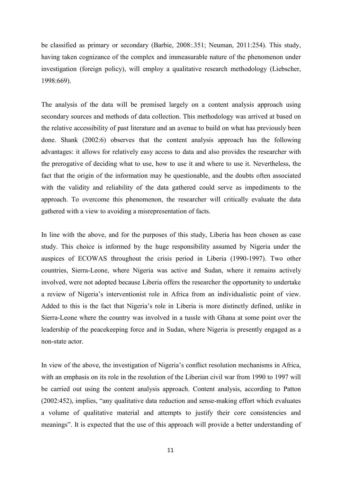be classified as primary or secondary (Barbie, 2008:.351; Neuman, 2011:254). This study, having taken cognizance of the complex and immeasurable nature of the phenomenon under investigation (foreign policy), will employ a qualitative research methodology (Liebscher, 1998:669).

The analysis of the data will be premised largely on a content analysis approach using secondary sources and methods of data collection. This methodology was arrived at based on the relative accessibility of past literature and an avenue to build on what has previously been done. Shank (2002:6) observes that the content analysis approach has the following advantages: it allows for relatively easy access to data and also provides the researcher with the prerogative of deciding what to use, how to use it and where to use it. Nevertheless, the fact that the origin of the information may be questionable, and the doubts often associated with the validity and reliability of the data gathered could serve as impediments to the approach. To overcome this phenomenon, the researcher will critically evaluate the data gathered with a view to avoiding a misrepresentation of facts.

In line with the above, and for the purposes of this study, Liberia has been chosen as case study. This choice is informed by the huge responsibility assumed by Nigeria under the auspices of ECOWAS throughout the crisis period in Liberia (1990-1997). Two other countries, Sierra-Leone, where Nigeria was active and Sudan, where it remains actively involved, were not adopted because Liberia offers the researcher the opportunity to undertake a review of Nigeria"s interventionist role in Africa from an individualistic point of view. Added to this is the fact that Nigeria"s role in Liberia is more distinctly defined, unlike in Sierra-Leone where the country was involved in a tussle with Ghana at some point over the leadership of the peacekeeping force and in Sudan, where Nigeria is presently engaged as a non-state actor.

In view of the above, the investigation of Nigeria's conflict resolution mechanisms in Africa, with an emphasis on its role in the resolution of the Liberian civil war from 1990 to 1997 will be carried out using the content analysis approach. Content analysis, according to Patton (2002:452), implies, "any qualitative data reduction and sense-making effort which evaluates a volume of qualitative material and attempts to justify their core consistencies and meanings". It is expected that the use of this approach will provide a better understanding of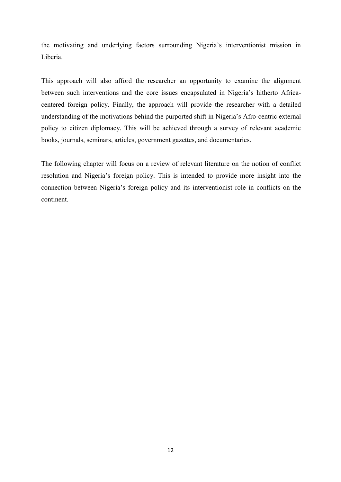the motivating and underlying factors surrounding Nigeria"s interventionist mission in Liberia.

This approach will also afford the researcher an opportunity to examine the alignment between such interventions and the core issues encapsulated in Nigeria"s hitherto Africacentered foreign policy. Finally, the approach will provide the researcher with a detailed understanding of the motivations behind the purported shift in Nigeria"s Afro-centric external policy to citizen diplomacy. This will be achieved through a survey of relevant academic books, journals, seminars, articles, government gazettes, and documentaries.

The following chapter will focus on a review of relevant literature on the notion of conflict resolution and Nigeria"s foreign policy. This is intended to provide more insight into the connection between Nigeria"s foreign policy and its interventionist role in conflicts on the continent.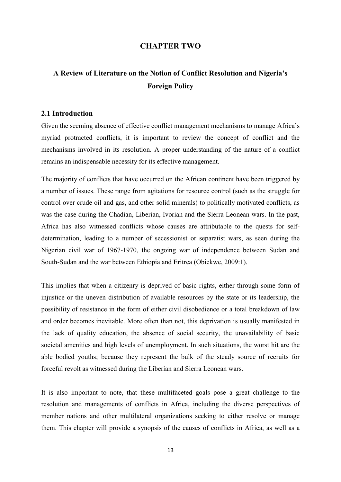## <span id="page-22-1"></span>**CHAPTER TWO**

## <span id="page-22-0"></span>**A Review of Literature on the Notion of Conflict Resolution and Nigeria's Foreign Policy**

## <span id="page-22-2"></span>**2.1 Introduction**

Given the seeming absence of effective conflict management mechanisms to manage Africa's myriad protracted conflicts, it is important to review the concept of conflict and the mechanisms involved in its resolution. A proper understanding of the nature of a conflict remains an indispensable necessity for its effective management.

The majority of conflicts that have occurred on the African continent have been triggered by a number of issues. These range from agitations for resource control (such as the struggle for control over crude oil and gas, and other solid minerals) to politically motivated conflicts, as was the case during the Chadian, Liberian, Ivorian and the Sierra Leonean wars. In the past, Africa has also witnessed conflicts whose causes are attributable to the quests for selfdetermination, leading to a number of secessionist or separatist wars, as seen during the Nigerian civil war of 1967-1970, the ongoing war of independence between Sudan and South-Sudan and the war between Ethiopia and Eritrea (Obiekwe, 2009:1).

This implies that when a citizenry is deprived of basic rights, either through some form of injustice or the uneven distribution of available resources by the state or its leadership, the possibility of resistance in the form of either civil disobedience or a total breakdown of law and order becomes inevitable. More often than not, this deprivation is usually manifested in the lack of quality education, the absence of social security, the unavailability of basic societal amenities and high levels of unemployment. In such situations, the worst hit are the able bodied youths; because they represent the bulk of the steady source of recruits for forceful revolt as witnessed during the Liberian and Sierra Leonean wars.

It is also important to note, that these multifaceted goals pose a great challenge to the resolution and managements of conflicts in Africa, including the diverse perspectives of member nations and other multilateral organizations seeking to either resolve or manage them. This chapter will provide a synopsis of the causes of conflicts in Africa, as well as a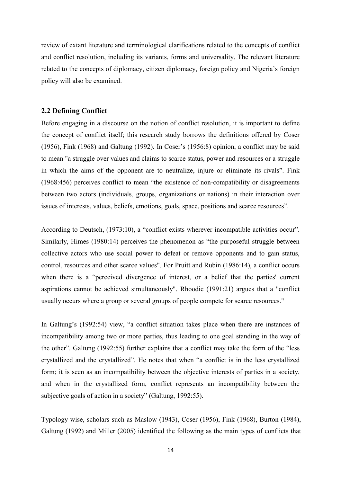review of extant literature and terminological clarifications related to the concepts of conflict and conflict resolution, including its variants, forms and universality. The relevant literature related to the concepts of diplomacy, citizen diplomacy, foreign policy and Nigeria's foreign policy will also be examined.

## <span id="page-23-0"></span>**2.2 Defining Conflict**

Before engaging in a discourse on the notion of conflict resolution, it is important to define the concept of conflict itself; this research study borrows the definitions offered by Coser (1956), Fink (1968) and Galtung (1992). In Coser"s (1956:8) opinion, a conflict may be said to mean "a struggle over values and claims to scarce status, power and resources or a struggle in which the aims of the opponent are to neutralize, injure or eliminate its rivals". Fink (1968:456) perceives conflict to mean "the existence of non-compatibility or disagreements between two actors (individuals, groups, organizations or nations) in their interaction over issues of interests, values, beliefs, emotions, goals, space, positions and scarce resources".

According to Deutsch, (1973:10), a "conflict exists wherever incompatible activities occur". Similarly, Himes (1980:14) perceives the phenomenon as "the purposeful struggle between collective actors who use social power to defeat or remove opponents and to gain status, control, resources and other scarce values". For Pruitt and Rubin (1986:14), a conflict occurs when there is a "perceived divergence of interest, or a belief that the parties' current aspirations cannot be achieved simultaneously". Rhoodie (1991:21) argues that a "conflict usually occurs where a group or several groups of people compete for scarce resources."

In Galtung's (1992:54) view, "a conflict situation takes place when there are instances of incompatibility among two or more parties, thus leading to one goal standing in the way of the other". Galtung (1992:55) further explains that a conflict may take the form of the "less crystallized and the crystallized". He notes that when "a conflict is in the less crystallized form; it is seen as an incompatibility between the objective interests of parties in a society, and when in the crystallized form, conflict represents an incompatibility between the subjective goals of action in a society" (Galtung, 1992:55).

Typology wise, scholars such as Maslow (1943), Coser (1956), Fink (1968), Burton (1984), Galtung (1992) and Miller (2005) identified the following as the main types of conflicts that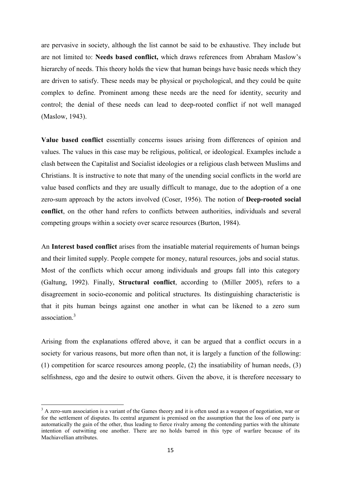are pervasive in society, although the list cannot be said to be exhaustive. They include but are not limited to: **Needs based conflict,** which draws references from Abraham Maslow"s hierarchy of needs. This theory holds the view that human beings have basic needs which they are driven to satisfy. These needs may be physical or psychological, and they could be quite complex to define. Prominent among these needs are the need for identity, security and control; the denial of these needs can lead to deep-rooted conflict if not well managed (Maslow, 1943).

**Value based conflict** essentially concerns issues arising from differences of opinion and values. The values in this case may be religious, political, or ideological. Examples include a clash between the Capitalist and Socialist ideologies or a religious clash between Muslims and Christians. It is instructive to note that many of the unending social conflicts in the world are value based conflicts and they are usually difficult to manage, due to the adoption of a one zero-sum approach by the actors involved (Coser, 1956). The notion of **Deep-rooted social conflict**, on the other hand refers to conflicts between authorities, individuals and several competing groups within a society over scarce resources (Burton, 1984).

An **Interest based conflict** arises from the insatiable material requirements of human beings and their limited supply. People compete for money, natural resources, jobs and social status. Most of the conflicts which occur among individuals and groups fall into this category (Galtung, 1992). Finally, **Structural conflict**, according to (Miller 2005), refers to a disagreement in socio-economic and political structures. Its distinguishing characteristic is that it pits human beings against one another in what can be likened to a zero sum association<sup>3</sup>

Arising from the explanations offered above, it can be argued that a conflict occurs in a society for various reasons, but more often than not, it is largely a function of the following: (1) competition for scarce resources among people, (2) the insatiability of human needs, (3) selfishness, ego and the desire to outwit others. Given the above, it is therefore necessary to

**<sup>.</sup>**  $3$  A zero-sum association is a variant of the Games theory and it is often used as a weapon of negotiation, war or for the settlement of disputes. Its central argument is premised on the assumption that the loss of one party is automatically the gain of the other, thus leading to fierce rivalry among the contending parties with the ultimate intention of outwitting one another. There are no holds barred in this type of warfare because of its Machiavellian attributes.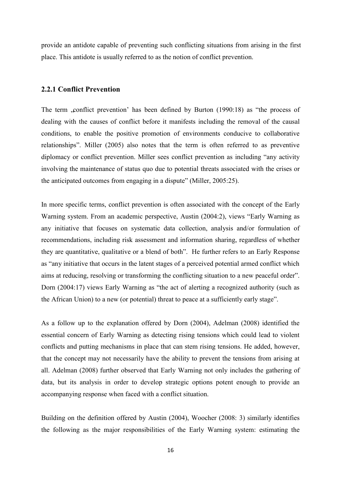provide an antidote capable of preventing such conflicting situations from arising in the first place. This antidote is usually referred to as the notion of conflict prevention.

## <span id="page-25-0"></span>**2.2.1 Conflict Prevention**

The term , conflict prevention' has been defined by Burton  $(1990:18)$  as "the process of dealing with the causes of conflict before it manifests including the removal of the causal conditions, to enable the positive promotion of environments conducive to collaborative relationships". Miller (2005) also notes that the term is often referred to as preventive diplomacy or conflict prevention. Miller sees conflict prevention as including "any activity involving the maintenance of status quo due to potential threats associated with the crises or the anticipated outcomes from engaging in a dispute" (Miller, 2005:25).

In more specific terms, conflict prevention is often associated with the concept of the Early Warning system. From an academic perspective, Austin (2004:2), views "Early Warning as any initiative that focuses on systematic data collection, analysis and/or formulation of recommendations, including risk assessment and information sharing, regardless of whether they are quantitative, qualitative or a blend of both". He further refers to an Early Response as "any initiative that occurs in the latent stages of a perceived potential armed conflict which aims at reducing, resolving or transforming the conflicting situation to a new peaceful order". Dorn (2004:17) views Early Warning as "the act of alerting a recognized authority (such as the African Union) to a new (or potential) threat to peace at a sufficiently early stage".

As a follow up to the explanation offered by Dorn (2004), Adelman (2008) identified the essential concern of Early Warning as detecting rising tensions which could lead to violent conflicts and putting mechanisms in place that can stem rising tensions. He added, however, that the concept may not necessarily have the ability to prevent the tensions from arising at all. Adelman (2008) further observed that Early Warning not only includes the gathering of data, but its analysis in order to develop strategic options potent enough to provide an accompanying response when faced with a conflict situation.

Building on the definition offered by Austin (2004), Woocher (2008: 3) similarly identifies the following as the major responsibilities of the Early Warning system: estimating the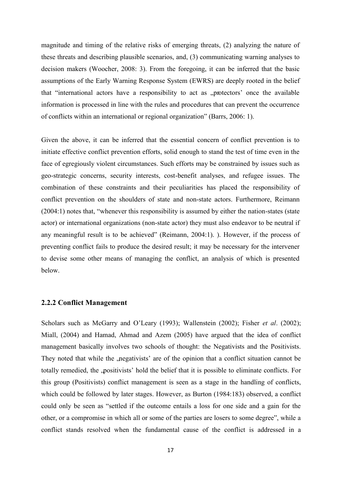magnitude and timing of the relative risks of emerging threats, (2) analyzing the nature of these threats and describing plausible scenarios, and, (3) communicating warning analyses to decision makers (Woocher, 2008: 3). From the foregoing, it can be inferred that the basic assumptions of the Early Warning Response System (EWRS) are deeply rooted in the belief that "international actors have a responsibility to act as "protectors' once the available information is processed in line with the rules and procedures that can prevent the occurrence of conflicts within an international or regional organization" (Barrs, 2006: 1).

Given the above, it can be inferred that the essential concern of conflict prevention is to initiate effective conflict prevention efforts, solid enough to stand the test of time even in the face of egregiously violent circumstances. Such efforts may be constrained by issues such as geo-strategic concerns, security interests, cost-benefit analyses, and refugee issues. The combination of these constraints and their peculiarities has placed the responsibility of conflict prevention on the shoulders of state and non-state actors. Furthermore, Reimann (2004:1) notes that, "whenever this responsibility is assumed by either the nation-states (state actor) or international organizations (non-state actor) they must also endeavor to be neutral if any meaningful result is to be achieved" (Reimann, 2004:1). ). However, if the process of preventing conflict fails to produce the desired result; it may be necessary for the intervener to devise some other means of managing the conflict, an analysis of which is presented below.

## <span id="page-26-0"></span>**2.2.2 Conflict Management**

Scholars such as McGarry and O"Leary (1993); Wallenstein (2002); Fisher *et al*. (2002); Miall, (2004) and Hamad, Ahmad and Azem (2005) have argued that the idea of conflict management basically involves two schools of thought: the Negativists and the Positivists. They noted that while the , negativists' are of the opinion that a conflict situation cannot be totally remedied, the "positivists" hold the belief that it is possible to eliminate conflicts. For this group (Positivists) conflict management is seen as a stage in the handling of conflicts, which could be followed by later stages. However, as Burton (1984:183) observed, a conflict could only be seen as "settled if the outcome entails a loss for one side and a gain for the other, or a compromise in which all or some of the parties are losers to some degree", while a conflict stands resolved when the fundamental cause of the conflict is addressed in a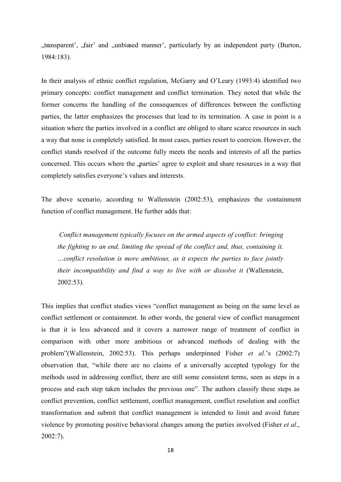"transparent", "fair" and "unbiased manner", particularly by an independent party (Burton, 1984:183).

In their analysis of ethnic conflict regulation, McGarry and O"Leary (1993:4) identified two primary concepts: conflict management and conflict termination. They noted that while the former concerns the handling of the consequences of differences between the conflicting parties, the latter emphasizes the processes that lead to its termination. A case in point is a situation where the parties involved in a conflict are obliged to share scarce resources in such a way that none is completely satisfied. In most cases, parties resort to coercion. However, the conflict stands resolved if the outcome fully meets the needs and interests of all the parties concerned. This occurs where the "parties" agree to exploit and share resources in a way that completely satisfies everyone"s values and interests.

The above scenario, according to Wallenstein (2002:53), emphasizes the containment function of conflict management. He further adds that:

*Conflict management typically focuses on the armed aspects of conflict: bringing the fighting to an end, limiting the spread of the conflict and, thus, containing it. …conflict resolution is more ambitious, as it expects the parties to face jointly their incompatibility and find a way to live with or dissolve it (Wallenstein,* 2002:53).

This implies that conflict studies views "conflict management as being on the same level as conflict settlement or containment. In other words, the general view of conflict management is that it is less advanced and it covers a narrower range of treatment of conflict in comparison with other more ambitious or advanced methods of dealing with the problem"(Wallenstein, 2002:53). This perhaps underpinned Fisher *et al.*'s (2002:7) observation that, "while there are no claims of a universally accepted typology for the methods used in addressing conflict, there are still some consistent terms, seen as steps in a process and each step taken includes the previous one". The authors classify these steps as conflict prevention, conflict settlement, conflict management, conflict resolution and conflict transformation and submit that conflict management is intended to limit and avoid future violence by promoting positive behavioral changes among the parties involved (Fisher *et al*., 2002:7).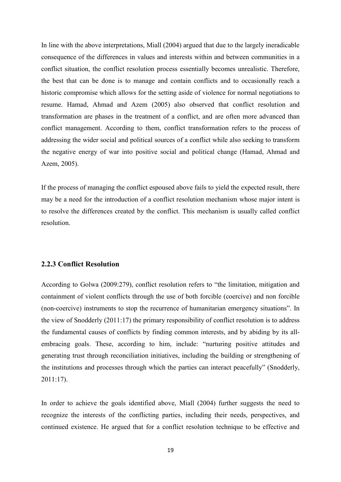In line with the above interpretations, Miall (2004) argued that due to the largely ineradicable consequence of the differences in values and interests within and between communities in a conflict situation, the conflict resolution process essentially becomes unrealistic. Therefore, the best that can be done is to manage and contain conflicts and to occasionally reach a historic compromise which allows for the setting aside of violence for normal negotiations to resume. Hamad, Ahmad and Azem (2005) also observed that conflict resolution and transformation are phases in the treatment of a conflict, and are often more advanced than conflict management. According to them, conflict transformation refers to the process of addressing the wider social and political sources of a conflict while also seeking to transform the negative energy of war into positive social and political change (Hamad, Ahmad and Azem, 2005).

If the process of managing the conflict espoused above fails to yield the expected result, there may be a need for the introduction of a conflict resolution mechanism whose major intent is to resolve the differences created by the conflict. This mechanism is usually called conflict resolution.

## <span id="page-28-0"></span>**2.2.3 Conflict Resolution**

According to Golwa (2009:279), conflict resolution refers to "the limitation, mitigation and containment of violent conflicts through the use of both forcible (coercive) and non forcible (non-coercive) instruments to stop the recurrence of humanitarian emergency situations". In the view of Snodderly (2011:17) the primary responsibility of conflict resolution is to address the fundamental causes of conflicts by finding common interests, and by abiding by its allembracing goals. These, according to him, include: "nurturing positive attitudes and generating trust through reconciliation initiatives, including the building or strengthening of the institutions and processes through which the parties can interact peacefully" (Snodderly, 2011:17).

In order to achieve the goals identified above, Miall (2004) further suggests the need to recognize the interests of the conflicting parties, including their needs, perspectives, and continued existence. He argued that for a conflict resolution technique to be effective and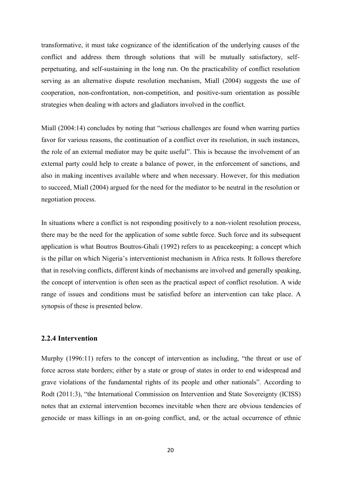transformative, it must take cognizance of the identification of the underlying causes of the conflict and address them through solutions that will be mutually satisfactory, selfperpetuating, and self-sustaining in the long run. On the practicability of conflict resolution serving as an alternative dispute resolution mechanism, Miall (2004) suggests the use of cooperation, non-confrontation, non-competition, and positive-sum orientation as possible strategies when dealing with actors and gladiators involved in the conflict.

Miall (2004:14) concludes by noting that "serious challenges are found when warring parties favor for various reasons, the continuation of a conflict over its resolution, in such instances, the role of an external mediator may be quite useful". This is because the involvement of an external party could help to create a balance of power, in the enforcement of sanctions, and also in making incentives available where and when necessary. However, for this mediation to succeed, Miall (2004) argued for the need for the mediator to be neutral in the resolution or negotiation process.

In situations where a conflict is not responding positively to a non-violent resolution process, there may be the need for the application of some subtle force. Such force and its subsequent application is what Boutros Boutros-Ghali (1992) refers to as peacekeeping; a concept which is the pillar on which Nigeria"s interventionist mechanism in Africa rests. It follows therefore that in resolving conflicts, different kinds of mechanisms are involved and generally speaking, the concept of intervention is often seen as the practical aspect of conflict resolution. A wide range of issues and conditions must be satisfied before an intervention can take place. A synopsis of these is presented below.

## <span id="page-29-0"></span>**2.2.4 Intervention**

Murphy (1996:11) refers to the concept of intervention as including, "the threat or use of force across state borders; either by a state or group of states in order to end widespread and grave violations of the fundamental rights of its people and other nationals". According to Rodt (2011:3), "the International Commission on Intervention and State Sovereignty (ICISS) notes that an external intervention becomes inevitable when there are obvious tendencies of genocide or mass killings in an on-going conflict, and, or the actual occurrence of ethnic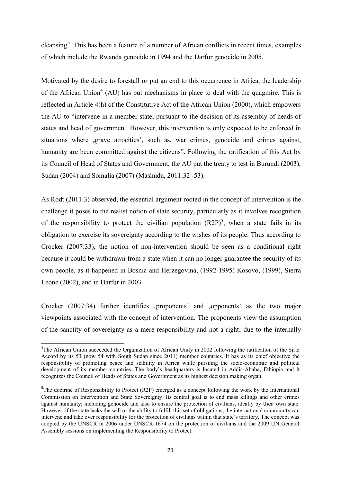cleansing". This has been a feature of a number of African conflicts in recent times, examples of which include the Rwanda genocide in 1994 and the Darfur genocide in 2005.

Motivated by the desire to forestall or put an end to this occurrence in Africa, the leadership of the African Union<sup>4</sup> (AU) has put mechanisms in place to deal with the quagmire. This is reflected in Article 4(h) of the Constitutive Act of the African Union (2000), which empowers the AU to "intervene in a member state, pursuant to the decision of its assembly of heads of states and head of government. However, this intervention is only expected to be enforced in situations where , grave atrocities', such as, war crimes, genocide and crimes against, humanity are been committed against the citizens". Following the ratification of this Act by its Council of Head of States and Government, the AU put the treaty to test in Burundi (2003), Sudan (2004) and Somalia (2007) (Mashudu, 2011:32 -53).

As Rodt (2011:3) observed, the essential argument rooted in the concept of intervention is the challenge it poses to the realist notion of state security, particularly as it involves recognition of the responsibility to protect the civilian population  $(R2P)^5$ , when a state fails in its obligation to exercise its sovereignty according to the wishes of its people. Thus according to Crocker (2007:33), the notion of non-intervention should be seen as a conditional right because it could be withdrawn from a state when it can no longer guarantee the security of its own people, as it happened in Bosnia and Herzegovina, (1992-1995) Kosovo, (1999), Sierra Leone (2002), and in Darfur in 2003.

Crocker  $(2007:34)$  further identifies ,proponents' and ,opponents' as the two major viewpoints associated with the concept of intervention. The proponents view the assumption of the sanctity of sovereignty as a mere responsibility and not a right; due to the internally

**<sup>.</sup>** <sup>4</sup>The African Union succeeded the Organization of African Unity in 2002 following the ratification of the Sirte Accord by its 53 (now 54 with South Sudan since 2011) member countries. It has as its chief objective the responsibility of promoting peace and stability in Africa while pursuing the socio-economic and political development of its member countries. The body"s headquarters is located in Addis-Ababa, Ethiopia and it recognizes the Council of Heads of States and Government as its highest decision making organ.

<sup>&</sup>lt;sup>5</sup>The doctrine of Responsibility to Protect (R2P) emerged as a concept following the work by the International Commission on Intervention and State Sovereignty. Its central goal is to end mass killings and other crimes against humanity; including genocide and also to ensure the protection of civilians, ideally by their own state. However, if the state lacks the will or the ability to fulfill this set of obligations, the international community can intervene and take over responsibility for the protection of civilians within that state"s territory. The concept was adopted by the UNSCR in 2006 under UNSCR 1674 on the protection of civilians and the 2009 UN General Assembly sessions on implementing the Responsibility to Protect.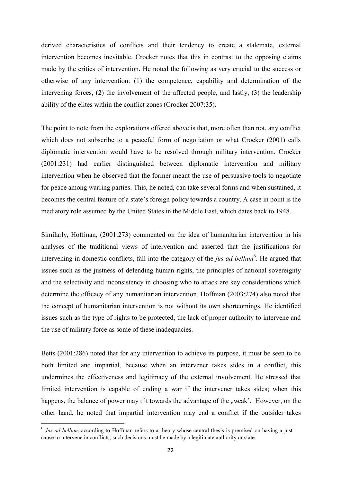derived characteristics of conflicts and their tendency to create a stalemate, external intervention becomes inevitable. Crocker notes that this in contrast to the opposing claims made by the critics of intervention. He noted the following as very crucial to the success or otherwise of any intervention: (1) the competence, capability and determination of the intervening forces, (2) the involvement of the affected people, and lastly, (3) the leadership ability of the elites within the conflict zones (Crocker 2007:35).

The point to note from the explorations offered above is that, more often than not, any conflict which does not subscribe to a peaceful form of negotiation or what Crocker (2001) calls diplomatic intervention would have to be resolved through military intervention. Crocker (2001:231) had earlier distinguished between diplomatic intervention and military intervention when he observed that the former meant the use of persuasive tools to negotiate for peace among warring parties. This, he noted, can take several forms and when sustained, it becomes the central feature of a state's foreign policy towards a country. A case in point is the mediatory role assumed by the United States in the Middle East, which dates back to 1948.

Similarly, Hoffman, (2001:273) commented on the idea of humanitarian intervention in his analyses of the traditional views of intervention and asserted that the justifications for intervening in domestic conflicts, fall into the category of the *jus ad bellum*<sup>6</sup>. He argued that issues such as the justness of defending human rights, the principles of national sovereignty and the selectivity and inconsistency in choosing who to attack are key considerations which determine the efficacy of any humanitarian intervention. Hoffman (2003:274) also noted that the concept of humanitarian intervention is not without its own shortcomings. He identified issues such as the type of rights to be protected, the lack of proper authority to intervene and the use of military force as some of these inadequacies.

Betts (2001:286) noted that for any intervention to achieve its purpose, it must be seen to be both limited and impartial, because when an intervener takes sides in a conflict, this undermines the effectiveness and legitimacy of the external involvement. He stressed that limited intervention is capable of ending a war if the intervener takes sides; when this happens, the balance of power may tilt towards the advantage of the "weak". However, on the other hand, he noted that impartial intervention may end a conflict if the outsider takes

**.** 

<sup>&</sup>lt;sup>6</sup> Jus ad bellum, according to Hoffman refers to a theory whose central thesis is premised on having a just cause to intervene in conflicts; such decisions must be made by a legitimate authority or state.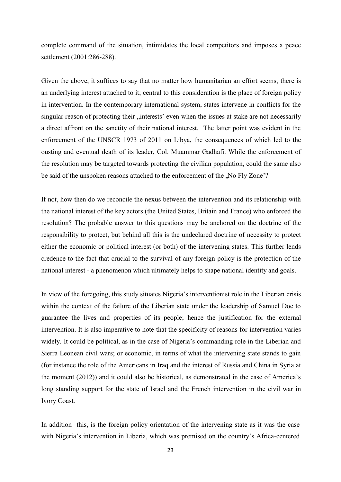complete command of the situation, intimidates the local competitors and imposes a peace settlement (2001:286-288).

Given the above, it suffices to say that no matter how humanitarian an effort seems, there is an underlying interest attached to it; central to this consideration is the place of foreign policy in intervention. In the contemporary international system, states intervene in conflicts for the singular reason of protecting their "interests' even when the issues at stake are not necessarily a direct affront on the sanctity of their national interest. The latter point was evident in the enforcement of the UNSCR 1973 of 2011 on Libya, the consequences of which led to the ousting and eventual death of its leader, Col. Muammar Gadhafi. While the enforcement of the resolution may be targeted towards protecting the civilian population, could the same also be said of the unspoken reasons attached to the enforcement of the .No Fly Zone'?

If not, how then do we reconcile the nexus between the intervention and its relationship with the national interest of the key actors (the United States, Britain and France) who enforced the resolution? The probable answer to this questions may be anchored on the doctrine of the responsibility to protect, but behind all this is the undeclared doctrine of necessity to protect either the economic or political interest (or both) of the intervening states. This further lends credence to the fact that crucial to the survival of any foreign policy is the protection of the national interest - a phenomenon which ultimately helps to shape national identity and goals.

In view of the foregoing, this study situates Nigeria"s interventionist role in the Liberian crisis within the context of the failure of the Liberian state under the leadership of Samuel Doe to guarantee the lives and properties of its people; hence the justification for the external intervention. It is also imperative to note that the specificity of reasons for intervention varies widely. It could be political, as in the case of Nigeria's commanding role in the Liberian and Sierra Leonean civil wars; or economic, in terms of what the intervening state stands to gain (for instance the role of the Americans in Iraq and the interest of Russia and China in Syria at the moment (2012)) and it could also be historical, as demonstrated in the case of America"s long standing support for the state of Israel and the French intervention in the civil war in Ivory Coast.

In addition this, is the foreign policy orientation of the intervening state as it was the case with Nigeria's intervention in Liberia, which was premised on the country's Africa-centered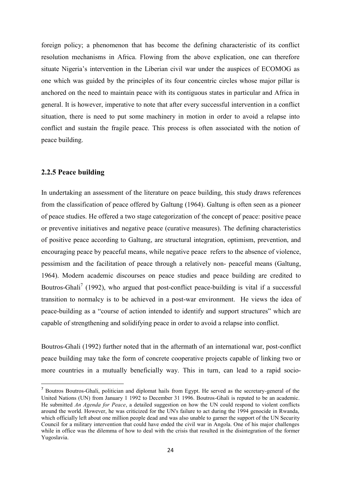foreign policy; a phenomenon that has become the defining characteristic of its conflict resolution mechanisms in Africa. Flowing from the above explication, one can therefore situate Nigeria's intervention in the Liberian civil war under the auspices of ECOMOG as one which was guided by the principles of its four concentric circles whose major pillar is anchored on the need to maintain peace with its contiguous states in particular and Africa in general. It is however, imperative to note that after every successful intervention in a conflict situation, there is need to put some machinery in motion in order to avoid a relapse into conflict and sustain the fragile peace. This process is often associated with the notion of peace building.

## <span id="page-33-0"></span>**2.2.5 Peace building**

**.** 

In undertaking an assessment of the literature on peace building, this study draws references from the classification of peace offered by Galtung (1964). Galtung is often seen as a pioneer of peace studies. He offered a two stage categorization of the concept of peace: positive peace or preventive initiatives and negative peace (curative measures). The defining characteristics of positive peace according to Galtung, are structural integration, optimism, prevention, and encouraging peace by peaceful means, while negative peace refers to the absence of violence, pessimism and the facilitation of peace through a relatively non- peaceful means (Galtung, 1964). Modern academic discourses on peace studies and peace building are credited to Boutros-Ghali<sup>7</sup> (1992), who argued that post-conflict peace-building is vital if a successful transition to normalcy is to be achieved in a post-war environment. He views the idea of peace-building as a "course of action intended to identify and support structures" which are capable of strengthening and solidifying peace in order to avoid a relapse into conflict.

Boutros-Ghali (1992) further noted that in the aftermath of an international war, post-conflict peace building may take the form of concrete cooperative projects capable of linking two or more countries in a mutually beneficially way. This in turn, can lead to a rapid socio-

<sup>&</sup>lt;sup>7</sup> Boutros Boutros-Ghali, politician and diplomat hails from Egypt. He served as the secretary-general of the United Nations (UN) from January 1 1992 to December 31 1996. Boutros-Ghali is reputed to be an academic. He submitted *An Agenda for Peace*, a detailed suggestion on how the UN could respond to violent conflicts around the world. However, he was criticized for the UN's failure to act during the 1994 genocide in Rwanda, which officially left about one million people dead and was also unable to garner the support of the UN Security Council for a military intervention that could have ended the civil war in Angola. One of his major challenges while in office was the dilemma of how to deal with the crisis that resulted in the disintegration of the former Yugoslavia.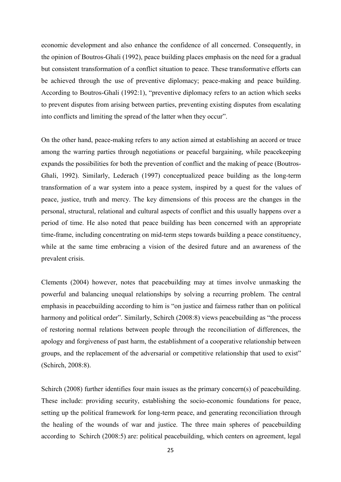economic development and also enhance the confidence of all concerned. Consequently, in the opinion of Boutros-Ghali (1992), peace building places emphasis on the need for a gradual but consistent transformation of a conflict situation to peace. These transformative efforts can be achieved through the use of preventive diplomacy; peace-making and peace building. According to Boutros-Ghali (1992:1), "preventive diplomacy refers to an action which seeks to prevent disputes from arising between parties, preventing existing disputes from escalating into conflicts and limiting the spread of the latter when they occur".

On the other hand, peace-making refers to any action aimed at establishing an accord or truce among the warring parties through negotiations or peaceful bargaining, while peacekeeping expands the possibilities for both the prevention of conflict and the making of peace (Boutros-Ghali, 1992). Similarly, Lederach (1997) conceptualized peace building as the long-term transformation of a war system into a peace system, inspired by a quest for the values of peace, justice, truth and mercy. The key dimensions of this process are the changes in the personal, structural, relational and cultural aspects of conflict and this usually happens over a period of time. He also noted that peace building has been concerned with an appropriate time-frame, including concentrating on mid-term steps towards building a peace constituency, while at the same time embracing a vision of the desired future and an awareness of the prevalent crisis.

Clements (2004) however, notes that peacebuilding may at times involve unmasking the powerful and balancing unequal relationships by solving a recurring problem. The central emphasis in peacebuilding according to him is "on justice and fairness rather than on political harmony and political order". Similarly, Schirch (2008:8) views peacebuilding as "the process of restoring normal relations between people through the reconciliation of differences, the apology and forgiveness of past harm, the establishment of a cooperative relationship between groups, and the replacement of the adversarial or competitive relationship that used to exist" (Schirch, 2008:8).

Schirch (2008) further identifies four main issues as the primary concern(s) of peacebuilding. These include: providing security, establishing the socio-economic foundations for peace, setting up the political framework for long-term peace, and generating reconciliation through the healing of the wounds of war and justice. The three main spheres of peacebuilding according to Schirch (2008:5) are: political peacebuilding, which centers on agreement, legal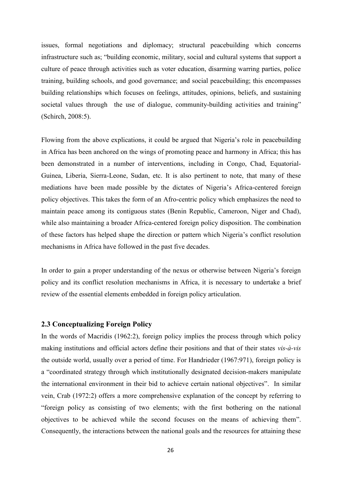issues, formal negotiations and diplomacy; structural peacebuilding which concerns infrastructure such as; "building economic, military, social and cultural systems that support a culture of peace through activities such as voter education, disarming warring parties, police training, building schools, and good governance; and social peacebuilding; this encompasses building relationships which focuses on feelings, attitudes, opinions, beliefs, and sustaining societal values through the use of dialogue, community-building activities and training" (Schirch, 2008:5).

Flowing from the above explications, it could be argued that Nigeria's role in peacebuilding in Africa has been anchored on the wings of promoting peace and harmony in Africa; this has been demonstrated in a number of interventions, including in Congo, Chad, Equatorial-Guinea, Liberia, Sierra-Leone, Sudan, etc. It is also pertinent to note, that many of these mediations have been made possible by the dictates of Nigeria's Africa-centered foreign policy objectives. This takes the form of an Afro-centric policy which emphasizes the need to maintain peace among its contiguous states (Benin Republic, Cameroon, Niger and Chad), while also maintaining a broader Africa-centered foreign policy disposition. The combination of these factors has helped shape the direction or pattern which Nigeria"s conflict resolution mechanisms in Africa have followed in the past five decades.

In order to gain a proper understanding of the nexus or otherwise between Nigeria's foreign policy and its conflict resolution mechanisms in Africa, it is necessary to undertake a brief review of the essential elements embedded in foreign policy articulation.

## <span id="page-35-0"></span>**2.3 Conceptualizing Foreign Policy**

In the words of Macridis (1962:2), foreign policy implies the process through which policy making institutions and official actors define their positions and that of their states *vis-à-vis* the outside world, usually over a period of time. For Handrieder (1967:971), foreign policy is a "coordinated strategy through which institutionally designated decision-makers manipulate the international environment in their bid to achieve certain national objectives". In similar vein, Crab (1972:2) offers a more comprehensive explanation of the concept by referring to "foreign policy as consisting of two elements; with the first bothering on the national objectives to be achieved while the second focuses on the means of achieving them". Consequently, the interactions between the national goals and the resources for attaining these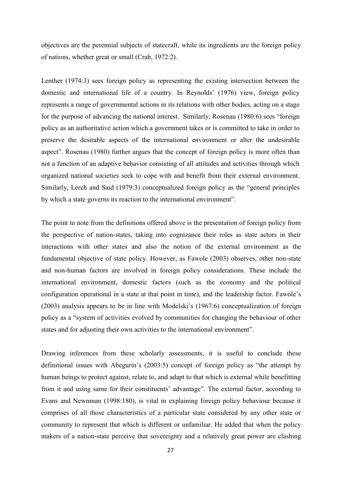objectives are the perennial subjects of statecraft, while its ingredients are the foreign policy of nations, whether great or small (Crab, 1972:2).

Lenther (1974:3) sees foreign policy as representing the existing intersection between the domestic and international life of a country. In Reynolds' (1976) view, foreign policy represents a range of governmental actions in its relations with other bodies, acting on a stage for the purpose of advancing the national interest. Similarly, Rosenau (1980:6) sees "foreign policy as an authoritative action which a government takes or is committed to take in order to preserve the desirable aspects of the international environment or alter the undesirable aspect". Rosenau (1980) further argues that the concept of foreign policy is more often than not a function of an adaptive behavior consisting of all attitudes and activities through which organized national societies seek to cope with and benefit from their external environment. Similarly, Lerch and Said (1979:3) conceptualized foreign policy as the "general principles by which a state governs its reaction to the international environment".

The point to note from the definitions offered above is the presentation of foreign policy from the perspective of nation-states, taking into cognizance their roles as state actors in their interactions with other states and also the notion of the external environment as the fundamental objective of state policy. However, as Fawole (2003) observes, other non-state and non-human factors are involved in foreign policy considerations. These include the international environment, domestic factors (such as the economy and the political configuration operational in a state at that point in time), and the leadership factor. Fawole"s (2003) analysis appears to be in line with Modelski"s (1967:6) conceptualization of foreign policy as a "system of activities evolved by communities for changing the behaviour of other states and for adjusting their own activities to the international environment".

Drawing inferences from these scholarly assessments, it is useful to conclude these definitional issues with Abegurin"s (2003:5) concept of foreign policy as "the attempt by human beings to protect against, relate to, and adapt to that which is external while benefitting from it and using same for their constituents" advantage". The external factor, according to Evans and Newnman (1998:180), is vital in explaining foreign policy behaviour because it comprises of all those characteristics of a particular state considered by any other state or community to represent that which is different or unfamiliar. He added that when the policy makers of a nation-state perceive that sovereignty and a relatively great power are clashing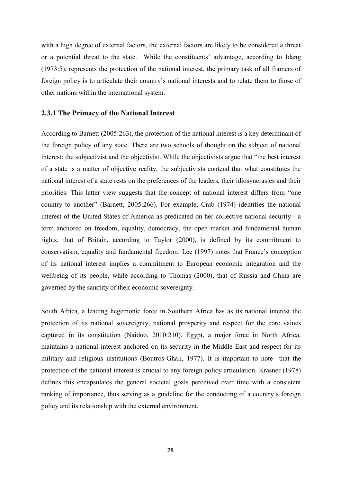with a high degree of external factors, the external factors are likely to be considered a threat or a potential threat to the state. While the constituents" advantage, according to Idang (1973:5), represents the protection of the national interest, the primary task of all framers of foreign policy is to articulate their country"s national interests and to relate them to those of other nations within the international system.

## **2.3.1 The Primacy of the National Interest**

According to Barnett (2005:263), the protection of the national interest is a key determinant of the foreign policy of any state. There are two schools of thought on the subject of national interest: the subjectivist and the objectivist. While the objectivists argue that "the best interest of a state is a matter of objective reality, the subjectivists contend that what constitutes the national interest of a state rests on the preferences of the leaders, their idiosyncrasies and their priorities. This latter view suggests that the concept of national interest differs from "one country to another" (Barnett, 2005:266). For example, Crab (1974) identifies the national interest of the United States of America as predicated on her collective national security - a term anchored on freedom, equality, democracy, the open market and fundamental human rights; that of Britain, according to Taylor (2000), is defined by its commitment to conservatism, equality and fundamental freedom. Lee (1997) notes that France"s conception of its national interest implies a commitment to European economic integration and the wellbeing of its people, while according to Thomas (2000), that of Russia and China are governed by the sanctity of their economic sovereignty.

South Africa, a leading hegemonic force in Southern Africa has as its national interest the protection of its national sovereignty, national prosperity and respect for the core values captured in its constitution (Naidoo, 2010:210). Egypt, a major force in North Africa, maintains a national interest anchored on its security in the Middle East and respect for its military and religious institutions (Boutros-Ghali, 1977). It is important to note that the protection of the national interest is crucial to any foreign policy articulation. Krasner (1978) defines this encapsulates the general societal goals perceived over time with a consistent ranking of importance, thus serving as a guideline for the conducting of a country's foreign policy and its relationship with the external environment.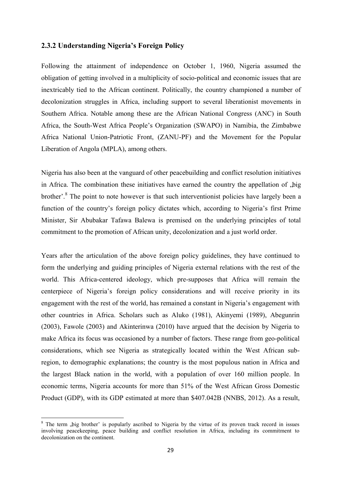## **2.3.2 Understanding Nigeria's Foreign Policy**

Following the attainment of independence on October 1, 1960, Nigeria assumed the obligation of getting involved in a multiplicity of socio-political and economic issues that are inextricably tied to the African continent. Politically, the country championed a number of decolonization struggles in Africa, including support to several liberationist movements in Southern Africa. Notable among these are the African National Congress (ANC) in South Africa, the South-West Africa People"s Organization (SWAPO) in Namibia, the Zimbabwe Africa National Union-Patriotic Front, (ZANU-PF) and the Movement for the Popular Liberation of Angola (MPLA), among others.

Nigeria has also been at the vanguard of other peacebuilding and conflict resolution initiatives in Africa. The combination these initiatives have earned the country the appellation of  $\phi$ , big brother'.<sup>8</sup> The point to note however is that such interventionist policies have largely been a function of the country's foreign policy dictates which, according to Nigeria's first Prime Minister, Sir Abubakar Tafawa Balewa is premised on the underlying principles of total commitment to the promotion of African unity, decolonization and a just world order.

Years after the articulation of the above foreign policy guidelines, they have continued to form the underlying and guiding principles of Nigeria external relations with the rest of the world. This Africa-centered ideology, which pre-supposes that Africa will remain the centerpiece of Nigeria's foreign policy considerations and will receive priority in its engagement with the rest of the world, has remained a constant in Nigeria's engagement with other countries in Africa. Scholars such as Aluko (1981), Akinyemi (1989), Abegunrin (2003), Fawole (2003) and Akinterinwa (2010) have argued that the decision by Nigeria to make Africa its focus was occasioned by a number of factors. These range from geo-political considerations, which see Nigeria as strategically located within the West African subregion, to demographic explanations; the country is the most populous nation in Africa and the largest Black nation in the world, with a population of over 160 million people. In economic terms, Nigeria accounts for more than 51% of the West African Gross Domestic Product (GDP), with its GDP estimated at more than \$407.042B (NNBS, 2012). As a result,

1

<sup>&</sup>lt;sup>8</sup> The term ,big brother' is popularly ascribed to Nigeria by the virtue of its proven track record in issues involving peacekeeping, peace building and conflict resolution in Africa, including its commitment to decolonization on the continent.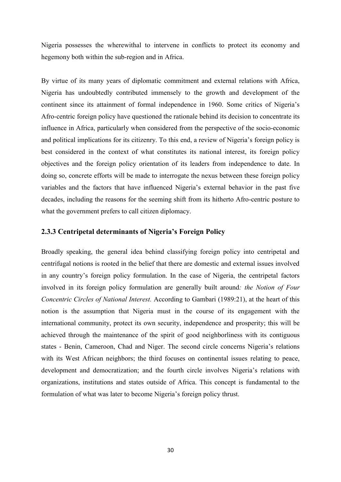Nigeria possesses the wherewithal to intervene in conflicts to protect its economy and hegemony both within the sub-region and in Africa.

By virtue of its many years of diplomatic commitment and external relations with Africa, Nigeria has undoubtedly contributed immensely to the growth and development of the continent since its attainment of formal independence in 1960. Some critics of Nigeria"s Afro-centric foreign policy have questioned the rationale behind its decision to concentrate its influence in Africa, particularly when considered from the perspective of the socio-economic and political implications for its citizenry. To this end, a review of Nigeria"s foreign policy is best considered in the context of what constitutes its national interest, its foreign policy objectives and the foreign policy orientation of its leaders from independence to date. In doing so, concrete efforts will be made to interrogate the nexus between these foreign policy variables and the factors that have influenced Nigeria"s external behavior in the past five decades, including the reasons for the seeming shift from its hitherto Afro-centric posture to what the government prefers to call citizen diplomacy.

#### **2.3.3 Centripetal determinants of Nigeria's Foreign Policy**

Broadly speaking, the general idea behind classifying foreign policy into centripetal and centrifugal notions is rooted in the belief that there are domestic and external issues involved in any country"s foreign policy formulation. In the case of Nigeria, the centripetal factors involved in its foreign policy formulation are generally built around*: the Notion of Four Concentric Circles of National Interest.* According to Gambari (1989:21), at the heart of this notion is the assumption that Nigeria must in the course of its engagement with the international community, protect its own security, independence and prosperity; this will be achieved through the maintenance of the spirit of good neighborliness with its contiguous states - Benin, Cameroon, Chad and Niger. The second circle concerns Nigeria"s relations with its West African neighbors; the third focuses on continental issues relating to peace, development and democratization; and the fourth circle involves Nigeria's relations with organizations, institutions and states outside of Africa. This concept is fundamental to the formulation of what was later to become Nigeria's foreign policy thrust.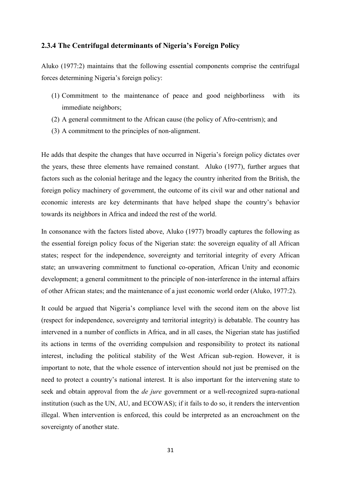## **2.3.4 The Centrifugal determinants of Nigeria's Foreign Policy**

Aluko (1977:2) maintains that the following essential components comprise the centrifugal forces determining Nigeria"s foreign policy:

- (1) Commitment to the maintenance of peace and good neighborliness with its immediate neighbors;
- (2) A general commitment to the African cause (the policy of Afro-centrism); and
- (3) A commitment to the principles of non-alignment.

He adds that despite the changes that have occurred in Nigeria"s foreign policy dictates over the years, these three elements have remained constant. Aluko (1977), further argues that factors such as the colonial heritage and the legacy the country inherited from the British, the foreign policy machinery of government, the outcome of its civil war and other national and economic interests are key determinants that have helped shape the country"s behavior towards its neighbors in Africa and indeed the rest of the world.

In consonance with the factors listed above, Aluko (1977) broadly captures the following as the essential foreign policy focus of the Nigerian state: the sovereign equality of all African states; respect for the independence, sovereignty and territorial integrity of every African state; an unwavering commitment to functional co-operation, African Unity and economic development; a general commitment to the principle of non-interference in the internal affairs of other African states; and the maintenance of a just economic world order (Aluko, 1977:2).

It could be argued that Nigeria"s compliance level with the second item on the above list (respect for independence, sovereignty and territorial integrity) is debatable. The country has intervened in a number of conflicts in Africa, and in all cases, the Nigerian state has justified its actions in terms of the overriding compulsion and responsibility to protect its national interest, including the political stability of the West African sub-region. However, it is important to note, that the whole essence of intervention should not just be premised on the need to protect a country"s national interest. It is also important for the intervening state to seek and obtain approval from the *de jure* government or a well-recognized supra-national institution (such as the UN, AU, and ECOWAS); if it fails to do so, it renders the intervention illegal. When intervention is enforced, this could be interpreted as an encroachment on the sovereignty of another state.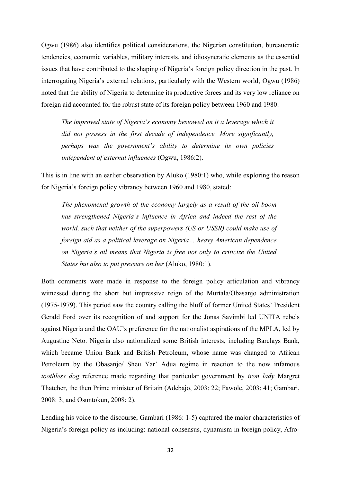Ogwu (1986) also identifies political considerations, the Nigerian constitution, bureaucratic tendencies, economic variables, military interests, and idiosyncratic elements as the essential issues that have contributed to the shaping of Nigeria"s foreign policy direction in the past. In interrogating Nigeria"s external relations, particularly with the Western world, Ogwu (1986) noted that the ability of Nigeria to determine its productive forces and its very low reliance on foreign aid accounted for the robust state of its foreign policy between 1960 and 1980:

 *The improved state of Nigeria's economy bestowed on it a leverage which it did not possess in the first decade of independence. More significantly, perhaps was the government's ability to determine its own policies independent of external influences* (Ogwu, 1986:2).

This is in line with an earlier observation by Aluko (1980:1) who, while exploring the reason for Nigeria's foreign policy vibrancy between 1960 and 1980, stated:

 *The phenomenal growth of the economy largely as a result of the oil boom has strengthened Nigeria's influence in Africa and indeed the rest of the world, such that neither of the superpowers (US or USSR) could make use of foreign aid as a political leverage on Nigeria… heavy American dependence on Nigeria's oil means that Nigeria is free not only to criticize the United States but also to put pressure on her* (Aluko, 1980:1).

Both comments were made in response to the foreign policy articulation and vibrancy witnessed during the short but impressive reign of the Murtala/Obasanjo administration (1975-1979). This period saw the country calling the bluff of former United States" President Gerald Ford over its recognition of and support for the Jonas Savimbi led UNITA rebels against Nigeria and the OAU"s preference for the nationalist aspirations of the MPLA, led by Augustine Neto. Nigeria also nationalized some British interests, including Barclays Bank, which became Union Bank and British Petroleum, whose name was changed to African Petroleum by the Obasanjo/ Sheu Yar" Adua regime in reaction to the now infamous *toothless dog* reference made regarding that particular government by *iron lady* Margret Thatcher, the then Prime minister of Britain (Adebajo, 2003: 22; Fawole, 2003: 41; Gambari, 2008: 3; and Osuntokun, 2008: 2).

Lending his voice to the discourse, Gambari (1986: 1-5) captured the major characteristics of Nigeria"s foreign policy as including: national consensus, dynamism in foreign policy, Afro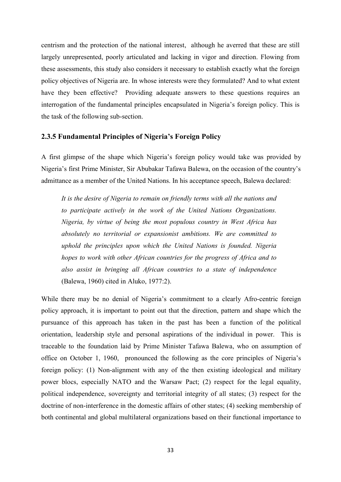centrism and the protection of the national interest, although he averred that these are still largely unrepresented, poorly articulated and lacking in vigor and direction. Flowing from these assessments, this study also considers it necessary to establish exactly what the foreign policy objectives of Nigeria are. In whose interests were they formulated? And to what extent have they been effective? Providing adequate answers to these questions requires an interrogation of the fundamental principles encapsulated in Nigeria"s foreign policy. This is the task of the following sub-section.

#### **2.3.5 Fundamental Principles of Nigeria's Foreign Policy**

A first glimpse of the shape which Nigeria"s foreign policy would take was provided by Nigeria"s first Prime Minister, Sir Abubakar Tafawa Balewa, on the occasion of the country"s admittance as a member of the United Nations. In his acceptance speech, Balewa declared:

*It is the desire of Nigeria to remain on friendly terms with all the nations and to participate actively in the work of the United Nations Organizations. Nigeria, by virtue of being the most populous country in West Africa has absolutely no territorial or expansionist ambitions. We are committed to uphold the principles upon which the United Nations is founded. Nigeria hopes to work with other African countries for the progress of Africa and to also assist in bringing all African countries to a state of independence*  (Balewa, 1960) cited in Aluko, 1977:2).

While there may be no denial of Nigeria's commitment to a clearly Afro-centric foreign policy approach, it is important to point out that the direction, pattern and shape which the pursuance of this approach has taken in the past has been a function of the political orientation, leadership style and personal aspirations of the individual in power. This is traceable to the foundation laid by Prime Minister Tafawa Balewa, who on assumption of office on October 1, 1960, pronounced the following as the core principles of Nigeria"s foreign policy: (1) Non-alignment with any of the then existing ideological and military power blocs, especially NATO and the Warsaw Pact; (2) respect for the legal equality, political independence, sovereignty and territorial integrity of all states; (3) respect for the doctrine of non-interference in the domestic affairs of other states; (4) seeking membership of both continental and global multilateral organizations based on their functional importance to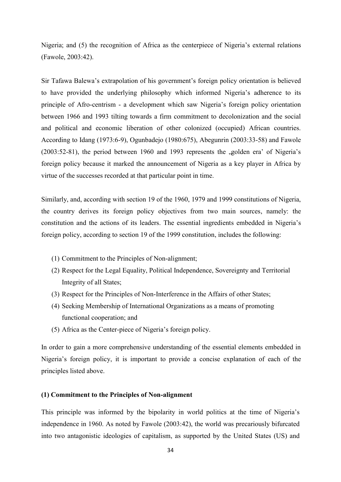Nigeria; and (5) the recognition of Africa as the centerpiece of Nigeria's external relations (Fawole, 2003:42).

Sir Tafawa Balewa's extrapolation of his government's foreign policy orientation is believed to have provided the underlying philosophy which informed Nigeria"s adherence to its principle of Afro-centrism - a development which saw Nigeria"s foreign policy orientation between 1966 and 1993 tilting towards a firm commitment to decolonization and the social and political and economic liberation of other colonized (occupied) African countries. According to Idang (1973:6-9), Ogunbadejo (1980:675), Abegunrin (2003:33-58) and Fawole  $(2003:52-81)$ , the period between 1960 and 1993 represents the  $\mu$  golden era' of Nigeria's foreign policy because it marked the announcement of Nigeria as a key player in Africa by virtue of the successes recorded at that particular point in time.

Similarly, and, according with section 19 of the 1960, 1979 and 1999 constitutions of Nigeria, the country derives its foreign policy objectives from two main sources, namely: the constitution and the actions of its leaders. The essential ingredients embedded in Nigeria"s foreign policy, according to section 19 of the 1999 constitution, includes the following:

- (1) Commitment to the Principles of Non-alignment;
- (2) Respect for the Legal Equality, Political Independence, Sovereignty and Territorial Integrity of all States;
- (3) Respect for the Principles of Non-Interference in the Affairs of other States;
- (4) Seeking Membership of International Organizations as a means of promoting functional cooperation; and
- (5) Africa as the Center-piece of Nigeria"s foreign policy.

In order to gain a more comprehensive understanding of the essential elements embedded in Nigeria"s foreign policy, it is important to provide a concise explanation of each of the principles listed above.

#### **(1) Commitment to the Principles of Non-alignment**

This principle was informed by the bipolarity in world politics at the time of Nigeria's independence in 1960. As noted by Fawole (2003:42), the world was precariously bifurcated into two antagonistic ideologies of capitalism, as supported by the United States (US) and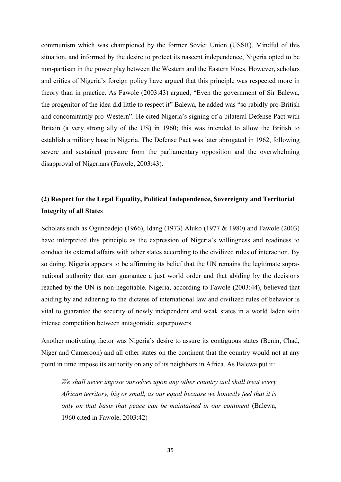communism which was championed by the former Soviet Union (USSR). Mindful of this situation, and informed by the desire to protect its nascent independence, Nigeria opted to be non-partisan in the power play between the Western and the Eastern blocs. However, scholars and critics of Nigeria's foreign policy have argued that this principle was respected more in theory than in practice. As Fawole (2003:43) argued, "Even the government of Sir Balewa, the progenitor of the idea did little to respect it" Balewa, he added was "so rabidly pro-British and concomitantly pro-Western". He cited Nigeria"s signing of a bilateral Defense Pact with Britain (a very strong ally of the US) in 1960; this was intended to allow the British to establish a military base in Nigeria. The Defense Pact was later abrogated in 1962, following severe and sustained pressure from the parliamentary opposition and the overwhelming disapproval of Nigerians (Fawole, 2003:43).

# **(2) Respect for the Legal Equality, Political Independence, Sovereignty and Territorial Integrity of all States**

Scholars such as Ogunbadejo **(**1966), Idang (1973) Aluko (1977 & 1980) and Fawole (2003) have interpreted this principle as the expression of Nigeria's willingness and readiness to conduct its external affairs with other states according to the civilized rules of interaction. By so doing, Nigeria appears to be affirming its belief that the UN remains the legitimate supranational authority that can guarantee a just world order and that abiding by the decisions reached by the UN is non-negotiable. Nigeria, according to Fawole (2003:44), believed that abiding by and adhering to the dictates of international law and civilized rules of behavior is vital to guarantee the security of newly independent and weak states in a world laden with intense competition between antagonistic superpowers.

Another motivating factor was Nigeria"s desire to assure its contiguous states (Benin, Chad, Niger and Cameroon) and all other states on the continent that the country would not at any point in time impose its authority on any of its neighbors in Africa. As Balewa put it:

*We shall never impose ourselves upon any other country and shall treat every African territory, big or small, as our equal because we honestly feel that it is only on that basis that peace can be maintained in our continent* (Balewa, 1960 cited in Fawole, 2003:42)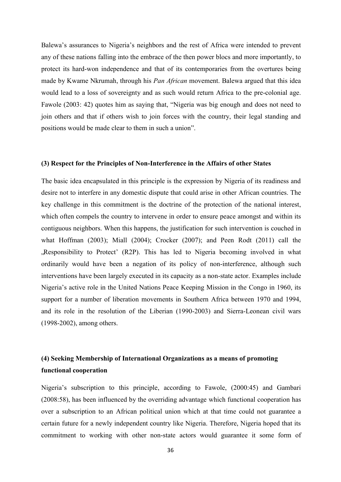Balewa's assurances to Nigeria's neighbors and the rest of Africa were intended to prevent any of these nations falling into the embrace of the then power blocs and more importantly, to protect its hard-won independence and that of its contemporaries from the overtures being made by Kwame Nkrumah, through his *Pan African* movement. Balewa argued that this idea would lead to a loss of sovereignty and as such would return Africa to the pre-colonial age. Fawole (2003: 42) quotes him as saying that, "Nigeria was big enough and does not need to join others and that if others wish to join forces with the country, their legal standing and positions would be made clear to them in such a union".

#### **(3) Respect for the Principles of Non-Interference in the Affairs of other States**

The basic idea encapsulated in this principle is the expression by Nigeria of its readiness and desire not to interfere in any domestic dispute that could arise in other African countries. The key challenge in this commitment is the doctrine of the protection of the national interest, which often compels the country to intervene in order to ensure peace amongst and within its contiguous neighbors. When this happens, the justification for such intervention is couched in what Hoffman (2003); Miall (2004); Crocker (2007); and Peen Rodt (2011) call the Responsibility to Protect' (R2P). This has led to Nigeria becoming involved in what ordinarily would have been a negation of its policy of non-interference, although such interventions have been largely executed in its capacity as a non-state actor. Examples include Nigeria"s active role in the United Nations Peace Keeping Mission in the Congo in 1960, its support for a number of liberation movements in Southern Africa between 1970 and 1994, and its role in the resolution of the Liberian (1990-2003) and Sierra-Leonean civil wars (1998-2002), among others.

# **(4) Seeking Membership of International Organizations as a means of promoting functional cooperation**

Nigeria"s subscription to this principle, according to Fawole, (2000:45) and Gambari (2008:58), has been influenced by the overriding advantage which functional cooperation has over a subscription to an African political union which at that time could not guarantee a certain future for a newly independent country like Nigeria. Therefore, Nigeria hoped that its commitment to working with other non-state actors would guarantee it some form of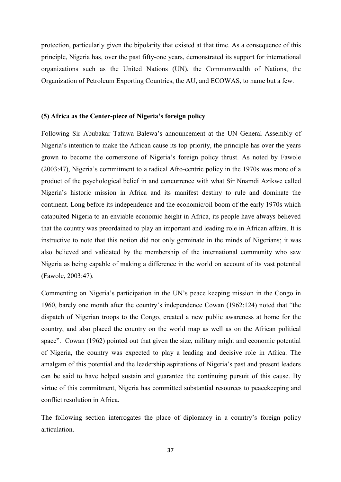protection, particularly given the bipolarity that existed at that time. As a consequence of this principle, Nigeria has, over the past fifty-one years, demonstrated its support for international organizations such as the United Nations (UN), the Commonwealth of Nations, the Organization of Petroleum Exporting Countries, the AU, and ECOWAS, to name but a few.

## **(5) Africa as the Center-piece of Nigeria's foreign policy**

Following Sir Abubakar Tafawa Balewa"s announcement at the UN General Assembly of Nigeria"s intention to make the African cause its top priority, the principle has over the years grown to become the cornerstone of Nigeria"s foreign policy thrust. As noted by Fawole (2003:47), Nigeria"s commitment to a radical Afro-centric policy in the 1970s was more of a product of the psychological belief in and concurrence with what Sir Nnamdi Azikwe called Nigeria"s historic mission in Africa and its manifest destiny to rule and dominate the continent. Long before its independence and the economic/oil boom of the early 1970s which catapulted Nigeria to an enviable economic height in Africa, its people have always believed that the country was preordained to play an important and leading role in African affairs. It is instructive to note that this notion did not only germinate in the minds of Nigerians; it was also believed and validated by the membership of the international community who saw Nigeria as being capable of making a difference in the world on account of its vast potential (Fawole, 2003:47).

Commenting on Nigeria"s participation in the UN"s peace keeping mission in the Congo in 1960, barely one month after the country"s independence Cowan (1962:124) noted that "the dispatch of Nigerian troops to the Congo, created a new public awareness at home for the country, and also placed the country on the world map as well as on the African political space". Cowan (1962) pointed out that given the size, military might and economic potential of Nigeria, the country was expected to play a leading and decisive role in Africa. The amalgam of this potential and the leadership aspirations of Nigeria's past and present leaders can be said to have helped sustain and guarantee the continuing pursuit of this cause. By virtue of this commitment, Nigeria has committed substantial resources to peacekeeping and conflict resolution in Africa.

The following section interrogates the place of diplomacy in a country's foreign policy articulation.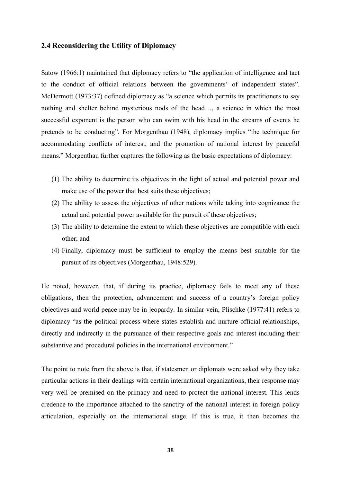## **2.4 Reconsidering the Utility of Diplomacy**

Satow (1966:1) maintained that diplomacy refers to "the application of intelligence and tact to the conduct of official relations between the governments' of independent states". McDermott (1973:37) defined diplomacy as "a science which permits its practitioners to say nothing and shelter behind mysterious nods of the head…, a science in which the most successful exponent is the person who can swim with his head in the streams of events he pretends to be conducting". For Morgenthau (1948), diplomacy implies "the technique for accommodating conflicts of interest, and the promotion of national interest by peaceful means." Morgenthau further captures the following as the basic expectations of diplomacy:

- (1) The ability to determine its objectives in the light of actual and potential power and make use of the power that best suits these objectives;
- (2) The ability to assess the objectives of other nations while taking into cognizance the actual and potential power available for the pursuit of these objectives;
- (3) The ability to determine the extent to which these objectives are compatible with each other; and
- (4) Finally, diplomacy must be sufficient to employ the means best suitable for the pursuit of its objectives (Morgenthau, 1948:529).

He noted, however, that, if during its practice, diplomacy fails to meet any of these obligations, then the protection, advancement and success of a country"s foreign policy objectives and world peace may be in jeopardy. In similar vein, Plischke (1977:41) refers to diplomacy "as the political process where states establish and nurture official relationships, directly and indirectly in the pursuance of their respective goals and interest including their substantive and procedural policies in the international environment."

The point to note from the above is that, if statesmen or diplomats were asked why they take particular actions in their dealings with certain international organizations, their response may very well be premised on the primacy and need to protect the national interest. This lends credence to the importance attached to the sanctity of the national interest in foreign policy articulation, especially on the international stage. If this is true, it then becomes the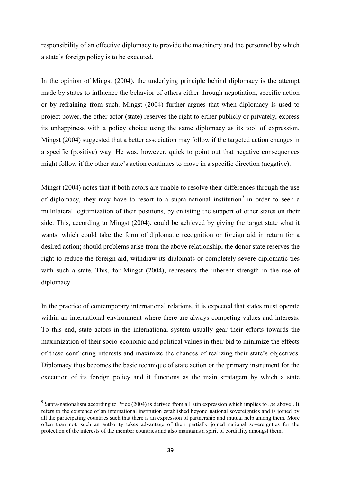responsibility of an effective diplomacy to provide the machinery and the personnel by which a state"s foreign policy is to be executed.

In the opinion of Mingst (2004), the underlying principle behind diplomacy is the attempt made by states to influence the behavior of others either through negotiation, specific action or by refraining from such. Mingst (2004) further argues that when diplomacy is used to project power, the other actor (state) reserves the right to either publicly or privately, express its unhappiness with a policy choice using the same diplomacy as its tool of expression. Mingst (2004) suggested that a better association may follow if the targeted action changes in a specific (positive) way. He was, however, quick to point out that negative consequences might follow if the other state's action continues to move in a specific direction (negative).

Mingst (2004) notes that if both actors are unable to resolve their differences through the use of diplomacy, they may have to resort to a supra-national institution<sup>9</sup> in order to seek a multilateral legitimization of their positions, by enlisting the support of other states on their side. This, according to Mingst (2004), could be achieved by giving the target state what it wants, which could take the form of diplomatic recognition or foreign aid in return for a desired action; should problems arise from the above relationship, the donor state reserves the right to reduce the foreign aid, withdraw its diplomats or completely severe diplomatic ties with such a state. This, for Mingst (2004), represents the inherent strength in the use of diplomacy.

In the practice of contemporary international relations, it is expected that states must operate within an international environment where there are always competing values and interests. To this end, state actors in the international system usually gear their efforts towards the maximization of their socio-economic and political values in their bid to minimize the effects of these conflicting interests and maximize the chances of realizing their state"s objectives. Diplomacy thus becomes the basic technique of state action or the primary instrument for the execution of its foreign policy and it functions as the main stratagem by which a state

1

<sup>&</sup>lt;sup>9</sup> Supra-nationalism according to Price (2004) is derived from a Latin expression which implies to "be above'. It refers to the existence of an international institution established beyond national sovereignties and is joined by all the participating countries such that there is an expression of partnership and mutual help among them. More often than not, such an authority takes advantage of their partially joined national sovereignties for the protection of the interests of the member countries and also maintains a spirit of cordiality amongst them.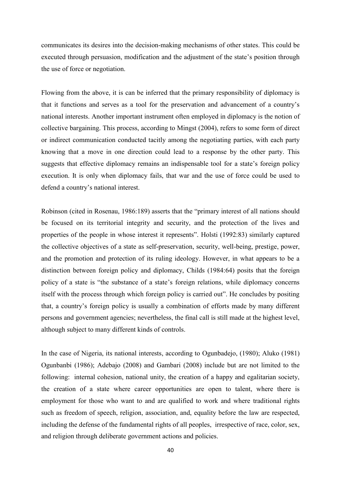communicates its desires into the decision-making mechanisms of other states. This could be executed through persuasion, modification and the adjustment of the state's position through the use of force or negotiation.

Flowing from the above, it is can be inferred that the primary responsibility of diplomacy is that it functions and serves as a tool for the preservation and advancement of a country"s national interests. Another important instrument often employed in diplomacy is the notion of collective bargaining. This process, according to Mingst (2004), refers to some form of direct or indirect communication conducted tacitly among the negotiating parties, with each party knowing that a move in one direction could lead to a response by the other party. This suggests that effective diplomacy remains an indispensable tool for a state's foreign policy execution. It is only when diplomacy fails, that war and the use of force could be used to defend a country"s national interest.

Robinson (cited in Rosenau, 1986:189) asserts that the "primary interest of all nations should be focused on its territorial integrity and security, and the protection of the lives and properties of the people in whose interest it represents". Holsti (1992:83) similarly captured the collective objectives of a state as self-preservation, security, well-being, prestige, power, and the promotion and protection of its ruling ideology. However, in what appears to be a distinction between foreign policy and diplomacy, Childs (1984:64) posits that the foreign policy of a state is "the substance of a state"s foreign relations, while diplomacy concerns itself with the process through which foreign policy is carried out". He concludes by positing that, a country"s foreign policy is usually a combination of efforts made by many different persons and government agencies; nevertheless, the final call is still made at the highest level, although subject to many different kinds of controls.

In the case of Nigeria, its national interests, according to Ogunbadejo, (1980); Aluko (1981) Ogunbanbi (1986); Adebajo (2008) and Gambari (2008) include but are not limited to the following: internal cohesion, national unity, the creation of a happy and egalitarian society, the creation of a state where career opportunities are open to talent, where there is employment for those who want to and are qualified to work and where traditional rights such as freedom of speech, religion, association, and, equality before the law are respected, including the defense of the fundamental rights of all peoples, irrespective of race, color, sex, and religion through deliberate government actions and policies.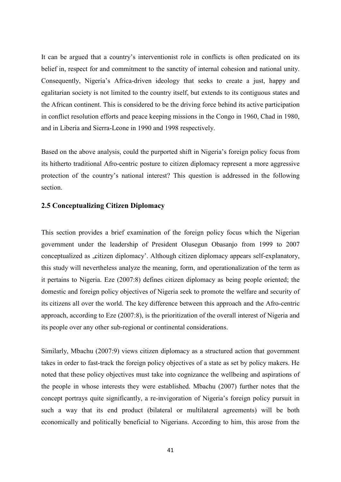It can be argued that a country's interventionist role in conflicts is often predicated on its belief in, respect for and commitment to the sanctity of internal cohesion and national unity. Consequently, Nigeria"s Africa-driven ideology that seeks to create a just, happy and egalitarian society is not limited to the country itself, but extends to its contiguous states and the African continent. This is considered to be the driving force behind its active participation in conflict resolution efforts and peace keeping missions in the Congo in 1960, Chad in 1980, and in Liberia and Sierra-Leone in 1990 and 1998 respectively.

Based on the above analysis, could the purported shift in Nigeria's foreign policy focus from its hitherto traditional Afro-centric posture to citizen diplomacy represent a more aggressive protection of the country"s national interest? This question is addressed in the following section.

## **2.5 Conceptualizing Citizen Diplomacy**

This section provides a brief examination of the foreign policy focus which the Nigerian government under the leadership of President Olusegun Obasanjo from 1999 to 2007 conceptualized as "citizen diplomacy". Although citizen diplomacy appears self-explanatory, this study will nevertheless analyze the meaning, form, and operationalization of the term as it pertains to Nigeria. Eze (2007:8) defines citizen diplomacy as being people oriented; the domestic and foreign policy objectives of Nigeria seek to promote the welfare and security of its citizens all over the world. The key difference between this approach and the Afro-centric approach, according to Eze (2007:8), is the prioritization of the overall interest of Nigeria and its people over any other sub-regional or continental considerations.

Similarly, Mbachu (2007:9) views citizen diplomacy as a structured action that government takes in order to fast-track the foreign policy objectives of a state as set by policy makers. He noted that these policy objectives must take into cognizance the wellbeing and aspirations of the people in whose interests they were established. Mbachu (2007) further notes that the concept portrays quite significantly, a re-invigoration of Nigeria's foreign policy pursuit in such a way that its end product (bilateral or multilateral agreements) will be both economically and politically beneficial to Nigerians. According to him, this arose from the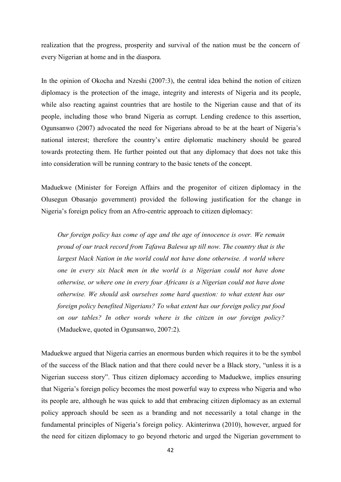realization that the progress, prosperity and survival of the nation must be the concern of every Nigerian at home and in the diaspora.

In the opinion of Okocha and Nzeshi (2007:3), the central idea behind the notion of citizen diplomacy is the protection of the image, integrity and interests of Nigeria and its people, while also reacting against countries that are hostile to the Nigerian cause and that of its people, including those who brand Nigeria as corrupt. Lending credence to this assertion, Ogunsanwo (2007) advocated the need for Nigerians abroad to be at the heart of Nigeria"s national interest; therefore the country"s entire diplomatic machinery should be geared towards protecting them. He further pointed out that any diplomacy that does not take this into consideration will be running contrary to the basic tenets of the concept.

Maduekwe (Minister for Foreign Affairs and the progenitor of citizen diplomacy in the Olusegun Obasanjo government) provided the following justification for the change in Nigeria"s foreign policy from an Afro-centric approach to citizen diplomacy:

 *Our foreign policy has come of age and the age of innocence is over. We remain proud of our track record from Tafawa Balewa up till now. The country that is the largest black Nation in the world could not have done otherwise. A world where one in every six black men in the world is a Nigerian could not have done otherwise, or where one in every four Africans is a Nigerian could not have done otherwise. We should ask ourselves some hard question: to what extent has our foreign policy benefited Nigerians? To what extent has our foreign policy put food on our tables? In other words where is the citizen in our foreign policy?*  (Maduekwe, quoted in Ogunsanwo, 2007:2).

Maduekwe argued that Nigeria carries an enormous burden which requires it to be the symbol of the success of the Black nation and that there could never be a Black story, "unless it is a Nigerian success story". Thus citizen diplomacy according to Maduekwe, implies ensuring that Nigeria"s foreign policy becomes the most powerful way to express who Nigeria and who its people are, although he was quick to add that embracing citizen diplomacy as an external policy approach should be seen as a branding and not necessarily a total change in the fundamental principles of Nigeria"s foreign policy. Akinterinwa (2010), however, argued for the need for citizen diplomacy to go beyond rhetoric and urged the Nigerian government to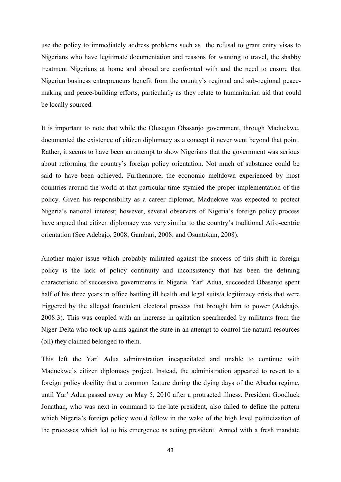use the policy to immediately address problems such as the refusal to grant entry visas to Nigerians who have legitimate documentation and reasons for wanting to travel, the shabby treatment Nigerians at home and abroad are confronted with and the need to ensure that Nigerian business entrepreneurs benefit from the country"s regional and sub-regional peacemaking and peace-building efforts, particularly as they relate to humanitarian aid that could be locally sourced.

It is important to note that while the Olusegun Obasanjo government, through Maduekwe, documented the existence of citizen diplomacy as a concept it never went beyond that point. Rather, it seems to have been an attempt to show Nigerians that the government was serious about reforming the country"s foreign policy orientation. Not much of substance could be said to have been achieved. Furthermore, the economic meltdown experienced by most countries around the world at that particular time stymied the proper implementation of the policy. Given his responsibility as a career diplomat, Maduekwe was expected to protect Nigeria's national interest; however, several observers of Nigeria's foreign policy process have argued that citizen diplomacy was very similar to the country"s traditional Afro-centric orientation (See Adebajo, 2008; Gambari, 2008; and Osuntokun, 2008).

Another major issue which probably militated against the success of this shift in foreign policy is the lack of policy continuity and inconsistency that has been the defining characteristic of successive governments in Nigeria. Yar" Adua, succeeded Obasanjo spent half of his three years in office battling ill health and legal suits/a legitimacy crisis that were triggered by the alleged fraudulent electoral process that brought him to power (Adebajo, 2008:3). This was coupled with an increase in agitation spearheaded by militants from the Niger-Delta who took up arms against the state in an attempt to control the natural resources (oil) they claimed belonged to them.

This left the Yar" Adua administration incapacitated and unable to continue with Maduekwe's citizen diplomacy project. Instead, the administration appeared to revert to a foreign policy docility that a common feature during the dying days of the Abacha regime, until Yar" Adua passed away on May 5, 2010 after a protracted illness. President Goodluck Jonathan, who was next in command to the late president, also failed to define the pattern which Nigeria's foreign policy would follow in the wake of the high level politicization of the processes which led to his emergence as acting president. Armed with a fresh mandate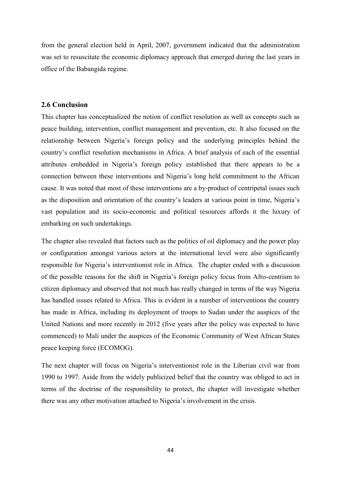from the general election held in April, 2007, government indicated that the administration was set to resuscitate the economic diplomacy approach that emerged during the last years in office of the Babangida regime.

## **2.6 Conclusion**

This chapter has conceptualized the notion of conflict resolution as well as concepts such as peace building, intervention, conflict management and prevention, etc. It also focused on the relationship between Nigeria"s foreign policy and the underlying principles behind the country"s conflict resolution mechanisms in Africa. A brief analysis of each of the essential attributes embedded in Nigeria"s foreign policy established that there appears to be a connection between these interventions and Nigeria"s long held commitment to the African cause. It was noted that most of these interventions are a by-product of centripetal issues such as the disposition and orientation of the country"s leaders at various point in time, Nigeria"s vast population and its socio-economic and political resources affords it the luxury of embarking on such undertakings.

The chapter also revealed that factors such as the politics of oil diplomacy and the power play or configuration amongst various actors at the international level were also significantly responsible for Nigeria"s interventionist role in Africa. The chapter ended with a discussion of the possible reasons for the shift in Nigeria"s foreign policy focus from Afro-centrism to citizen diplomacy and observed that not much has really changed in terms of the way Nigeria has handled issues related to Africa. This is evident in a number of interventions the country has made in Africa, including its deployment of troops to Sudan under the auspices of the United Nations and more recently in 2012 (five years after the policy was expected to have commenced) to Mali under the auspices of the Economic Community of West African States peace keeping force (ECOMOG).

The next chapter will focus on Nigeria's interventionist role in the Liberian civil war from 1990 to 1997. Aside from the widely publicized belief that the country was obliged to act in terms of the doctrine of the responsibility to protect, the chapter will investigate whether there was any other motivation attached to Nigeria"s involvement in the crisis.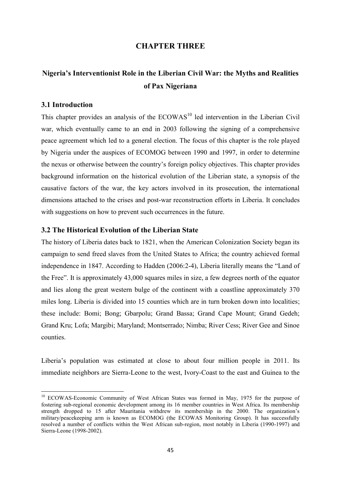## **CHAPTER THREE**

# **Nigeria's Interventionist Role in the Liberian Civil War: the Myths and Realities of Pax Nigeriana**

## **3.1 Introduction**

**.** 

This chapter provides an analysis of the ECOWAS<sup>10</sup> led intervention in the Liberian Civil war, which eventually came to an end in 2003 following the signing of a comprehensive peace agreement which led to a general election. The focus of this chapter is the role played by Nigeria under the auspices of ECOMOG between 1990 and 1997, in order to determine the nexus or otherwise between the country"s foreign policy objectives. This chapter provides background information on the historical evolution of the Liberian state, a synopsis of the causative factors of the war, the key actors involved in its prosecution, the international dimensions attached to the crises and post-war reconstruction efforts in Liberia. It concludes with suggestions on how to prevent such occurrences in the future.

#### **3.2 The Historical Evolution of the Liberian State**

The history of Liberia dates back to 1821, when the American Colonization Society began its campaign to send freed slaves from the United States to Africa; the country achieved formal independence in 1847. According to Hadden (2006:2-4), Liberia literally means the "Land of the Free". It is approximately 43,000 squares miles in size, a few degrees north of the equator and lies along the great western bulge of the continent with a coastline approximately 370 miles long. Liberia is divided into 15 counties which are in turn broken down into localities; these include: Bomi; Bong; Gbarpolu; Grand Bassa; Grand Cape Mount; Grand Gedeh; Grand Kru; Lofa; Margibi; Maryland; Montserrado; Nimba; River Cess; River Gee and Sinoe counties.

Liberia"s population was estimated at close to about four million people in 2011. Its immediate neighbors are Sierra-Leone to the west, Ivory-Coast to the east and Guinea to the

<sup>&</sup>lt;sup>10</sup> ECOWAS-Economic Community of West African States was formed in May, 1975 for the purpose of fostering sub-regional economic development among its 16 member countries in West Africa. Its membership strength dropped to 15 after Mauritania withdrew its membership in the 2000. The organization's military/peacekeeping arm is known as ECOMOG (the ECOWAS Monitoring Group). It has successfully resolved a number of conflicts within the West African sub-region, most notably in Liberia (1990-1997) and Sierra-Leone (1998-2002).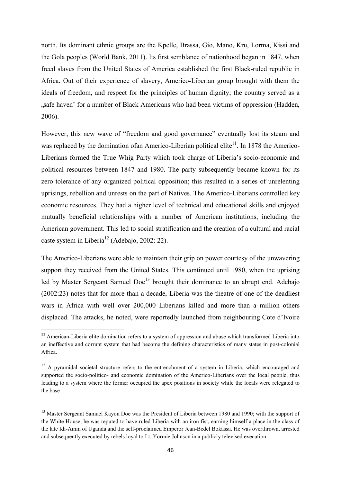north. Its dominant ethnic groups are the Kpelle, Brassa, Gio, Mano, Kru, Lorma, Kissi and the Gola peoples (World Bank, 2011). Its first semblance of nationhood began in 1847, when freed slaves from the United States of America established the first Black-ruled republic in Africa. Out of their experience of slavery, Americo-Liberian group brought with them the ideals of freedom, and respect for the principles of human dignity; the country served as a "safe haven" for a number of Black Americans who had been victims of oppression (Hadden, 2006).

However, this new wave of "freedom and good governance" eventually lost its steam and was replaced by the domination ofan Americo-Liberian political elite $^{11}$ . In 1878 the Americo-Liberians formed the True Whig Party which took charge of Liberia"s socio-economic and political resources between 1847 and 1980. The party subsequently became known for its zero tolerance of any organized political opposition; this resulted in a series of unrelenting uprisings, rebellion and unrests on the part of Natives. The Americo-Liberians controlled key economic resources. They had a higher level of technical and educational skills and enjoyed mutually beneficial relationships with a number of American institutions, including the American government. This led to social stratification and the creation of a cultural and racial caste system in Liberia<sup>12</sup> (Adebajo, 2002: 22).

The Americo-Liberians were able to maintain their grip on power courtesy of the unwavering support they received from the United States. This continued until 1980, when the uprising led by Master Sergeant Samuel  $Doe<sup>13</sup>$  brought their dominance to an abrupt end. Adebajo (2002:23) notes that for more than a decade, Liberia was the theatre of one of the deadliest wars in Africa with well over 200,000 Liberians killed and more than a million others displaced. The attacks, he noted, were reportedly launched from neighbouring Cote d"Ivoire

1

<sup>&</sup>lt;sup>11</sup> American-Liberia elite domination refers to a system of oppression and abuse which transformed Liberia into an ineffective and corrupt system that had become the defining characteristics of many states in post-colonial Africa.

<sup>&</sup>lt;sup>12</sup> A pyramidal societal structure refers to the entrenchment of a system in Liberia, which encouraged and supported the socio-politico- and economic domination of the Americo-Liberians over the local people, thus leading to a system where the former occupied the apex positions in society while the locals were relegated to the base

<sup>&</sup>lt;sup>13</sup> Master Sergeant Samuel Kayon Doe was the President of Liberia between 1980 and 1990; with the support of the White House, he was reputed to have ruled Liberia with an iron fist, earning himself a place in the class of the late Idi-Amin of Uganda and the self-proclaimed Emperor Jean-Bedel Bokassa. He was overthrown, arrested and subsequently executed by rebels loyal to Lt. Yormie Johnson in a publicly televised execution.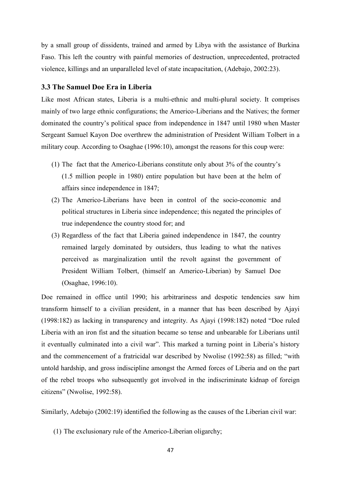by a small group of dissidents, trained and armed by Libya with the assistance of Burkina Faso. This left the country with painful memories of destruction, unprecedented, protracted violence, killings and an unparalleled level of state incapacitation, (Adebajo, 2002:23).

### **3.3 The Samuel Doe Era in Liberia**

Like most African states, Liberia is a multi-ethnic and multi-plural society. It comprises mainly of two large ethnic configurations; the Americo-Liberians and the Natives; the former dominated the country"s political space from independence in 1847 until 1980 when Master Sergeant Samuel Kayon Doe overthrew the administration of President William Tolbert in a military coup. According to Osaghae (1996:10), amongst the reasons for this coup were:

- (1) The fact that the Americo-Liberians constitute only about 3% of the country"s (1.5 million people in 1980) entire population but have been at the helm of affairs since independence in 1847;
- (2) The Americo-Liberians have been in control of the socio-economic and political structures in Liberia since independence; this negated the principles of true independence the country stood for; and
- (3) Regardless of the fact that Liberia gained independence in 1847, the country remained largely dominated by outsiders, thus leading to what the natives perceived as marginalization until the revolt against the government of President William Tolbert, (himself an Americo-Liberian) by Samuel Doe (Osaghae, 1996:10).

Doe remained in office until 1990; his arbitrariness and despotic tendencies saw him transform himself to a civilian president, in a manner that has been described by Ajayi (1998:182) as lacking in transparency and integrity. As Ajayi (1998:182) noted "Doe ruled Liberia with an iron fist and the situation became so tense and unbearable for Liberians until it eventually culminated into a civil war". This marked a turning point in Liberia's history and the commencement of a fratricidal war described by Nwolise (1992:58) as filled; "with untold hardship, and gross indiscipline amongst the Armed forces of Liberia and on the part of the rebel troops who subsequently got involved in the indiscriminate kidnap of foreign citizens" (Nwolise, 1992:58).

Similarly, Adebajo (2002:19) identified the following as the causes of the Liberian civil war:

(1) The exclusionary rule of the Americo-Liberian oligarchy;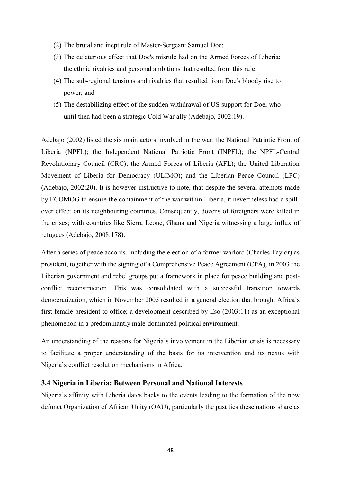- (2) The brutal and inept rule of Master-Sergeant Samuel Doe;
- (3) The deleterious effect that Doe's misrule had on the Armed Forces of Liberia; the ethnic rivalries and personal ambitions that resulted from this rule;
- (4) The sub-regional tensions and rivalries that resulted from Doe's bloody rise to power; and
- (5) The destabilizing effect of the sudden withdrawal of US support for Doe, who until then had been a strategic Cold War ally (Adebajo, 2002:19).

Adebajo (2002) listed the six main actors involved in the war: the National Patriotic Front of Liberia (NPFL); the Independent National Patriotic Front (INPFL); the NPFL-Central Revolutionary Council (CRC); the Armed Forces of Liberia (AFL); the United Liberation Movement of Liberia for Democracy (ULIMO); and the Liberian Peace Council (LPC) (Adebajo, 2002:20). It is however instructive to note, that despite the several attempts made by ECOMOG to ensure the containment of the war within Liberia, it nevertheless had a spillover effect on its neighbouring countries. Consequently, dozens of foreigners were killed in the crises; with countries like Sierra Leone, Ghana and Nigeria witnessing a large influx of refugees (Adebajo, 2008:178).

After a series of peace accords, including the election of a former warlord (Charles Taylor) as president, together with the signing of a Comprehensive Peace Agreement (CPA), in 2003 the Liberian government and rebel groups put a framework in place for peace building and postconflict reconstruction. This was consolidated with a successful transition towards democratization, which in November 2005 resulted in a general election that brought Africa"s first female president to office; a development described by Eso (2003:11) as an exceptional phenomenon in a predominantly male-dominated political environment.

An understanding of the reasons for Nigeria's involvement in the Liberian crisis is necessary to facilitate a proper understanding of the basis for its intervention and its nexus with Nigeria"s conflict resolution mechanisms in Africa.

## **3.4 Nigeria in Liberia: Between Personal and National Interests**

Nigeria's affinity with Liberia dates backs to the events leading to the formation of the now defunct Organization of African Unity (OAU), particularly the past ties these nations share as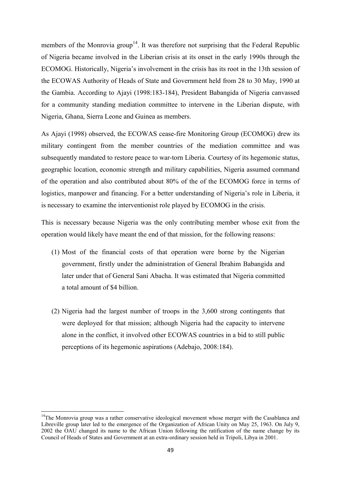members of the Monrovia group<sup>14</sup>. It was therefore not surprising that the Federal Republic of Nigeria became involved in the Liberian crisis at its onset in the early 1990s through the ECOMOG. Historically, Nigeria's involvement in the crisis has its root in the 13th session of the ECOWAS Authority of Heads of State and Government held from 28 to 30 May, 1990 at the Gambia. According to Ajayi (1998:183-184), President Babangida of Nigeria canvassed for a community standing mediation committee to intervene in the Liberian dispute, with Nigeria, Ghana, Sierra Leone and Guinea as members.

As Ajayi (1998) observed, the ECOWAS cease-fire Monitoring Group (ECOMOG) drew its military contingent from the member countries of the mediation committee and was subsequently mandated to restore peace to war-torn Liberia. Courtesy of its hegemonic status, geographic location, economic strength and military capabilities, Nigeria assumed command of the operation and also contributed about 80% of the of the ECOMOG force in terms of logistics, manpower and financing. For a better understanding of Nigeria's role in Liberia, it is necessary to examine the interventionist role played by ECOMOG in the crisis.

This is necessary because Nigeria was the only contributing member whose exit from the operation would likely have meant the end of that mission, for the following reasons:

- (1) Most of the financial costs of that operation were borne by the Nigerian government, firstly under the administration of General Ibrahim Babangida and later under that of General Sani Abacha. It was estimated that Nigeria committed a total amount of \$4 billion.
- (2) Nigeria had the largest number of troops in the 3,600 strong contingents that were deployed for that mission; although Nigeria had the capacity to intervene alone in the conflict, it involved other ECOWAS countries in a bid to still public perceptions of its hegemonic aspirations (Adebajo, 2008:184).

**.** 

<sup>&</sup>lt;sup>14</sup>The Monrovia group was a rather conservative ideological movement whose merger with the Casablanca and Libreville group later led to the emergence of the Organization of African Unity on May 25, 1963. On July 9, 2002 the OAU changed its name to the African Union following the ratification of the name change by its Council of Heads of States and Government at an extra-ordinary session held in Tripoli, Libya in 2001.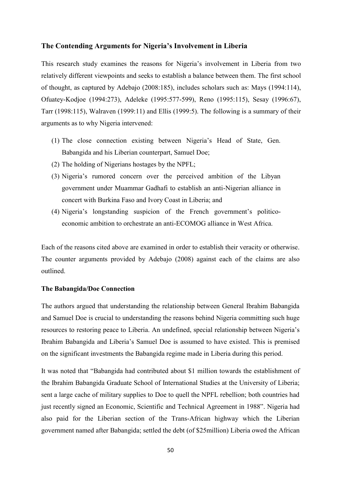#### **The Contending Arguments for Nigeria's Involvement in Liberia**

This research study examines the reasons for Nigeria's involvement in Liberia from two relatively different viewpoints and seeks to establish a balance between them. The first school of thought, as captured by Adebajo (2008:185), includes scholars such as: Mays (1994:114), Ofuatey-Kodjoe (1994:273), Adeleke (1995:577-599), Reno (1995:115), Sesay (1996:67), Tarr (1998:115), Walraven (1999:11) and Ellis (1999:5). The following is a summary of their arguments as to why Nigeria intervened:

- (1) The close connection existing between Nigeria"s Head of State, Gen. Babangida and his Liberian counterpart, Samuel Doe;
- (2) The holding of Nigerians hostages by the NPFL;
- (3) Nigeria"s rumored concern over the perceived ambition of the Libyan government under Muammar Gadhafi to establish an anti-Nigerian alliance in concert with Burkina Faso and Ivory Coast in Liberia; and
- (4) Nigeria"s longstanding suspicion of the French government"s politicoeconomic ambition to orchestrate an anti-ECOMOG alliance in West Africa.

Each of the reasons cited above are examined in order to establish their veracity or otherwise. The counter arguments provided by Adebajo (2008) against each of the claims are also outlined.

#### **The Babangida/Doe Connection**

The authors argued that understanding the relationship between General Ibrahim Babangida and Samuel Doe is crucial to understanding the reasons behind Nigeria committing such huge resources to restoring peace to Liberia. An undefined, special relationship between Nigeria"s Ibrahim Babangida and Liberia"s Samuel Doe is assumed to have existed. This is premised on the significant investments the Babangida regime made in Liberia during this period.

It was noted that "Babangida had contributed about \$1 million towards the establishment of the Ibrahim Babangida Graduate School of International Studies at the University of Liberia; sent a large cache of military supplies to Doe to quell the NPFL rebellion; both countries had just recently signed an Economic, Scientific and Technical Agreement in 1988". Nigeria had also paid for the Liberian section of the Trans-African highway which the Liberian government named after Babangida; settled the debt (of \$25million) Liberia owed the African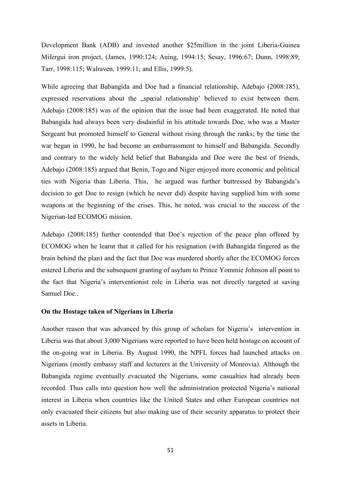Development Bank (ADB) and invested another \$25million in the joint Liberia-Guinea Mifergui iron project, (James, 1990:124; Aning, 1994:15; Sesay, 1996:67; Dunn, 1998:89; Tarr, 1998:115; Walraven, 1999:11; and Ellis, 1999:5).

While agreeing that Babangida and Doe had a financial relationship, Adebajo (2008:185), expressed reservations about the "special relationship' believed to exist between them. Adebajo (2008:185) was of the opinion that the issue had been exaggerated. He noted that Babangida had always been very disdainful in his attitude towards Doe, who was a Master Sergeant but promoted himself to General without rising through the ranks; by the time the war began in 1990, he had become an embarrassment to himself and Babangida. Secondly and contrary to the widely held belief that Babangida and Doe were the best of friends, Adebajo (2008:185) argued that Benin, Togo and Niger enjoyed more economic and political ties with Nigeria than Liberia. This, he argued was further buttressed by Babangida"s decision to get Doe to resign (which he never did) despite having supplied him with some weapons at the beginning of the crises. This, he noted, was crucial to the success of the Nigerian-led ECOMOG mission.

Adebajo (2008:185) further contended that Doe"s rejection of the peace plan offered by ECOMOG when he learnt that it called for his resignation (with Babangida fingered as the brain behind the plan) and the fact that Doe was murdered shortly after the ECOMOG forces entered Liberia and the subsequent granting of asylum to Prince Yommie Johnson all point to the fact that Nigeria"s interventionist role in Liberia was not directly targeted at saving Samuel Doe..

#### **On the Hostage taken of Nigerians in Liberia**

Another reason that was advanced by this group of scholars for Nigeria"s intervention in Liberia was that about 3,000 Nigerians were reported to have been held hostage on account of the on-going war in Liberia. By August 1990, the NPFL forces had launched attacks on Nigerians (mostly embassy staff and lecturers at the University of Monrovia). Although the Babangida regime eventually evacuated the Nigerians, some casualties had already been recorded. Thus calls into question how well the administration protected Nigeria's national interest in Liberia when countries like the United States and other European countries not only evacuated their citizens but also making use of their security apparatus to protect their assets in Liberia.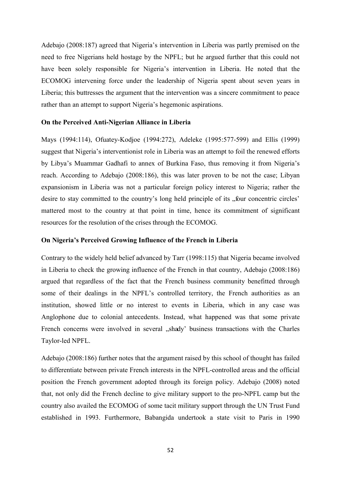Adebajo (2008:187) agreed that Nigeria"s intervention in Liberia was partly premised on the need to free Nigerians held hostage by the NPFL; but he argued further that this could not have been solely responsible for Nigeria's intervention in Liberia. He noted that the ECOMOG intervening force under the leadership of Nigeria spent about seven years in Liberia; this buttresses the argument that the intervention was a sincere commitment to peace rather than an attempt to support Nigeria's hegemonic aspirations.

#### **On the Perceived Anti-Nigerian Alliance in Liberia**

Mays (1994:114), Ofuatey-Kodjoe (1994:272), Adeleke (1995:577-599) and Ellis (1999) suggest that Nigeria's interventionist role in Liberia was an attempt to foil the renewed efforts by Libya"s Muammar Gadhafi to annex of Burkina Faso, thus removing it from Nigeria"s reach. According to Adebajo (2008:186), this was later proven to be not the case; Libyan expansionism in Liberia was not a particular foreign policy interest to Nigeria; rather the desire to stay committed to the country's long held principle of its "four concentric circles" mattered most to the country at that point in time, hence its commitment of significant resources for the resolution of the crises through the ECOMOG.

#### **On Nigeria's Perceived Growing Influence of the French in Liberia**

Contrary to the widely held belief advanced by Tarr (1998:115) that Nigeria became involved in Liberia to check the growing influence of the French in that country, Adebajo (2008:186) argued that regardless of the fact that the French business community benefitted through some of their dealings in the NPFL's controlled territory, the French authorities as an institution, showed little or no interest to events in Liberia, which in any case was Anglophone due to colonial antecedents. Instead, what happened was that some private French concerns were involved in several "shady' business transactions with the Charles Taylor-led NPFL.

Adebajo (2008:186) further notes that the argument raised by this school of thought has failed to differentiate between private French interests in the NPFL-controlled areas and the official position the French government adopted through its foreign policy. Adebajo (2008) noted that, not only did the French decline to give military support to the pro-NPFL camp but the country also availed the ECOMOG of some tacit military support through the UN Trust Fund established in 1993. Furthermore, Babangida undertook a state visit to Paris in 1990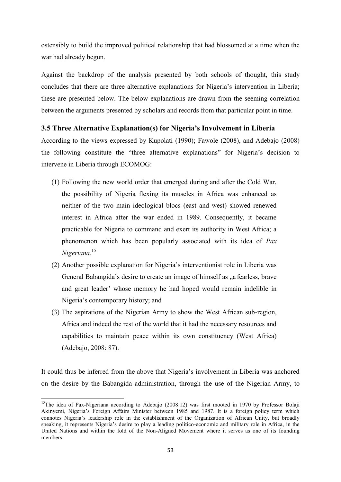ostensibly to build the improved political relationship that had blossomed at a time when the war had already begun.

Against the backdrop of the analysis presented by both schools of thought, this study concludes that there are three alternative explanations for Nigeria's intervention in Liberia; these are presented below. The below explanations are drawn from the seeming correlation between the arguments presented by scholars and records from that particular point in time.

## **3.5 Three Alternative Explanation(s) for Nigeria's Involvement in Liberia**

According to the views expressed by Kupolati (1990); Fawole (2008), and Adebajo (2008) the following constitute the "three alternative explanations" for Nigeria"s decision to intervene in Liberia through ECOMOG:

- (1) Following the new world order that emerged during and after the Cold War, the possibility of Nigeria flexing its muscles in Africa was enhanced as neither of the two main ideological blocs (east and west) showed renewed interest in Africa after the war ended in 1989. Consequently, it became practicable for Nigeria to command and exert its authority in West Africa; a phenomenon which has been popularly associated with its idea of *Pax Nigeriana.*<sup>15</sup>
- (2) Another possible explanation for Nigeria"s interventionist role in Liberia was General Babangida's desire to create an image of himself as "a fearless, brave and great leader" whose memory he had hoped would remain indelible in Nigeria's contemporary history; and
- (3) The aspirations of the Nigerian Army to show the West African sub-region, Africa and indeed the rest of the world that it had the necessary resources and capabilities to maintain peace within its own constituency (West Africa) (Adebajo, 2008: 87).

It could thus be inferred from the above that Nigeria"s involvement in Liberia was anchored on the desire by the Babangida administration, through the use of the Nigerian Army, to

<sup>1</sup> <sup>15</sup>The idea of Pax-Nigeriana according to Adebajo (2008:12) was first mooted in 1970 by Professor Bolaji Akinyemi, Nigeria's Foreign Affairs Minister between 1985 and 1987. It is a foreign policy term which connotes Nigeria"s leadership role in the establishment of the Organization of African Unity, but broadly speaking, it represents Nigeria's desire to play a leading politico-economic and military role in Africa, in the United Nations and within the fold of the Non-Aligned Movement where it serves as one of its founding members.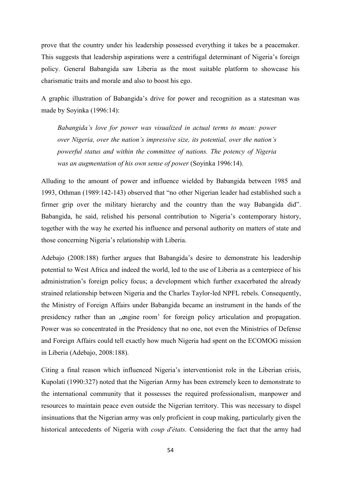prove that the country under his leadership possessed everything it takes be a peacemaker. This suggests that leadership aspirations were a centrifugal determinant of Nigeria"s foreign policy. General Babangida saw Liberia as the most suitable platform to showcase his charismatic traits and morale and also to boost his ego.

A graphic illustration of Babangida"s drive for power and recognition as a statesman was made by Soyinka (1996:14):

*Babangida's love for power was visualized in actual terms to mean: power over Nigeria, over the nation's impressive size, its potential, over the nation's powerful status and within the committee of nations. The potency of Nigeria was an augmentation of his own sense of power* (Soyinka 1996:14).

Alluding to the amount of power and influence wielded by Babangida between 1985 and 1993, Othman (1989:142-143) observed that "no other Nigerian leader had established such a firmer grip over the military hierarchy and the country than the way Babangida did". Babangida, he said, relished his personal contribution to Nigeria"s contemporary history, together with the way he exerted his influence and personal authority on matters of state and those concerning Nigeria"s relationship with Liberia.

Adebajo (2008:188) further argues that Babangida"s desire to demonstrate his leadership potential to West Africa and indeed the world, led to the use of Liberia as a centerpiece of his administration"s foreign policy focus; a development which further exacerbated the already strained relationship between Nigeria and the Charles Taylor-led NPFL rebels. Consequently, the Ministry of Foreign Affairs under Babangida became an instrument in the hands of the presidency rather than an "engine room' for foreign policy articulation and propagation. Power was so concentrated in the Presidency that no one, not even the Ministries of Defense and Foreign Affairs could tell exactly how much Nigeria had spent on the ECOMOG mission in Liberia (Adebajo, 2008:188).

Citing a final reason which influenced Nigeria"s interventionist role in the Liberian crisis, Kupolati (1990:327) noted that the Nigerian Army has been extremely keen to demonstrate to the international community that it possesses the required professionalism, manpower and resources to maintain peace even outside the Nigerian territory. This was necessary to dispel insinuations that the Nigerian army was only proficient in coup making, particularly given the historical antecedents of Nigeria with *coup d'états.* Considering the fact that the army had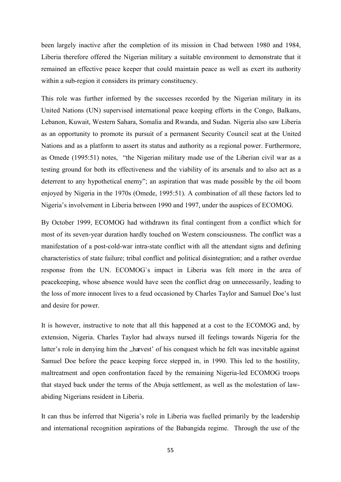been largely inactive after the completion of its mission in Chad between 1980 and 1984, Liberia therefore offered the Nigerian military a suitable environment to demonstrate that it remained an effective peace keeper that could maintain peace as well as exert its authority within a sub-region it considers its primary constituency.

This role was further informed by the successes recorded by the Nigerian military in its United Nations (UN) supervised international peace keeping efforts in the Congo, Balkans, Lebanon, Kuwait, Western Sahara, Somalia and Rwanda, and Sudan. Nigeria also saw Liberia as an opportunity to promote its pursuit of a permanent Security Council seat at the United Nations and as a platform to assert its status and authority as a regional power. Furthermore, as Omede (1995:51) notes, "the Nigerian military made use of the Liberian civil war as a testing ground for both its effectiveness and the viability of its arsenals and to also act as a deterrent to any hypothetical enemy"; an aspiration that was made possible by the oil boom enjoyed by Nigeria in the 1970s (Omede, 1995:51). A combination of all these factors led to Nigeria"s involvement in Liberia between 1990 and 1997, under the auspices of ECOMOG.

By October 1999, ECOMOG had withdrawn its final contingent from a conflict which for most of its seven-year duration hardly touched on Western consciousness. The conflict was a manifestation of a post-cold-war intra-state conflict with all the attendant signs and defining characteristics of state failure; tribal conflict and political disintegration; and a rather overdue response from the UN. ECOMOG`s impact in Liberia was felt more in the area of peacekeeping, whose absence would have seen the conflict drag on unnecessarily, leading to the loss of more innocent lives to a feud occasioned by Charles Taylor and Samuel Doe"s lust and desire for power.

It is however, instructive to note that all this happened at a cost to the ECOMOG and, by extension, Nigeria. Charles Taylor had always nursed ill feelings towards Nigeria for the latter's role in denying him the "harvest" of his conquest which he felt was inevitable against Samuel Doe before the peace keeping force stepped in, in 1990. This led to the hostility, maltreatment and open confrontation faced by the remaining Nigeria-led ECOMOG troops that stayed back under the terms of the Abuja settlement, as well as the molestation of lawabiding Nigerians resident in Liberia.

It can thus be inferred that Nigeria"s role in Liberia was fuelled primarily by the leadership and international recognition aspirations of the Babangida regime. Through the use of the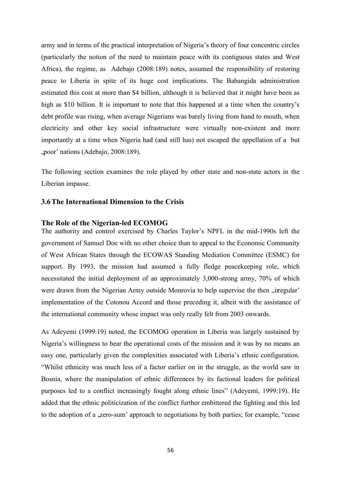army and in terms of the practical interpretation of Nigeria"s theory of four concentric circles (particularly the notion of the need to maintain peace with its contiguous states and West Africa), the regime, as Adebajo (2008:189) notes, assumed the responsibility of restoring peace to Liberia in spite of its huge cost implications. The Babangida administration estimated this cost at more than \$4 billion, although it is believed that it might have been as high as \$10 billion. It is important to note that this happened at a time when the country's debt profile was rising, when average Nigerians was barely living from hand to mouth, when electricity and other key social infrastructure were virtually non-existent and more importantly at a time when Nigeria had (and still has) not escaped the appellation of a but "poor' nations (Adebajo, 2008:189).

The following section examines the role played by other state and non-state actors in the Liberian impasse.

## **3.6The International Dimension to the Crisis**

#### **The Role of the Nigerian-led ECOMOG**

The authority and control exercised by Charles Taylor"s NPFL in the mid-1990s left the government of Samuel Doe with no other choice than to appeal to the Economic Community of West African States through the ECOWAS Standing Mediation Committee (ESMC) for support. By 1993, the mission had assumed a fully fledge peacekeeping role, which necessitated the initial deployment of an approximately 3,000-strong army, 70% of which were drawn from the Nigerian Army outside Monrovia to help supervise the then "irregular" implementation of the Cotonou Accord and those preceding it, albeit with the assistance of the international community whose impact was only really felt from 2003 onwards.

As Adeyemi (1999:19) noted, the ECOMOG operation in Liberia was largely sustained by Nigeria"s willingness to bear the operational costs of the mission and it was by no means an easy one, particularly given the complexities associated with Liberia's ethnic configuration. "Whilst ethnicity was much less of a factor earlier on in the struggle, as the world saw in Bosnia, where the manipulation of ethnic differences by its factional leaders for political purposes led to a conflict increasingly fought along ethnic lines" (Adeyemi, 1999:19). He added that the ethnic politicization of the conflict further embittered the fighting and this led to the adoption of a ,zero-sum' approach to negotiations by both parties; for example, "cease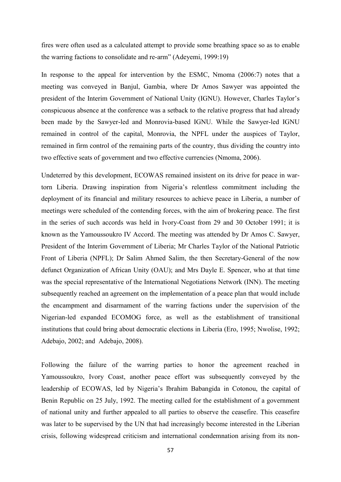fires were often used as a calculated attempt to provide some breathing space so as to enable the warring factions to consolidate and re-arm" (Adeyemi, 1999:19)

In response to the appeal for intervention by the ESMC, Nmoma (2006:7) notes that a meeting was conveyed in Banjul, Gambia, where Dr Amos Sawyer was appointed the president of the Interim Government of National Unity (IGNU). However, Charles Taylor"s conspicuous absence at the conference was a setback to the relative progress that had already been made by the Sawyer-led and Monrovia-based IGNU. While the Sawyer-led IGNU remained in control of the capital, Monrovia, the NPFL under the auspices of Taylor, remained in firm control of the remaining parts of the country, thus dividing the country into two effective seats of government and two effective currencies (Nmoma, 2006).

Undeterred by this development, ECOWAS remained insistent on its drive for peace in wartorn Liberia. Drawing inspiration from Nigeria"s relentless commitment including the deployment of its financial and military resources to achieve peace in Liberia, a number of meetings were scheduled of the contending forces, with the aim of brokering peace. The first in the series of such accords was held in Ivory-Coast from 29 and 30 October 1991; it is known as the Yamoussoukro IV Accord. The meeting was attended by Dr Amos C. Sawyer, President of the Interim Government of Liberia; Mr Charles Taylor of the National Patriotic Front of Liberia (NPFL); Dr Salim Ahmed Salim, the then Secretary-General of the now defunct Organization of African Unity (OAU); and Mrs Dayle E. Spencer, who at that time was the special representative of the International Negotiations Network (INN). The meeting subsequently reached an agreement on the implementation of a peace plan that would include the encampment and disarmament of the warring factions under the supervision of the Nigerian-led expanded ECOMOG force, as well as the establishment of transitional institutions that could bring about democratic elections in Liberia (Ero, 1995; Nwolise, 1992; Adebajo, 2002; and Adebajo, 2008).

Following the failure of the warring parties to honor the agreement reached in Yamoussoukro, Ivory Coast, another peace effort was subsequently conveyed by the leadership of ECOWAS, led by Nigeria"s Ibrahim Babangida in Cotonou, the capital of Benin Republic on 25 July, 1992. The meeting called for the establishment of a government of national unity and further appealed to all parties to observe the ceasefire. This ceasefire was later to be supervised by the UN that had increasingly become interested in the Liberian crisis, following widespread criticism and international condemnation arising from its non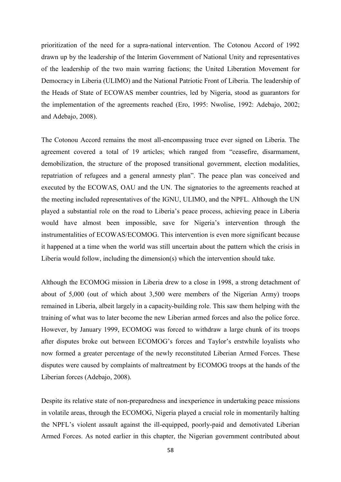prioritization of the need for a supra-national intervention. The Cotonou Accord of 1992 drawn up by the leadership of the Interim Government of National Unity and representatives of the leadership of the two main warring factions; the United Liberation Movement for Democracy in Liberia (ULIMO) and the National Patriotic Front of Liberia. The leadership of the Heads of State of ECOWAS member countries, led by Nigeria, stood as guarantors for the implementation of the agreements reached (Ero, 1995: Nwolise, 1992: Adebajo, 2002; and Adebajo, 2008).

The Cotonou Accord remains the most all-encompassing truce ever signed on Liberia. The agreement covered a total of 19 articles; which ranged from "ceasefire, disarmament, demobilization, the structure of the proposed transitional government, election modalities, repatriation of refugees and a general amnesty plan". The peace plan was conceived and executed by the ECOWAS, OAU and the UN. The signatories to the agreements reached at the meeting included representatives of the IGNU, ULIMO, and the NPFL. Although the UN played a substantial role on the road to Liberia"s peace process, achieving peace in Liberia would have almost been impossible, save for Nigeria's intervention through the instrumentalities of ECOWAS/ECOMOG. This intervention is even more significant because it happened at a time when the world was still uncertain about the pattern which the crisis in Liberia would follow, including the dimension(s) which the intervention should take.

Although the ECOMOG mission in Liberia drew to a close in 1998, a strong detachment of about of 5,000 (out of which about 3,500 were members of the Nigerian Army) troops remained in Liberia, albeit largely in a capacity-building role. This saw them helping with the training of what was to later become the new Liberian armed forces and also the police force. However, by January 1999, ECOMOG was forced to withdraw a large chunk of its troops after disputes broke out between ECOMOG"s forces and Taylor"s erstwhile loyalists who now formed a greater percentage of the newly reconstituted Liberian Armed Forces. These disputes were caused by complaints of maltreatment by ECOMOG troops at the hands of the Liberian forces (Adebajo, 2008).

Despite its relative state of non-preparedness and inexperience in undertaking peace missions in volatile areas, through the ECOMOG, Nigeria played a crucial role in momentarily halting the NPFL"s violent assault against the ill-equipped, poorly-paid and demotivated Liberian Armed Forces. As noted earlier in this chapter, the Nigerian government contributed about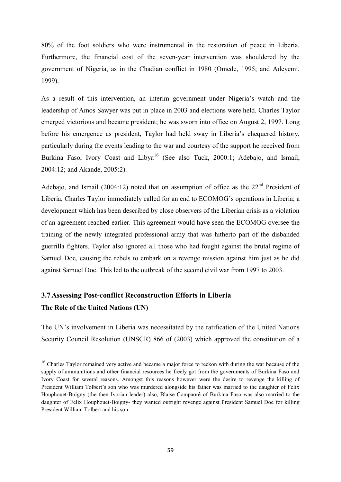80% of the foot soldiers who were instrumental in the restoration of peace in Liberia. Furthermore, the financial cost of the seven-year intervention was shouldered by the government of Nigeria, as in the Chadian conflict in 1980 (Omede, 1995; and Adeyemi, 1999).

As a result of this intervention, an interim government under Nigeria's watch and the leadership of Amos Sawyer was put in place in 2003 and elections were held. Charles Taylor emerged victorious and became president; he was sworn into office on August 2, 1997. Long before his emergence as president, Taylor had held sway in Liberia"s chequered history, particularly during the events leading to the war and courtesy of the support he received from Burkina Faso, Ivory Coast and Libya<sup>16</sup> (See also Tuck, 2000:1; Adebajo, and Ismail, 2004:12; and Akande, 2005:2).

Adebajo, and Ismail (2004:12) noted that on assumption of office as the  $22<sup>nd</sup>$  President of Liberia, Charles Taylor immediately called for an end to ECOMOG"s operations in Liberia; a development which has been described by close observers of the Liberian crisis as a violation of an agreement reached earlier. This agreement would have seen the ECOMOG oversee the training of the newly integrated professional army that was hitherto part of the disbanded guerrilla fighters. Taylor also ignored all those who had fought against the brutal regime of Samuel Doe, causing the rebels to embark on a revenge mission against him just as he did against Samuel Doe. This led to the outbreak of the second civil war from 1997 to 2003.

# **3.7Assessing Post-conflict Reconstruction Efforts in Liberia The Role of the United Nations (UN)**

1

The UN"s involvement in Liberia was necessitated by the ratification of the United Nations Security Council Resolution (UNSCR) 866 of (2003) which approved the constitution of a

<sup>&</sup>lt;sup>16</sup> Charles Taylor remained very active and became a major force to reckon with during the war because of the supply of ammunitions and other financial resources he freely got from the governments of Burkina Faso and Ivory Coast for several reasons. Amongst this reasons however were the desire to revenge the killing of President William Tolbert's son who was murdered alongside his father was married to the daughter of Felix Houphouet-Boigny (the then Ivorian leader) also, Blaise Compaoré of Burkina Faso was also married to the daughter of Felix Houphouet-Boigny- they wanted outright revenge against President Samuel Doe for killing President William Tolbert and his son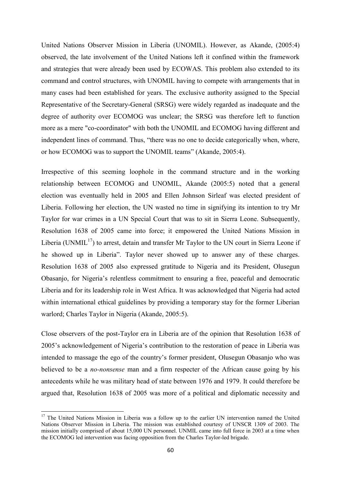United Nations Observer Mission in Liberia (UNOMIL). However, as Akande, (2005:4) observed, the late involvement of the United Nations left it confined within the framework and strategies that were already been used by ECOWAS. This problem also extended to its command and control structures, with UNOMIL having to compete with arrangements that in many cases had been established for years. The exclusive authority assigned to the Special Representative of the Secretary-General (SRSG) were widely regarded as inadequate and the degree of authority over ECOMOG was unclear; the SRSG was therefore left to function more as a mere "co-coordinator" with both the UNOMIL and ECOMOG having different and independent lines of command. Thus, "there was no one to decide categorically when, where, or how ECOMOG was to support the UNOMIL teams" (Akande, 2005:4).

Irrespective of this seeming loophole in the command structure and in the working relationship between ECOMOG and UNOMIL, Akande (2005:5) noted that a general election was eventually held in 2005 and Ellen Johnson Sirleaf was elected president of Liberia. Following her election, the UN wasted no time in signifying its intention to try Mr Taylor for war crimes in a UN Special Court that was to sit in Sierra Leone. Subsequently, Resolution 1638 of 2005 came into force; it empowered the United Nations Mission in Liberia (UNMIL<sup>17</sup>) to arrest, detain and transfer Mr Taylor to the UN court in Sierra Leone if he showed up in Liberia". Taylor never showed up to answer any of these charges. Resolution 1638 of 2005 also expressed gratitude to Nigeria and its President, Olusegun Obasanjo, for Nigeria"s relentless commitment to ensuring a free, peaceful and democratic Liberia and for its leadership role in West Africa. It was acknowledged that Nigeria had acted within international ethical guidelines by providing a temporary stay for the former Liberian warlord; Charles Taylor in Nigeria (Akande, 2005:5).

Close observers of the post-Taylor era in Liberia are of the opinion that Resolution 1638 of 2005"s acknowledgement of Nigeria"s contribution to the restoration of peace in Liberia was intended to massage the ego of the country"s former president, Olusegun Obasanjo who was believed to be a *no-nonsense* man and a firm respecter of the African cause going by his antecedents while he was military head of state between 1976 and 1979. It could therefore be argued that, Resolution 1638 of 2005 was more of a political and diplomatic necessity and

**.** 

<sup>&</sup>lt;sup>17</sup> The United Nations Mission in Liberia was a follow up to the earlier UN intervention named the United Nations Observer Mission in Liberia. The mission was established courtesy of UNSCR 1309 of 2003. The mission initially comprised of about 15,000 UN personnel. UNMIL came into full force in 2003 at a time when the ECOMOG led intervention was facing opposition from the Charles Taylor-led brigade.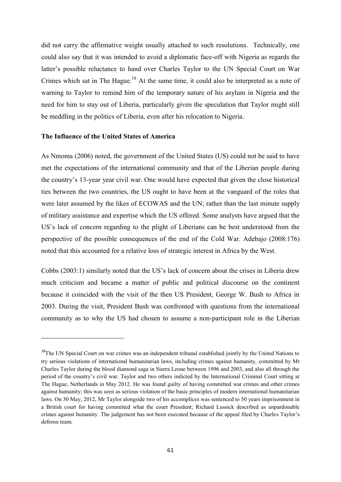did not carry the affirmative weight usually attached to such resolutions. Technically, one could also say that it was intended to avoid a diplomatic face-off with Nigeria as regards the latter"s possible reluctance to hand over Charles Taylor to the UN Special Court on War Crimes which sat in The Hague.<sup>18</sup> At the same time, it could also be interpreted as a note of warning to Taylor to remind him of the temporary nature of his asylum in Nigeria and the need for him to stay out of Liberia, particularly given the speculation that Taylor might still be meddling in the politics of Liberia, even after his relocation to Nigeria.

## **The Influence of the United States of America**

**.** 

As Nmoma (2006) noted, the government of the United States (US) could not be said to have met the expectations of the international community and that of the Liberian people during the country"s 13-year year civil war. One would have expected that given the close historical ties between the two countries, the US ought to have been at the vanguard of the roles that were later assumed by the likes of ECOWAS and the UN; rather than the last minute supply of military assistance and expertise which the US offered. Some analysts have argued that the US"s lack of concern regarding to the plight of Liberians can be best understood from the perspective of the possible consequences of the end of the Cold War. Adebajo (2008:176) noted that this accounted for a relative loss of strategic interest in Africa by the West.

Cobbs (2003:1) similarly noted that the US"s lack of concern about the crises in Liberia drew much criticism and became a matter of public and political discourse on the continent because it coincided with the visit of the then US President, George W. Bush to Africa in 2003. During the visit, President Bush was confronted with questions from the international community as to why the US had chosen to assume a non-participant role in the Liberian

<sup>&</sup>lt;sup>18</sup>The UN Special Court on war crimes was an independent tribunal established jointly by the United Nations to try serious violations of international humanitarian laws, including crimes against humanity, committed by Mr Charles Taylor during the blood diamond saga in Sierra Leone between 1996 and 2003, and also all through the period of the country"s civil war. Taylor and two others indicted by the International Criminal Court sitting at The Hague, Netherlands in May 2012. He was found guilty of having committed war crimes and other crimes against humanity; this was seen as serious violation of the basic principles of modern international humanitarian laws. On 30 May, 2012, Mr Taylor alongside two of his accomplices was sentenced to 50 years imprisonment in a British court for having committed what the court President; Richard Lussick described as unpardonable crimes against humanity. The judgement has not been executed because of the appeal filed by Charles Taylor"s defense team.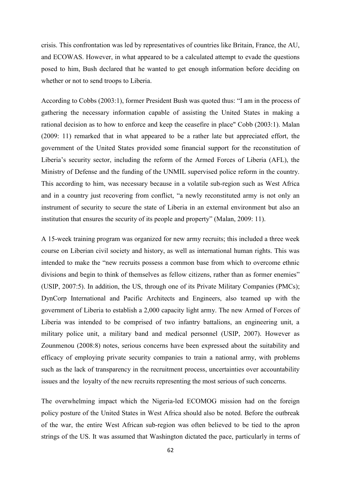crisis. This confrontation was led by representatives of countries like Britain, France, the AU, and ECOWAS. However, in what appeared to be a calculated attempt to evade the questions posed to him, Bush declared that he wanted to get enough information before deciding on whether or not to send troops to Liberia.

According to Cobbs (2003:1), former President Bush was quoted thus: "I am in the process of gathering the necessary information capable of assisting the United States in making a rational decision as to how to enforce and keep the ceasefire in place" Cobb (2003:1). Malan (2009: 11) remarked that in what appeared to be a rather late but appreciated effort, the government of the United States provided some financial support for the reconstitution of Liberia"s security sector, including the reform of the Armed Forces of Liberia (AFL), the Ministry of Defense and the funding of the UNMIL supervised police reform in the country. This according to him, was necessary because in a volatile sub-region such as West Africa and in a country just recovering from conflict, "a newly reconstituted army is not only an instrument of security to secure the state of Liberia in an external environment but also an institution that ensures the security of its people and property" (Malan, 2009: 11).

A 15-week training program was organized for new army recruits; this included a three week course on Liberian civil society and history, as well as international human rights. This was intended to make the "new recruits possess a common base from which to overcome ethnic divisions and begin to think of themselves as fellow citizens, rather than as former enemies" (USIP, 2007:5). In addition, the US, through one of its Private Military Companies (PMCs); DynCorp International and Pacific Architects and Engineers, also teamed up with the government of Liberia to establish a 2,000 capacity light army. The new Armed of Forces of Liberia was intended to be comprised of two infantry battalions, an engineering unit, a military police unit, a military band and medical personnel (USIP, 2007). However as Zounmenou (2008:8) notes, serious concerns have been expressed about the suitability and efficacy of employing private security companies to train a national army, with problems such as the lack of transparency in the recruitment process, uncertainties over accountability issues and the loyalty of the new recruits representing the most serious of such concerns.

The overwhelming impact which the Nigeria-led ECOMOG mission had on the foreign policy posture of the United States in West Africa should also be noted. Before the outbreak of the war, the entire West African sub-region was often believed to be tied to the apron strings of the US. It was assumed that Washington dictated the pace, particularly in terms of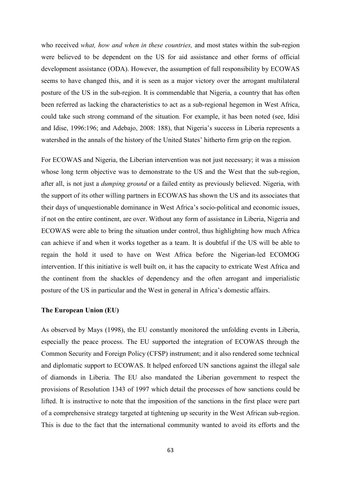who received *what, how and when in these countries,* and most states within the sub-region were believed to be dependent on the US for aid assistance and other forms of official development assistance (ODA). However, the assumption of full responsibility by ECOWAS seems to have changed this, and it is seen as a major victory over the arrogant multilateral posture of the US in the sub-region. It is commendable that Nigeria, a country that has often been referred as lacking the characteristics to act as a sub-regional hegemon in West Africa, could take such strong command of the situation. For example, it has been noted (see, Idisi and Idise, 1996:196; and Adebajo, 2008: 188), that Nigeria"s success in Liberia represents a watershed in the annals of the history of the United States' hitherto firm grip on the region.

For ECOWAS and Nigeria, the Liberian intervention was not just necessary; it was a mission whose long term objective was to demonstrate to the US and the West that the sub-region, after all, is not just a *dumping ground* or a failed entity as previously believed. Nigeria, with the support of its other willing partners in ECOWAS has shown the US and its associates that their days of unquestionable dominance in West Africa"s socio-political and economic issues, if not on the entire continent, are over. Without any form of assistance in Liberia, Nigeria and ECOWAS were able to bring the situation under control, thus highlighting how much Africa can achieve if and when it works together as a team. It is doubtful if the US will be able to regain the hold it used to have on West Africa before the Nigerian-led ECOMOG intervention. If this initiative is well built on, it has the capacity to extricate West Africa and the continent from the shackles of dependency and the often arrogant and imperialistic posture of the US in particular and the West in general in Africa"s domestic affairs.

#### **The European Union (EU)**

As observed by Mays (1998), the EU constantly monitored the unfolding events in Liberia, especially the peace process. The EU supported the integration of ECOWAS through the Common Security and Foreign Policy (CFSP) instrument; and it also rendered some technical and diplomatic support to ECOWAS. It helped enforced UN sanctions against the illegal sale of diamonds in Liberia. The EU also mandated the Liberian government to respect the provisions of Resolution 1343 of 1997 which detail the processes of how sanctions could be lifted. It is instructive to note that the imposition of the sanctions in the first place were part of a comprehensive strategy targeted at tightening up security in the West African sub-region. This is due to the fact that the international community wanted to avoid its efforts and the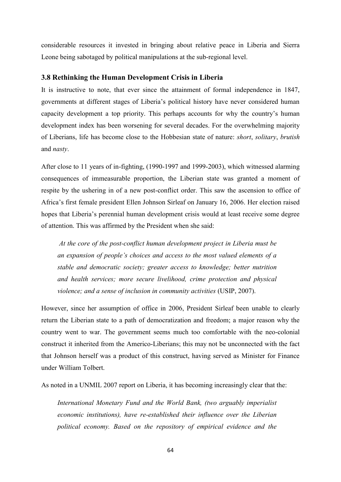considerable resources it invested in bringing about relative peace in Liberia and Sierra Leone being sabotaged by political manipulations at the sub-regional level.

#### **3.8 Rethinking the Human Development Crisis in Liberia**

It is instructive to note, that ever since the attainment of formal independence in 1847, governments at different stages of Liberia"s political history have never considered human capacity development a top priority. This perhaps accounts for why the country"s human development index has been worsening for several decades. For the overwhelming majority of Liberians, life has become close to the Hobbesian state of nature: *short*, *solitary*, *brutish* and *nasty*.

After close to 11 years of in-fighting, (1990-1997 and 1999-2003), which witnessed alarming consequences of immeasurable proportion, the Liberian state was granted a moment of respite by the ushering in of a new post-conflict order. This saw the ascension to office of Africa"s first female president Ellen Johnson Sirleaf on January 16, 2006. Her election raised hopes that Liberia's perennial human development crisis would at least receive some degree of attention. This was affirmed by the President when she said:

 *At the core of the post-conflict human development project in Liberia must be an expansion of people's choices and access to the most valued elements of a stable and democratic society; greater access to knowledge; better nutrition and health services; more secure livelihood, crime protection and physical violence; and a sense of inclusion in community activities* (USIP, 2007).

However, since her assumption of office in 2006, President Sirleaf been unable to clearly return the Liberian state to a path of democratization and freedom; a major reason why the country went to war. The government seems much too comfortable with the neo-colonial construct it inherited from the Americo-Liberians; this may not be unconnected with the fact that Johnson herself was a product of this construct, having served as Minister for Finance under William Tolbert.

As noted in a UNMIL 2007 report on Liberia, it has becoming increasingly clear that the:

*International Monetary Fund and the World Bank, (two arguably imperialist economic institutions), have re-established their influence over the Liberian political economy. Based on the repository of empirical evidence and the*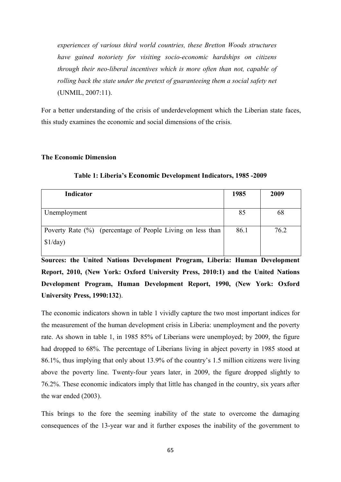*experiences of various third world countries, these Bretton Woods structures have gained notoriety for visiting socio-economic hardships on citizens through their neo-liberal incentives which is more often than not, capable of rolling back the state under the pretext of guaranteeing them a social safety net* (UNMIL, 2007:11).

For a better understanding of the crisis of underdevelopment which the Liberian state faces, this study examines the economic and social dimensions of the crisis.

#### **The Economic Dimension**

| Indicator                                                  | 1985 | 2009 |
|------------------------------------------------------------|------|------|
|                                                            |      |      |
| Unemployment                                               | 85   | 68   |
|                                                            |      |      |
| Poverty Rate (%) (percentage of People Living on less than | 86.1 | 76.2 |
| \$1/day)                                                   |      |      |

**Table 1: Liberia's Economic Development Indicators, 1985 -2009** 

**Sources: the United Nations Development Program, Liberia: Human Development Report, 2010, (New York: Oxford University Press, 2010:1) and the United Nations Development Program, Human Development Report, 1990, (New York: Oxford University Press, 1990:132**).

The economic indicators shown in table 1 vividly capture the two most important indices for the measurement of the human development crisis in Liberia: unemployment and the poverty rate. As shown in table 1, in 1985 85% of Liberians were unemployed; by 2009, the figure had dropped to 68%. The percentage of Liberians living in abject poverty in 1985 stood at 86.1%, thus implying that only about 13.9% of the country"s 1.5 million citizens were living above the poverty line. Twenty-four years later, in 2009, the figure dropped slightly to 76.2%. These economic indicators imply that little has changed in the country, six years after the war ended (2003).

This brings to the fore the seeming inability of the state to overcome the damaging consequences of the 13-year war and it further exposes the inability of the government to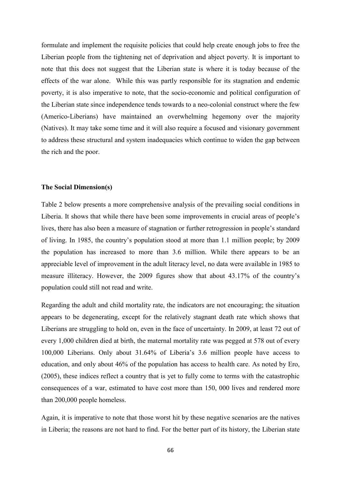formulate and implement the requisite policies that could help create enough jobs to free the Liberian people from the tightening net of deprivation and abject poverty. It is important to note that this does not suggest that the Liberian state is where it is today because of the effects of the war alone. While this was partly responsible for its stagnation and endemic poverty, it is also imperative to note, that the socio-economic and political configuration of the Liberian state since independence tends towards to a neo-colonial construct where the few (Americo-Liberians) have maintained an overwhelming hegemony over the majority (Natives). It may take some time and it will also require a focused and visionary government to address these structural and system inadequacies which continue to widen the gap between the rich and the poor.

## **The Social Dimension(s)**

Table 2 below presents a more comprehensive analysis of the prevailing social conditions in Liberia. It shows that while there have been some improvements in crucial areas of people"s lives, there has also been a measure of stagnation or further retrogression in people"s standard of living. In 1985, the country"s population stood at more than 1.1 million people; by 2009 the population has increased to more than 3.6 million. While there appears to be an appreciable level of improvement in the adult literacy level, no data were available in 1985 to measure illiteracy. However, the 2009 figures show that about 43.17% of the country"s population could still not read and write.

Regarding the adult and child mortality rate, the indicators are not encouraging; the situation appears to be degenerating, except for the relatively stagnant death rate which shows that Liberians are struggling to hold on, even in the face of uncertainty. In 2009, at least 72 out of every 1,000 children died at birth, the maternal mortality rate was pegged at 578 out of every 100,000 Liberians. Only about 31.64% of Liberia"s 3.6 million people have access to education, and only about 46% of the population has access to health care. As noted by Ero, (2005), these indices reflect a country that is yet to fully come to terms with the catastrophic consequences of a war, estimated to have cost more than 150, 000 lives and rendered more than 200,000 people homeless.

Again, it is imperative to note that those worst hit by these negative scenarios are the natives in Liberia; the reasons are not hard to find. For the better part of its history, the Liberian state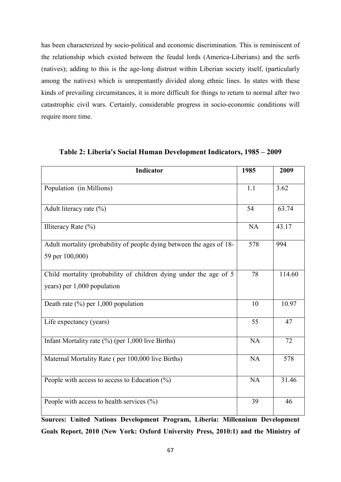has been characterized by socio-political and economic discrimination. This is reminiscent of the relationship which existed between the feudal lords (America-Liberians) and the serfs (natives); adding to this is the age-long distrust within Liberian society itself, (particularly among the natives) which is unrepentantly divided along ethnic lines. In states with these kinds of prevailing circumstances, it is more difficult for things to return to normal after two catastrophic civil wars. Certainly, considerable progress in socio-economic conditions will require more time.

| <b>Indicator</b>                                                                                 | 1985      | 2009   |
|--------------------------------------------------------------------------------------------------|-----------|--------|
| Population (in Millions)                                                                         | 1.1       | 3.62   |
| Adult literacy rate $(\% )$                                                                      | 54        | 63.74  |
| Illiteracy Rate $(\% )$                                                                          | <b>NA</b> | 43.17  |
| Adult mortality (probability of people dying between the ages of 18-<br>59 per 100,000)          | 578       | 994    |
| Child mortality (probability of children dying under the age of 5<br>years) per 1,000 population | 78        | 114.60 |
| Death rate $(\% )$ per 1,000 population                                                          | 10        | 10.97  |
| Life expectancy (years)                                                                          | 55        | 47     |
| Infant Mortality rate (%) (per 1,000 live Births)                                                | <b>NA</b> | 72     |
| Maternal Mortality Rate (per 100,000 live Births)                                                | <b>NA</b> | 578    |
| People with access to access to Education $(\%)$                                                 | NA        | 31.46  |
| People with access to health services $(\% )$                                                    | 39        | 46     |

**Table 2: Liberia's Social Human Development Indicators, 1985 – 2009** 

**Sources: United Nations Development Program, Liberia: Millennium Development Goals Report, 2010 (New York: Oxford University Press, 2010:1) and the Ministry of**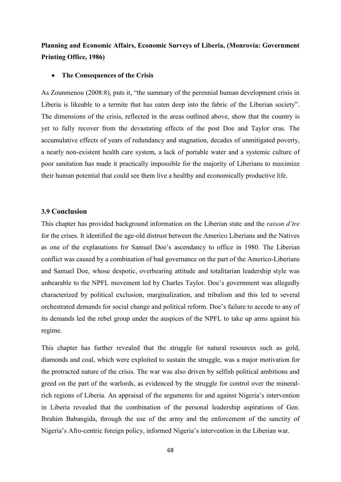# **Planning and Economic Affairs, Economic Surveys of Liberia, (Monrovia: Government Printing Office, 1986)**

#### **The Consequences of the Crisis**

As Zounmenou (2008:8), puts it, "the summary of the perennial human development crisis in Liberia is likeable to a termite that has eaten deep into the fabric of the Liberian society". The dimensions of the crisis, reflected in the areas outlined above, show that the country is yet to fully recover from the devastating effects of the post Doe and Taylor eras. The accumulative effects of years of redundancy and stagnation, decades of unmitigated poverty, a nearly non-existent health care system, a lack of portable water and a systemic culture of poor sanitation has made it practically impossible for the majority of Liberians to maximize their human potential that could see them live a healthy and economically productive life.

## **3.9 Conclusion**

This chapter has provided background information on the Liberian state and the *raison d'tre* for the crises. It identified the age-old distrust between the Americo Liberians and the Natives as one of the explanations for Samuel Doe's ascendancy to office in 1980. The Liberian conflict was caused by a combination of bad governance on the part of the Americo-Liberians and Samuel Doe, whose despotic, overbearing attitude and totalitarian leadership style was unbearable to the NPFL movement led by Charles Taylor. Doe"s government was allegedly characterized by political exclusion, marginalization, and tribalism and this led to several orchestrated demands for social change and political reform. Doe"s failure to accede to any of its demands led the rebel group under the auspices of the NPFL to take up arms against his regime.

This chapter has further revealed that the struggle for natural resources such as gold, diamonds and coal, which were exploited to sustain the struggle, was a major motivation for the protracted nature of the crisis. The war was also driven by selfish political ambitions and greed on the part of the warlords, as evidenced by the struggle for control over the mineralrich regions of Liberia. An appraisal of the arguments for and against Nigeria"s intervention in Liberia revealed that the combination of the personal leadership aspirations of Gen. Ibrahim Babangida, through the use of the army and the enforcement of the sanctity of Nigeria"s Afro-centric foreign policy, informed Nigeria"s intervention in the Liberian war.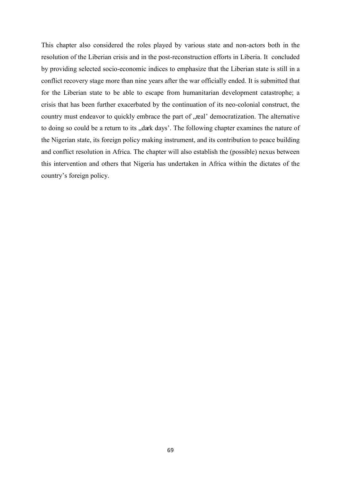This chapter also considered the roles played by various state and non-actors both in the resolution of the Liberian crisis and in the post-reconstruction efforts in Liberia. It concluded by providing selected socio-economic indices to emphasize that the Liberian state is still in a conflict recovery stage more than nine years after the war officially ended. It is submitted that for the Liberian state to be able to escape from humanitarian development catastrophe; a crisis that has been further exacerbated by the continuation of its neo-colonial construct, the country must endeavor to quickly embrace the part of "real" democratization. The alternative to doing so could be a return to its "dark days". The following chapter examines the nature of the Nigerian state, its foreign policy making instrument, and its contribution to peace building and conflict resolution in Africa. The chapter will also establish the (possible) nexus between this intervention and others that Nigeria has undertaken in Africa within the dictates of the country"s foreign policy.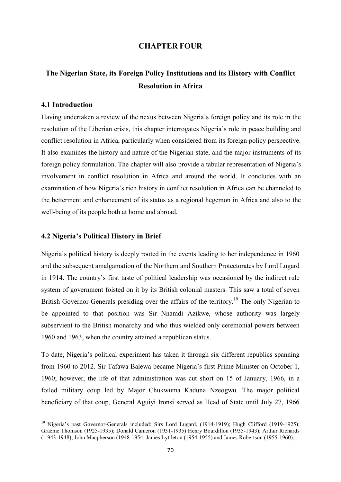## **CHAPTER FOUR**

# **The Nigerian State, its Foreign Policy Institutions and its History with Conflict Resolution in Africa**

## **4.1 Introduction**

1

Having undertaken a review of the nexus between Nigeria"s foreign policy and its role in the resolution of the Liberian crisis, this chapter interrogates Nigeria"s role in peace building and conflict resolution in Africa, particularly when considered from its foreign policy perspective. It also examines the history and nature of the Nigerian state, and the major instruments of its foreign policy formulation. The chapter will also provide a tabular representation of Nigeria"s involvement in conflict resolution in Africa and around the world. It concludes with an examination of how Nigeria"s rich history in conflict resolution in Africa can be channeled to the betterment and enhancement of its status as a regional hegemon in Africa and also to the well-being of its people both at home and abroad.

#### **4.2 Nigeria's Political History in Brief**

Nigeria's political history is deeply rooted in the events leading to her independence in 1960 and the subsequent amalgamation of the Northern and Southern Protectorates by Lord Lugard in 1914. The country"s first taste of political leadership was occasioned by the indirect rule system of government foisted on it by its British colonial masters. This saw a total of seven British Governor-Generals presiding over the affairs of the territory.<sup>19</sup> The only Nigerian to be appointed to that position was Sir Nnamdi Azikwe, whose authority was largely subservient to the British monarchy and who thus wielded only ceremonial powers between 1960 and 1963, when the country attained a republican status.

To date, Nigeria"s political experiment has taken it through six different republics spanning from 1960 to 2012. Sir Tafawa Balewa became Nigeria"s first Prime Minister on October 1, 1960; however, the life of that administration was cut short on 15 of January, 1966, in a foiled military coup led by Major Chukwuma Kaduna Nzeogwu. The major political beneficiary of that coup, General Aguiyi Ironsi served as Head of State until July 27, 1966

<sup>&</sup>lt;sup>19</sup> Nigeria's past Governor-Generals included: Sirs Lord Lugard, (1914-1919); Hugh Clifford (1919-1925); Graeme Thomson (1925-1935); Donald Cameron (1931-1935) Henry Bourdillon (1935-1943); Arthur Richards ( 1943-1948); John Macpherson (1948-1954; James Lyttleton (1954-1955) and James Robertson (1955-1960).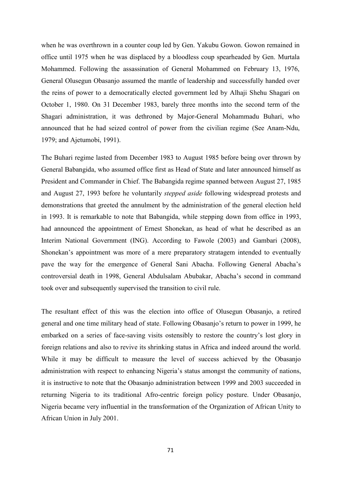when he was overthrown in a counter coup led by Gen. Yakubu Gowon. Gowon remained in office until 1975 when he was displaced by a bloodless coup spearheaded by Gen. Murtala Mohammed. Following the assassination of General Mohammed on February 13, 1976, General Olusegun Obasanjo assumed the mantle of leadership and successfully handed over the reins of power to a democratically elected government led by Alhaji Shehu Shagari on October 1, 1980. On 31 December 1983, barely three months into the second term of the Shagari administration, it was dethroned by Major-General Mohammadu Buhari, who announced that he had seized control of power from the civilian regime (See Anam-Ndu, 1979; and Ajetumobi, 1991).

The Buhari regime lasted from December 1983 to August 1985 before being over thrown by General Babangida, who assumed office first as Head of State and later announced himself as President and Commander in Chief. The Babangida regime spanned between August 27, 1985 and August 27, 1993 before he voluntarily *stepped aside* following widespread protests and demonstrations that greeted the annulment by the administration of the general election held in 1993. It is remarkable to note that Babangida, while stepping down from office in 1993, had announced the appointment of Ernest Shonekan, as head of what he described as an Interim National Government (ING). According to Fawole (2003) and Gambari (2008), Shonekan"s appointment was more of a mere preparatory stratagem intended to eventually pave the way for the emergence of General Sani Abacha. Following General Abacha"s controversial death in 1998, General Abdulsalam Abubakar, Abacha"s second in command took over and subsequently supervised the transition to civil rule.

The resultant effect of this was the election into office of Olusegun Obasanjo, a retired general and one time military head of state. Following Obasanjo"s return to power in 1999, he embarked on a series of face-saving visits ostensibly to restore the country"s lost glory in foreign relations and also to revive its shrinking status in Africa and indeed around the world. While it may be difficult to measure the level of success achieved by the Obasanjo administration with respect to enhancing Nigeria"s status amongst the community of nations, it is instructive to note that the Obasanjo administration between 1999 and 2003 succeeded in returning Nigeria to its traditional Afro-centric foreign policy posture. Under Obasanjo, Nigeria became very influential in the transformation of the Organization of African Unity to African Union in July 2001.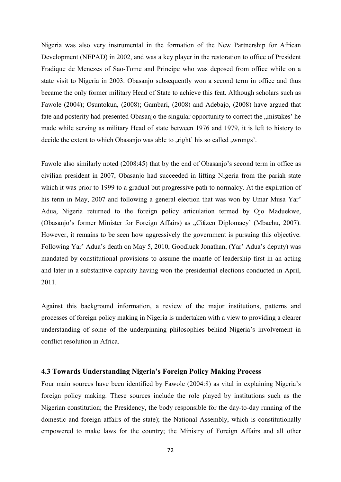Nigeria was also very instrumental in the formation of the New Partnership for African Development (NEPAD) in 2002, and was a key player in the restoration to office of President Fradique de Menezes of Sao-Tome and Principe who was deposed from office while on a state visit to Nigeria in 2003. Obasanjo subsequently won a second term in office and thus became the only former military Head of State to achieve this feat. Although scholars such as Fawole (2004); Osuntokun, (2008); Gambari, (2008) and Adebajo, (2008) have argued that fate and posterity had presented Obasanjo the singular opportunity to correct the "mistakes' he made while serving as military Head of state between 1976 and 1979, it is left to history to decide the extent to which Obasanjo was able to , right' his so called , wrongs'.

Fawole also similarly noted (2008:45) that by the end of Obasanjo's second term in office as civilian president in 2007, Obasanjo had succeeded in lifting Nigeria from the pariah state which it was prior to 1999 to a gradual but progressive path to normalcy. At the expiration of his term in May, 2007 and following a general election that was won by Umar Musa Yar' Adua, Nigeria returned to the foreign policy articulation termed by Ojo Maduekwe, (Obasanjo's former Minister for Foreign Affairs) as "Citizen Diplomacy' (Mbachu, 2007). However, it remains to be seen how aggressively the government is pursuing this objective. Following Yar" Adua"s death on May 5, 2010, Goodluck Jonathan, (Yar" Adua"s deputy) was mandated by constitutional provisions to assume the mantle of leadership first in an acting and later in a substantive capacity having won the presidential elections conducted in April, 2011.

Against this background information, a review of the major institutions, patterns and processes of foreign policy making in Nigeria is undertaken with a view to providing a clearer understanding of some of the underpinning philosophies behind Nigeria's involvement in conflict resolution in Africa.

## **4.3 Towards Understanding Nigeria's Foreign Policy Making Process**

Four main sources have been identified by Fawole (2004:8) as vital in explaining Nigeria"s foreign policy making. These sources include the role played by institutions such as the Nigerian constitution; the Presidency, the body responsible for the day-to-day running of the domestic and foreign affairs of the state); the National Assembly, which is constitutionally empowered to make laws for the country; the Ministry of Foreign Affairs and all other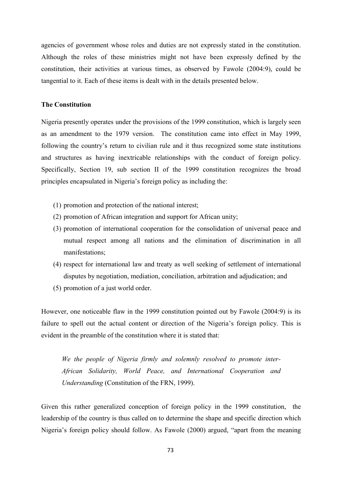agencies of government whose roles and duties are not expressly stated in the constitution. Although the roles of these ministries might not have been expressly defined by the constitution, their activities at various times, as observed by Fawole (2004:9), could be tangential to it. Each of these items is dealt with in the details presented below.

#### **The Constitution**

Nigeria presently operates under the provisions of the 1999 constitution, which is largely seen as an amendment to the 1979 version. The constitution came into effect in May 1999, following the country"s return to civilian rule and it thus recognized some state institutions and structures as having inextricable relationships with the conduct of foreign policy. Specifically, Section 19, sub section II of the 1999 constitution recognizes the broad principles encapsulated in Nigeria"s foreign policy as including the:

- (1) promotion and protection of the national interest;
- (2) promotion of African integration and support for African unity;
- (3) promotion of international cooperation for the consolidation of universal peace and mutual respect among all nations and the elimination of discrimination in all manifestations;
- (4) respect for international law and treaty as well seeking of settlement of international disputes by negotiation, mediation, conciliation, arbitration and adjudication; and
- (5) promotion of a just world order.

However, one noticeable flaw in the 1999 constitution pointed out by Fawole (2004:9) is its failure to spell out the actual content or direction of the Nigeria's foreign policy. This is evident in the preamble of the constitution where it is stated that:

*We the people of Nigeria firmly and solemnly resolved to promote inter-African Solidarity, World Peace, and International Cooperation and Understanding* (Constitution of the FRN, 1999).

Given this rather generalized conception of foreign policy in the 1999 constitution, the leadership of the country is thus called on to determine the shape and specific direction which Nigeria"s foreign policy should follow. As Fawole (2000) argued, "apart from the meaning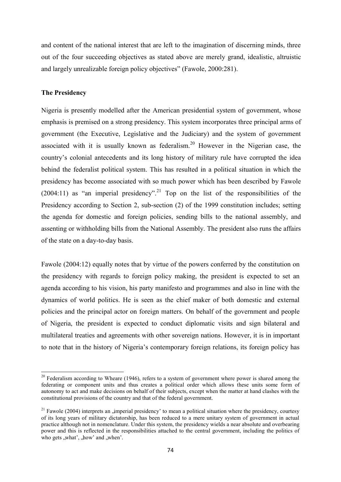and content of the national interest that are left to the imagination of discerning minds, three out of the four succeeding objectives as stated above are merely grand, idealistic, altruistic and largely unrealizable foreign policy objectives" (Fawole, 2000:281).

## **The Presidency**

**.** 

Nigeria is presently modelled after the American presidential system of government, whose emphasis is premised on a strong presidency. This system incorporates three principal arms of government (the Executive, Legislative and the Judiciary) and the system of government associated with it is usually known as federalism.<sup>20</sup> However in the Nigerian case, the country"s colonial antecedents and its long history of military rule have corrupted the idea behind the federalist political system. This has resulted in a political situation in which the presidency has become associated with so much power which has been described by Fawole (2004:11) as "an imperial presidency".<sup>21</sup> Top on the list of the responsibilities of the Presidency according to Section 2, sub-section (2) of the 1999 constitution includes; setting the agenda for domestic and foreign policies, sending bills to the national assembly, and assenting or withholding bills from the National Assembly. The president also runs the affairs of the state on a day-to-day basis.

Fawole (2004:12) equally notes that by virtue of the powers conferred by the constitution on the presidency with regards to foreign policy making, the president is expected to set an agenda according to his vision, his party manifesto and programmes and also in line with the dynamics of world politics. He is seen as the chief maker of both domestic and external policies and the principal actor on foreign matters. On behalf of the government and people of Nigeria, the president is expected to conduct diplomatic visits and sign bilateral and multilateral treaties and agreements with other sovereign nations. However, it is in important to note that in the history of Nigeria"s contemporary foreign relations, its foreign policy has

 $20$  Federalism according to Wheare (1946), refers to a system of government where power is shared among the federating or component units and thus creates a political order which allows these units some form of autonomy to act and make decisions on behalf of their subjects, except when the matter at hand clashes with the constitutional provisions of the country and that of the federal government.

 $21$  Fawole (2004) interprets an imperial presidency' to mean a political situation where the presidency, courtesy of its long years of military dictatorship, has been reduced to a mere unitary system of government in actual practice although not in nomenclature. Under this system, the presidency wields a near absolute and overbearing power and this is reflected in the responsibilities attached to the central government, including the politics of who gets "what", "how" and "when".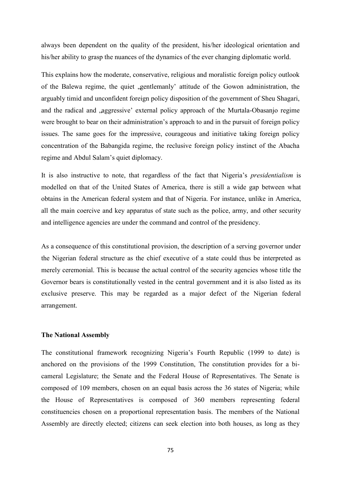always been dependent on the quality of the president, his/her ideological orientation and his/her ability to grasp the nuances of the dynamics of the ever changing diplomatic world.

This explains how the moderate, conservative, religious and moralistic foreign policy outlook of the Balewa regime, the quiet , gentlemanly' attitude of the Gowon administration, the arguably timid and unconfident foreign policy disposition of the government of Sheu Shagari, and the radical and ,aggressive' external policy approach of the Murtala-Obasanjo regime were brought to bear on their administration's approach to and in the pursuit of foreign policy issues. The same goes for the impressive, courageous and initiative taking foreign policy concentration of the Babangida regime, the reclusive foreign policy instinct of the Abacha regime and Abdul Salam"s quiet diplomacy.

It is also instructive to note, that regardless of the fact that Nigeria"s *presidentialism* is modelled on that of the United States of America, there is still a wide gap between what obtains in the American federal system and that of Nigeria. For instance, unlike in America, all the main coercive and key apparatus of state such as the police, army, and other security and intelligence agencies are under the command and control of the presidency.

As a consequence of this constitutional provision, the description of a serving governor under the Nigerian federal structure as the chief executive of a state could thus be interpreted as merely ceremonial. This is because the actual control of the security agencies whose title the Governor bears is constitutionally vested in the central government and it is also listed as its exclusive preserve. This may be regarded as a major defect of the Nigerian federal arrangement.

#### **The National Assembly**

The constitutional framework recognizing Nigeria"s Fourth Republic (1999 to date) is anchored on the provisions of the 1999 Constitution, The constitution provides for a bicameral Legislature; the Senate and the Federal House of Representatives. The Senate is composed of 109 members, chosen on an equal basis across the 36 states of Nigeria; while the House of Representatives is composed of 360 members representing federal constituencies chosen on a proportional representation basis. The members of the National Assembly are directly elected; citizens can seek election into both houses, as long as they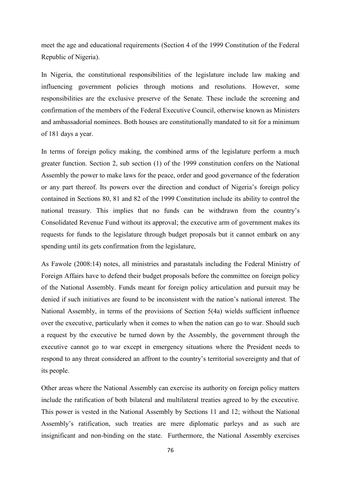meet the age and educational requirements (Section 4 of the 1999 Constitution of the Federal Republic of Nigeria).

In Nigeria, the constitutional responsibilities of the legislature include law making and influencing government policies through motions and resolutions. However, some responsibilities are the exclusive preserve of the Senate. These include the screening and confirmation of the members of the Federal Executive Council, otherwise known as Ministers and ambassadorial nominees. Both houses are constitutionally mandated to sit for a minimum of 181 days a year.

In terms of foreign policy making, the combined arms of the legislature perform a much greater function. Section 2, sub section (1) of the 1999 constitution confers on the National Assembly the power to make laws for the peace, order and good governance of the federation or any part thereof. Its powers over the direction and conduct of Nigeria"s foreign policy contained in Sections 80, 81 and 82 of the 1999 Constitution include its ability to control the national treasury. This implies that no funds can be withdrawn from the country"s Consolidated Revenue Fund without its approval; the executive arm of government makes its requests for funds to the legislature through budget proposals but it cannot embark on any spending until its gets confirmation from the legislature,

As Fawole (2008:14) notes, all ministries and parastatals including the Federal Ministry of Foreign Affairs have to defend their budget proposals before the committee on foreign policy of the National Assembly. Funds meant for foreign policy articulation and pursuit may be denied if such initiatives are found to be inconsistent with the nation"s national interest. The National Assembly, in terms of the provisions of Section 5(4a) wields sufficient influence over the executive, particularly when it comes to when the nation can go to war. Should such a request by the executive be turned down by the Assembly, the government through the executive cannot go to war except in emergency situations where the President needs to respond to any threat considered an affront to the country"s territorial sovereignty and that of its people.

Other areas where the National Assembly can exercise its authority on foreign policy matters include the ratification of both bilateral and multilateral treaties agreed to by the executive. This power is vested in the National Assembly by Sections 11 and 12; without the National Assembly"s ratification, such treaties are mere diplomatic parleys and as such are insignificant and non-binding on the state. Furthermore, the National Assembly exercises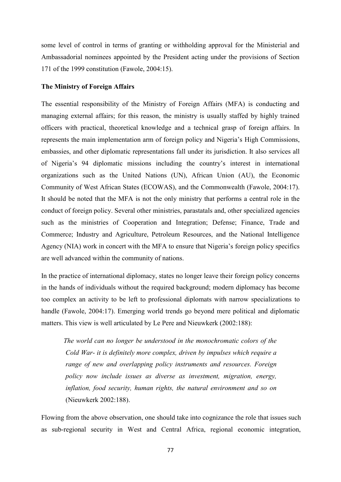some level of control in terms of granting or withholding approval for the Ministerial and Ambassadorial nominees appointed by the President acting under the provisions of Section 171 of the 1999 constitution (Fawole, 2004:15).

#### **The Ministry of Foreign Affairs**

The essential responsibility of the Ministry of Foreign Affairs (MFA) is conducting and managing external affairs; for this reason, the ministry is usually staffed by highly trained officers with practical, theoretical knowledge and a technical grasp of foreign affairs. In represents the main implementation arm of foreign policy and Nigeria"s High Commissions, embassies, and other diplomatic representations fall under its jurisdiction. It also services all of Nigeria"s 94 diplomatic missions including the country"s interest in international organizations such as the United Nations (UN), African Union (AU), the Economic Community of West African States (ECOWAS), and the Commonwealth (Fawole, 2004:17). It should be noted that the MFA is not the only ministry that performs a central role in the conduct of foreign policy. Several other ministries, parastatals and, other specialized agencies such as the ministries of Cooperation and Integration; Defense; Finance, Trade and Commerce; Industry and Agriculture, Petroleum Resources, and the National Intelligence Agency (NIA) work in concert with the MFA to ensure that Nigeria"s foreign policy specifics are well advanced within the community of nations.

In the practice of international diplomacy, states no longer leave their foreign policy concerns in the hands of individuals without the required background; modern diplomacy has become too complex an activity to be left to professional diplomats with narrow specializations to handle (Fawole, 2004:17). Emerging world trends go beyond mere political and diplomatic matters. This view is well articulated by Le Pere and Nieuwkerk (2002:188):

*The world can no longer be understood in the monochromatic colors of the Cold War- it is definitely more complex, driven by impulses which require a range of new and overlapping policy instruments and resources. Foreign policy now include issues as diverse as investment, migration, energy, inflation, food security, human rights, the natural environment and so on* (Nieuwkerk 2002:188).

Flowing from the above observation, one should take into cognizance the role that issues such as sub-regional security in West and Central Africa, regional economic integration,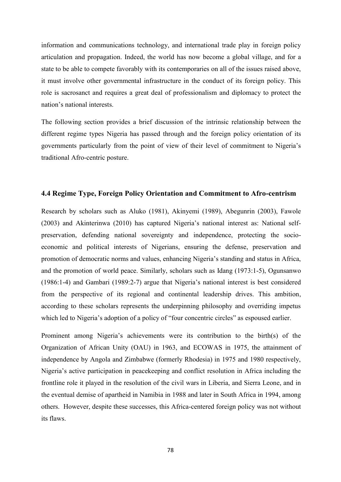information and communications technology, and international trade play in foreign policy articulation and propagation. Indeed, the world has now become a global village, and for a state to be able to compete favorably with its contemporaries on all of the issues raised above, it must involve other governmental infrastructure in the conduct of its foreign policy. This role is sacrosanct and requires a great deal of professionalism and diplomacy to protect the nation"s national interests.

The following section provides a brief discussion of the intrinsic relationship between the different regime types Nigeria has passed through and the foreign policy orientation of its governments particularly from the point of view of their level of commitment to Nigeria"s traditional Afro-centric posture.

## **4.4 Regime Type, Foreign Policy Orientation and Commitment to Afro-centrism**

Research by scholars such as Aluko (1981), Akinyemi (1989), Abegunrin (2003), Fawole (2003) and Akinterinwa (2010) has captured Nigeria"s national interest as: National selfpreservation, defending national sovereignty and independence, protecting the socioeconomic and political interests of Nigerians, ensuring the defense, preservation and promotion of democratic norms and values, enhancing Nigeria"s standing and status in Africa, and the promotion of world peace. Similarly, scholars such as Idang (1973:1-5), Ogunsanwo (1986:1-4) and Gambari (1989:2-7) argue that Nigeria"s national interest is best considered from the perspective of its regional and continental leadership drives. This ambition, according to these scholars represents the underpinning philosophy and overriding impetus which led to Nigeria's adoption of a policy of "four concentric circles" as espoused earlier.

Prominent among Nigeria's achievements were its contribution to the birth(s) of the Organization of African Unity (OAU) in 1963, and ECOWAS in 1975, the attainment of independence by Angola and Zimbabwe (formerly Rhodesia) in 1975 and 1980 respectively, Nigeria"s active participation in peacekeeping and conflict resolution in Africa including the frontline role it played in the resolution of the civil wars in Liberia, and Sierra Leone, and in the eventual demise of apartheid in Namibia in 1988 and later in South Africa in 1994, among others. However, despite these successes, this Africa-centered foreign policy was not without its flaws.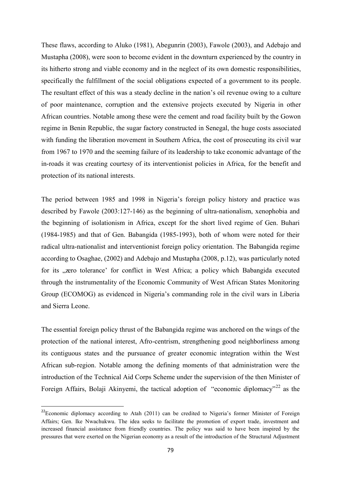These flaws, according to Aluko (1981), Abegunrin (2003), Fawole (2003), and Adebajo and Mustapha (2008), were soon to become evident in the downturn experienced by the country in its hitherto strong and viable economy and in the neglect of its own domestic responsibilities, specifically the fulfillment of the social obligations expected of a government to its people. The resultant effect of this was a steady decline in the nation"s oil revenue owing to a culture of poor maintenance, corruption and the extensive projects executed by Nigeria in other African countries. Notable among these were the cement and road facility built by the Gowon regime in Benin Republic, the sugar factory constructed in Senegal, the huge costs associated with funding the liberation movement in Southern Africa, the cost of prosecuting its civil war from 1967 to 1970 and the seeming failure of its leadership to take economic advantage of the in-roads it was creating courtesy of its interventionist policies in Africa, for the benefit and protection of its national interests.

The period between 1985 and 1998 in Nigeria"s foreign policy history and practice was described by Fawole (2003:127-146) as the beginning of ultra-nationalism, xenophobia and the beginning of isolationism in Africa, except for the short lived regime of Gen. Buhari (1984-1985) and that of Gen. Babangida (1985-1993), both of whom were noted for their radical ultra-nationalist and interventionist foreign policy orientation. The Babangida regime according to Osaghae, (2002) and Adebajo and Mustapha (2008, p.12), was particularly noted for its "zero tolerance' for conflict in West Africa; a policy which Babangida executed through the instrumentality of the Economic Community of West African States Monitoring Group (ECOMOG) as evidenced in Nigeria"s commanding role in the civil wars in Liberia and Sierra Leone.

The essential foreign policy thrust of the Babangida regime was anchored on the wings of the protection of the national interest, Afro-centrism, strengthening good neighborliness among its contiguous states and the pursuance of greater economic integration within the West African sub-region. Notable among the defining moments of that administration were the introduction of the Technical Aid Corps Scheme under the supervision of the then Minister of Foreign Affairs, Bolaji Akinyemi, the tactical adoption of "economic diplomacy"<sup>22</sup> as the

**.** 

<sup>&</sup>lt;sup>22</sup>Economic diplomacy according to Atah (2011) can be credited to Nigeria's former Minister of Foreign Affairs; Gen. Ike Nwachukwu. The idea seeks to facilitate the promotion of export trade, investment and increased financial assistance from friendly countries. The policy was said to have been inspired by the pressures that were exerted on the Nigerian economy as a result of the introduction of the Structural Adjustment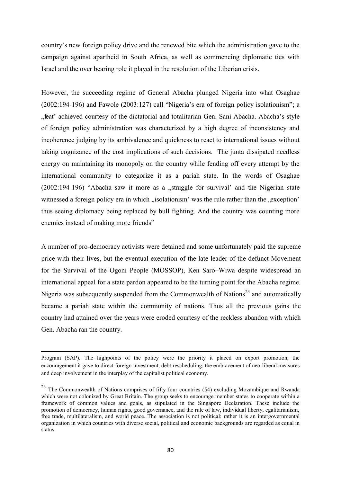country"s new foreign policy drive and the renewed bite which the administration gave to the campaign against apartheid in South Africa, as well as commencing diplomatic ties with Israel and the over bearing role it played in the resolution of the Liberian crisis.

However, the succeeding regime of General Abacha plunged Nigeria into what Osaghae  $(2002:194-196)$  and Fawole  $(2003:127)$  call "Nigeria's era of foreign policy isolationism"; a "feat" achieved courtesy of the dictatorial and totalitarian Gen. Sani Abacha. Abacha's style of foreign policy administration was characterized by a high degree of inconsistency and incoherence judging by its ambivalence and quickness to react to international issues without taking cognizance of the cost implications of such decisions. The junta dissipated needless energy on maintaining its monopoly on the country while fending off every attempt by the international community to categorize it as a pariah state. In the words of Osaghae  $(2002:194-196)$  "Abacha saw it more as a "struggle for survival" and the Nigerian state witnessed a foreign policy era in which "isolationism" was the rule rather than the "exception" thus seeing diplomacy being replaced by bull fighting. And the country was counting more enemies instead of making more friends"

A number of pro-democracy activists were detained and some unfortunately paid the supreme price with their lives, but the eventual execution of the late leader of the defunct Movement for the Survival of the Ogoni People (MOSSOP), Ken Saro–Wiwa despite widespread an international appeal for a state pardon appeared to be the turning point for the Abacha regime. Nigeria was subsequently suspended from the Commonwealth of Nations<sup>23</sup> and automatically became a pariah state within the community of nations. Thus all the previous gains the country had attained over the years were eroded courtesy of the reckless abandon with which Gen. Abacha ran the country.

**.** 

Program (SAP). The highpoints of the policy were the priority it placed on export promotion, the encouragement it gave to direct foreign investment, debt rescheduling, the embracement of neo-liberal measures and deep involvement in the interplay of the capitalist political economy.

<sup>&</sup>lt;sup>23</sup> The Commonwealth of Nations comprises of fifty four countries (54) excluding Mozambique and Rwanda which were not colonized by Great Britain. The group seeks to encourage member states to cooperate within a framework of common values and goals, as stipulated in the Singapore Declaration. These include the promotion of democracy, human rights, good governance, and the rule of law, individual liberty, egalitarianism, free trade, multilateralism, and world peace. The association is not political; rather it is an intergovernmental organization in which countries with diverse social, political and economic backgrounds are regarded as equal in status.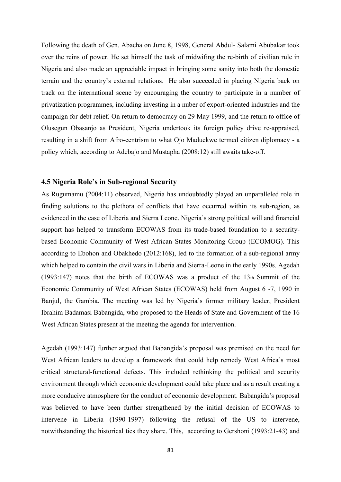Following the death of Gen. Abacha on June 8, 1998, General Abdul- Salami Abubakar took over the reins of power. He set himself the task of midwifing the re-birth of civilian rule in Nigeria and also made an appreciable impact in bringing some sanity into both the domestic terrain and the country"s external relations. He also succeeded in placing Nigeria back on track on the international scene by encouraging the country to participate in a number of privatization programmes, including investing in a nuber of export-oriented industries and the campaign for debt relief. On return to democracy on 29 May 1999, and the return to office of Olusegun Obasanjo as President, Nigeria undertook its foreign policy drive re-appraised, resulting in a shift from Afro-centrism to what Ojo Maduekwe termed citizen diplomacy - a policy which, according to Adebajo and Mustapha (2008:12) still awaits take-off.

#### **4.5 Nigeria Role's in Sub-regional Security**

As Rugumamu (2004:11) observed, Nigeria has undoubtedly played an unparalleled role in finding solutions to the plethora of conflicts that have occurred within its sub-region, as evidenced in the case of Liberia and Sierra Leone. Nigeria"s strong political will and financial support has helped to transform ECOWAS from its trade-based foundation to a securitybased Economic Community of West African States Monitoring Group (ECOMOG). This according to Ebohon and Obakhedo (2012:168), led to the formation of a sub-regional army which helped to contain the civil wars in Liberia and Sierra-Leone in the early 1990s. Agedah (1993:147) notes that the birth of ECOWAS was a product of the 13th Summit of the Economic Community of West African States (ECOWAS) held from August 6 -7, 1990 in Banjul, the Gambia. The meeting was led by Nigeria's former military leader, President Ibrahim Badamasi Babangida, who proposed to the Heads of State and Government of the 16 West African States present at the meeting the agenda for intervention.

Agedah (1993:147) further argued that Babangida"s proposal was premised on the need for West African leaders to develop a framework that could help remedy West Africa's most critical structural-functional defects. This included rethinking the political and security environment through which economic development could take place and as a result creating a more conducive atmosphere for the conduct of economic development. Babangida"s proposal was believed to have been further strengthened by the initial decision of ECOWAS to intervene in Liberia (1990-1997) following the refusal of the US to intervene, notwithstanding the historical ties they share. This, according to Gershoni (1993:21-43) and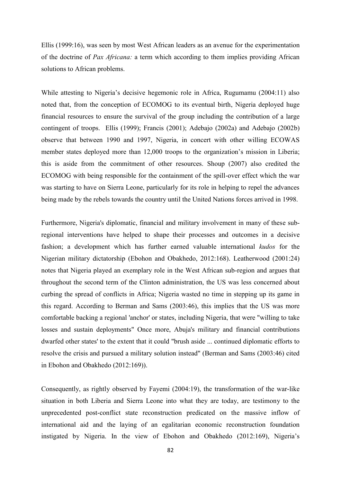Ellis (1999:16), was seen by most West African leaders as an avenue for the experimentation of the doctrine of *Pax Africana:* a term which according to them implies providing African solutions to African problems.

While attesting to Nigeria's decisive hegemonic role in Africa, Rugumamu (2004:11) also noted that, from the conception of ECOMOG to its eventual birth, Nigeria deployed huge financial resources to ensure the survival of the group including the contribution of a large contingent of troops. Ellis (1999); Francis (2001); Adebajo (2002a) and Adebajo (2002b) observe that between 1990 and 1997, Nigeria, in concert with other willing ECOWAS member states deployed more than 12,000 troops to the organization's mission in Liberia; this is aside from the commitment of other resources. Shoup (2007) also credited the ECOMOG with being responsible for the containment of the spill-over effect which the war was starting to have on Sierra Leone, particularly for its role in helping to repel the advances being made by the rebels towards the country until the United Nations forces arrived in 1998.

Furthermore, Nigeria's diplomatic, financial and military involvement in many of these subregional interventions have helped to shape their processes and outcomes in a decisive fashion; a development which has further earned valuable international *kudos* for the Nigerian military dictatorship (Ebohon and Obakhedo, 2012:168). Leatherwood (2001:24) notes that Nigeria played an exemplary role in the West African sub-region and argues that throughout the second term of the Clinton administration, the US was less concerned about curbing the spread of conflicts in Africa; Nigeria wasted no time in stepping up its game in this regard. According to Berman and Sams (2003:46), this implies that the US was more comfortable backing a regional 'anchor' or states, including Nigeria, that were "willing to take losses and sustain deployments" Once more, Abuja's military and financial contributions dwarfed other states' to the extent that it could "brush aside ... continued diplomatic efforts to resolve the crisis and pursued a military solution instead" (Berman and Sams (2003:46) cited in Ebohon and Obakhedo (2012:169)).

Consequently, as rightly observed by Fayemi (2004:19), the transformation of the war-like situation in both Liberia and Sierra Leone into what they are today, are testimony to the unprecedented post-conflict state reconstruction predicated on the massive inflow of international aid and the laying of an egalitarian economic reconstruction foundation instigated by Nigeria. In the view of Ebohon and Obakhedo (2012:169), Nigeria"s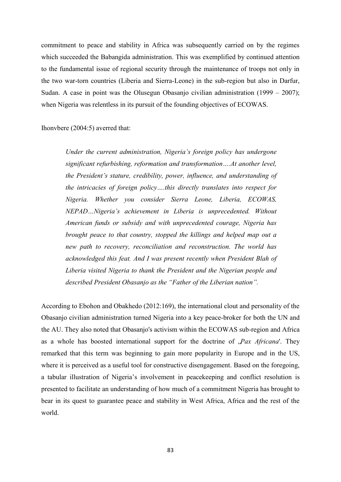commitment to peace and stability in Africa was subsequently carried on by the regimes which succeeded the Babangida administration. This was exemplified by continued attention to the fundamental issue of regional security through the maintenance of troops not only in the two war-torn countries (Liberia and Sierra-Leone) in the sub-region but also in Darfur, Sudan. A case in point was the Olusegun Obasanjo civilian administration (1999 – 2007); when Nigeria was relentless in its pursuit of the founding objectives of ECOWAS.

Ihonvbere (2004:5) averred that:

*Under the current administration, Nigeria's foreign policy has undergone significant refurbishing, reformation and transformation….At another level, the President's stature, credibility, power, influence, and understanding of the intricacies of foreign policy….this directly translates into respect for Nigeria. Whether you consider Sierra Leone, Liberia, ECOWAS, NEPAD…Nigeria's achievement in Liberia is unprecedented. Without American funds or subsidy and with unprecedented courage, Nigeria has brought peace to that country, stopped the killings and helped map out a new path to recovery, reconciliation and reconstruction. The world has acknowledged this feat. And I was present recently when President Blah of Liberia visited Nigeria to thank the President and the Nigerian people and described President Obasanjo as the "Father of the Liberian nation".* 

According to Ebohon and Obakhedo (2012:169), the international clout and personality of the Obasanjo civilian administration turned Nigeria into a key peace-broker for both the UN and the AU. They also noted that Obasanjo's activism within the ECOWAS sub-region and Africa as a whole has boosted international support for the doctrine of *Pax Africana*'. They remarked that this term was beginning to gain more popularity in Europe and in the US, where it is perceived as a useful tool for constructive disengagement. Based on the foregoing, a tabular illustration of Nigeria"s involvement in peacekeeping and conflict resolution is presented to facilitate an understanding of how much of a commitment Nigeria has brought to bear in its quest to guarantee peace and stability in West Africa, Africa and the rest of the world.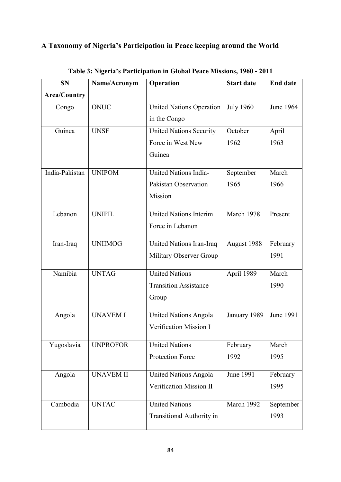# **A Taxonomy of Nigeria's Participation in Peace keeping around the World**

| <b>SN</b>           | Name/Acronym     | Operation                                           | <b>Start date</b> | <b>End date</b> |
|---------------------|------------------|-----------------------------------------------------|-------------------|-----------------|
| <b>Area/Country</b> |                  |                                                     |                   |                 |
| Congo               | <b>ONUC</b>      | <b>July 1960</b><br><b>United Nations Operation</b> |                   | June 1964       |
|                     |                  | in the Congo                                        |                   |                 |
| Guinea              | <b>UNSF</b>      | <b>United Nations Security</b>                      | October           | April           |
|                     |                  | Force in West New                                   | 1962              | 1963            |
|                     |                  | Guinea                                              |                   |                 |
| India-Pakistan      | <b>UNIPOM</b>    | United Nations India-                               | September         | March           |
|                     |                  | Pakistan Observation                                | 1965              | 1966            |
|                     |                  | Mission                                             |                   |                 |
| Lebanon             | <b>UNIFIL</b>    | <b>United Nations Interim</b>                       | March 1978        | Present         |
|                     |                  | Force in Lebanon                                    |                   |                 |
| Iran-Iraq           | <b>UNIIMOG</b>   | United Nations Iran-Iraq                            | August 1988       | February        |
|                     |                  | Military Observer Group                             |                   | 1991            |
| Namibia             | <b>UNTAG</b>     | <b>United Nations</b>                               | April 1989        | March           |
|                     |                  | <b>Transition Assistance</b>                        |                   | 1990            |
|                     |                  | Group                                               |                   |                 |
| Angola              | <b>UNAVEM I</b>  | <b>United Nations Angola</b>                        | January 1989      | June 1991       |
|                     |                  | Verification Mission I                              |                   |                 |
| Yugoslavia          | <b>UNPROFOR</b>  | <b>United Nations</b>                               | February          | March           |
|                     |                  | Protection Force                                    | 1992              | 1995            |
| Angola              | <b>UNAVEM II</b> | <b>United Nations Angola</b>                        | June 1991         | February        |
|                     |                  | Verification Mission II                             |                   | 1995            |
| Cambodia            | <b>UNTAC</b>     | <b>United Nations</b>                               | March 1992        | September       |
|                     |                  | <b>Transitional Authority in</b>                    |                   | 1993            |

**Table 3: Nigeria's Participation in Global Peace Missions, 1960 - 2011**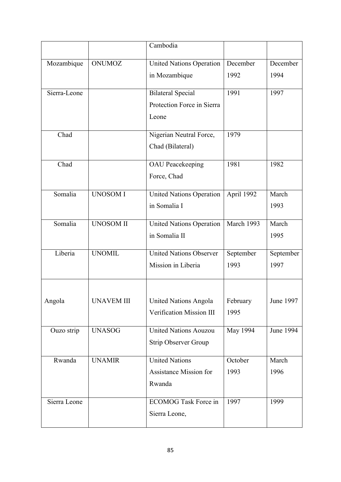|              |                   | Cambodia                        |            |           |
|--------------|-------------------|---------------------------------|------------|-----------|
| Mozambique   | <b>ONUMOZ</b>     | <b>United Nations Operation</b> | December   | December  |
|              |                   | in Mozambique                   | 1992       | 1994      |
| Sierra-Leone |                   | <b>Bilateral Special</b>        | 1991       | 1997      |
|              |                   | Protection Force in Sierra      |            |           |
|              |                   | Leone                           |            |           |
| Chad         |                   | Nigerian Neutral Force,         | 1979       |           |
|              |                   | Chad (Bilateral)                |            |           |
| Chad         |                   | <b>OAU</b> Peacekeeping         | 1981       | 1982      |
|              |                   | Force, Chad                     |            |           |
| Somalia      | <b>UNOSOM I</b>   | <b>United Nations Operation</b> | April 1992 | March     |
|              |                   | in Somalia I                    |            | 1993      |
| Somalia      | <b>UNOSOM II</b>  | <b>United Nations Operation</b> | March 1993 | March     |
|              |                   | in Somalia II                   |            | 1995      |
| Liberia      | <b>UNOMIL</b>     | <b>United Nations Observer</b>  | September  | September |
|              |                   | Mission in Liberia              | 1993       | 1997      |
|              |                   |                                 |            |           |
| Angola       | <b>UNAVEM III</b> | <b>United Nations Angola</b>    | February   | June 1997 |
|              |                   | Verification Mission III        | 1995       |           |
| Ouzo strip   | <b>UNASOG</b>     | <b>United Nations Aouzou</b>    | May 1994   | June 1994 |
|              |                   | <b>Strip Observer Group</b>     |            |           |
| Rwanda       | <b>UNAMIR</b>     | <b>United Nations</b>           | October    | March     |
|              |                   | <b>Assistance Mission for</b>   | 1993       | 1996      |
|              |                   | Rwanda                          |            |           |
| Sierra Leone |                   | <b>ECOMOG Task Force in</b>     | 1997       | 1999      |
|              |                   | Sierra Leone,                   |            |           |
|              |                   |                                 |            |           |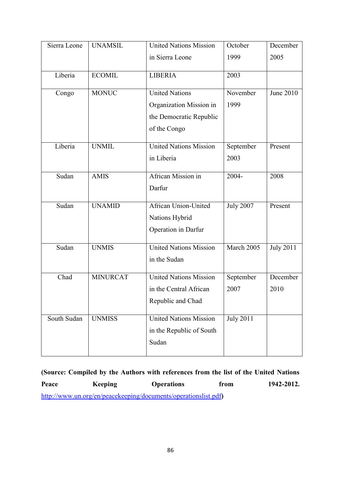| Sierra Leone            | <b>UNAMSIL</b> | <b>United Nations Mission</b> | October          | December         |
|-------------------------|----------------|-------------------------------|------------------|------------------|
|                         |                | in Sierra Leone               | 1999             | 2005             |
| Liberia                 | <b>ECOMIL</b>  | <b>LIBERIA</b><br>2003        |                  |                  |
| Congo                   | <b>MONUC</b>   | <b>United Nations</b>         | November         | June 2010        |
|                         |                | Organization Mission in       | 1999             |                  |
|                         |                | the Democratic Republic       |                  |                  |
|                         |                | of the Congo                  |                  |                  |
| Liberia                 | <b>UNMIL</b>   | <b>United Nations Mission</b> | September        | Present          |
|                         |                | in Liberia                    | 2003             |                  |
| Sudan                   | <b>AMIS</b>    | African Mission in            | 2004-            | 2008             |
|                         |                | Darfur                        |                  |                  |
| Sudan                   | <b>UNAMID</b>  | <b>African Union-United</b>   | <b>July 2007</b> | Present          |
|                         |                | Nations Hybrid                |                  |                  |
|                         |                | Operation in Darfur           |                  |                  |
| Sudan                   | <b>UNMIS</b>   | <b>United Nations Mission</b> | March 2005       | <b>July 2011</b> |
|                         |                | in the Sudan                  |                  |                  |
| Chad<br><b>MINURCAT</b> |                | <b>United Nations Mission</b> | September        | December         |
|                         |                | in the Central African        | 2007             | 2010             |
|                         |                | Republic and Chad             |                  |                  |
| South Sudan             | <b>UNMISS</b>  | <b>United Nations Mission</b> | <b>July 2011</b> |                  |
|                         |                | in the Republic of South      |                  |                  |
|                         |                | Sudan                         |                  |                  |

**(Source: Compiled by the Authors with references from the list of the United Nations**  Peace Keeping Operations from 1942-2012. <http://www.un.org/en/peacekeeping/documents/operationslist.pdf>**)**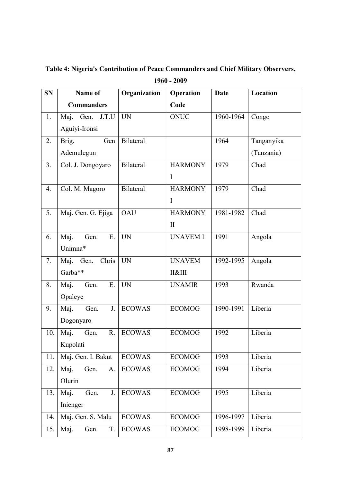**SN Name of Commanders Organization Operation Code Date Location** 1. Maj. Gen. J.T.U Aguiyi-Ironsi UN | ONUC | 1960-1964 | Congo 2. Brig. Gen Bilateral Ademulegun 1964 Tanganyika (Tanzania) 3. Col. J. Dongoyaro Bilateral HARMONY I 1979 Chad 4. Col. M. Magoro Bilateral HARMONY I 1979 Chad 5. Maj. Gen. G. Ejiga | OAU HARMONY II 1981-1982 Chad 6. Maj. Gen. E. Unimna\* UN UNAVEM I 1991 Angola 7. Maj. Gen. Chris Garba\*\* UN UNAVEM II&III 1992-1995 Angola 8. Maj. Gen. E. Opaleye UN UNAMIR 1993 Rwanda 9. Maj. Gen. J. ECOWAS Dogonyaro ECOMOG 1990-1991 Liberia 10. Maj. Gen. R. ECOWAS Kupolati ECOMOG 1992 Liberia 11. Maj. Gen. I. Bakut ECOWAS ECOMOG 1993 Liberia 12. Maj. Gen. A. Olurin ECOWAS ECOMOG 1994 Liberia 13. Maj. Gen. J. ECOWAS Inienger ECOMOG 1995 Liberia 14. | Maj. Gen. S. Malu | ECOWAS | ECOMOG | 1996-1997 | Liberia 15. Maj. Gen. T. ECOWAS ECOMOG 1998-1999 Liberia

**Table 4: Nigeria's Contribution of Peace Commanders and Chief Military Observers,** 

**1960 - 2009**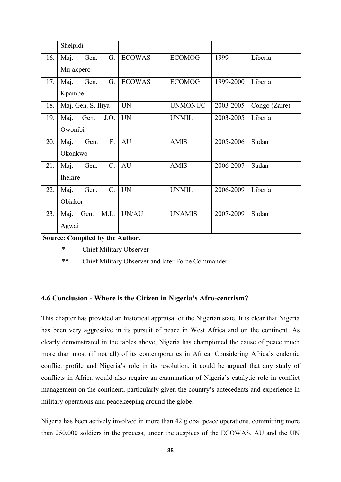|     | Shelpidi                                      |               |                |           |               |
|-----|-----------------------------------------------|---------------|----------------|-----------|---------------|
| 16. | Maj.<br>Gen.<br>G.<br>Mujakpero               | <b>ECOWAS</b> | <b>ECOMOG</b>  | 1999      | Liberia       |
| 17. | Maj.<br>G.<br>Gen.<br>Kpambe                  | <b>ECOWAS</b> | <b>ECOMOG</b>  | 1999-2000 | Liberia       |
| 18. | Maj. Gen. S. Iliya                            | <b>UN</b>     | <b>UNMONUC</b> | 2003-2005 | Congo (Zaire) |
| 19. | Maj.<br>Gen.<br>J.O.<br>Owonibi               | <b>UN</b>     | <b>UNMIL</b>   | 2003-2005 | Liberia       |
| 20. | F.<br>Maj.<br>Gen.<br>Okonkwo                 | AU            | <b>AMIS</b>    | 2005-2006 | Sudan         |
| 21. | $C_{\cdot}$<br>Maj.<br>Gen.<br><b>Ihekire</b> | AU            | <b>AMIS</b>    | 2006-2007 | Sudan         |
| 22. | $C_{\cdot}$<br>Maj.<br>Gen.<br>Obiakor        | <b>UN</b>     | <b>UNMIL</b>   | 2006-2009 | Liberia       |
| 23. | M.L.<br>Maj.<br>Gen.<br>Agwai                 | UN/AU         | <b>UNAMIS</b>  | 2007-2009 | Sudan         |

 **Source: Compiled by the Author.** 

\* Chief Military Observer

\*\* Chief Military Observer and later Force Commander

## **4.6 Conclusion - Where is the Citizen in Nigeria's Afro-centrism?**

This chapter has provided an historical appraisal of the Nigerian state. It is clear that Nigeria has been very aggressive in its pursuit of peace in West Africa and on the continent. As clearly demonstrated in the tables above, Nigeria has championed the cause of peace much more than most (if not all) of its contemporaries in Africa. Considering Africa"s endemic conflict profile and Nigeria"s role in its resolution, it could be argued that any study of conflicts in Africa would also require an examination of Nigeria"s catalytic role in conflict management on the continent, particularly given the country"s antecedents and experience in military operations and peacekeeping around the globe.

Nigeria has been actively involved in more than 42 global peace operations, committing more than 250,000 soldiers in the process, under the auspices of the ECOWAS, AU and the UN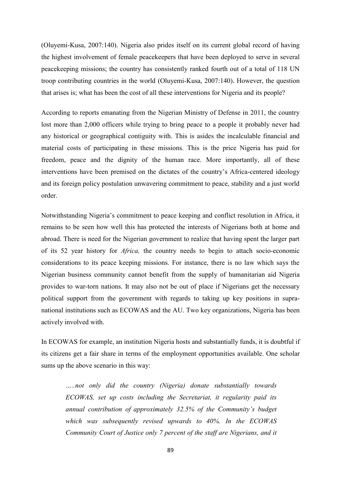(Oluyemi-Kusa, 2007:140). Nigeria also prides itself on its current global record of having the highest involvement of female peacekeepers that have been deployed to serve in several peacekeeping missions; the country has consistently ranked fourth out of a total of 118 UN troop contributing countries in the world (Oluyemi-Kusa, 2007:140). However, the question that arises is; what has been the cost of all these interventions for Nigeria and its people?

According to reports emanating from the Nigerian Ministry of Defense in 2011, the country lost more than 2,000 officers while trying to bring peace to a people it probably never had any historical or geographical contiguity with. This is asides the incalculable financial and material costs of participating in these missions. This is the price Nigeria has paid for freedom, peace and the dignity of the human race. More importantly, all of these interventions have been premised on the dictates of the country"s Africa-centered ideology and its foreign policy postulation unwavering commitment to peace, stability and a just world order.

Notwithstanding Nigeria"s commitment to peace keeping and conflict resolution in Africa, it remains to be seen how well this has protected the interests of Nigerians both at home and abroad. There is need for the Nigerian government to realize that having spent the larger part of its 52 year history for *Africa,* the country needs to begin to attach socio-economic considerations to its peace keeping missions. For instance, there is no law which says the Nigerian business community cannot benefit from the supply of humanitarian aid Nigeria provides to war-torn nations. It may also not be out of place if Nigerians get the necessary political support from the government with regards to taking up key positions in supranational institutions such as ECOWAS and the AU. Two key organizations, Nigeria has been actively involved with.

In ECOWAS for example, an institution Nigeria hosts and substantially funds, it is doubtful if its citizens get a fair share in terms of the employment opportunities available. One scholar sums up the above scenario in this way:

*…..not only did the country (Nigeria) donate substantially towards ECOWAS, set up costs including the Secretariat, it regularity paid its annual contribution of approximately 32.5% of the Community's budget which was subsequently revised upwards to 40%. In the ECOWAS Community Court of Justice only 7 percent of the staff are Nigerians, and it*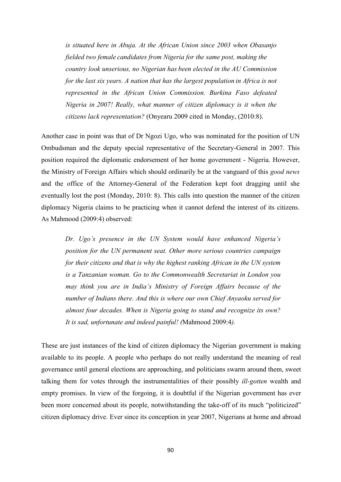*is situated here in Abuja. At the African Union since 2003 when Obasanjo fielded two female candidates from Nigeria for the same post, making the country look unserious, no Nigerian has been elected in the AU Commission for the last six years. A nation that has the largest population in Africa is not represented in the African Union Commission. Burkina Faso defeated Nigeria in 2007! Really, what manner of citizen diplomacy is it when the citizens lack representation?* (Onyearu 2009 cited in Monday, (2010:8).

Another case in point was that of Dr Ngozi Ugo, who was nominated for the position of UN Ombudsman and the deputy special representative of the Secretary-General in 2007. This position required the diplomatic endorsement of her home government - Nigeria. However, the Ministry of Foreign Affairs which should ordinarily be at the vanguard of this *good news* and the office of the Attorney-General of the Federation kept foot dragging until she eventually lost the post (Monday, 2010: 8). This calls into question the manner of the citizen diplomacy Nigeria claims to be practicing when it cannot defend the interest of its citizens. As Mahmood (2009:4) observed:

 *Dr. Ugo's presence in the UN System would have enhanced Nigeria's position for the UN permanent seat. Other more serious countries campaign for their citizens and that is why the highest ranking African in the UN system is a Tanzanian woman. Go to the Commonwealth Secretariat in London you may think you are in India's Ministry of Foreign Affairs because of the number of Indians there. And this is where our own Chief Anyaoku served for almost four decades. When is Nigeria going to stand and recognize its own? It is sad, unfortunate and indeed painful! (*Mahmood 2009:4*).*

These are just instances of the kind of citizen diplomacy the Nigerian government is making available to its people. A people who perhaps do not really understand the meaning of real governance until general elections are approaching, and politicians swarm around them, sweet talking them for votes through the instrumentalities of their possibly *ill-gotten* wealth and empty promises. In view of the forgoing, it is doubtful if the Nigerian government has ever been more concerned about its people, notwithstanding the take-off of its much "politicized" citizen diplomacy drive. Ever since its conception in year 2007, Nigerians at home and abroad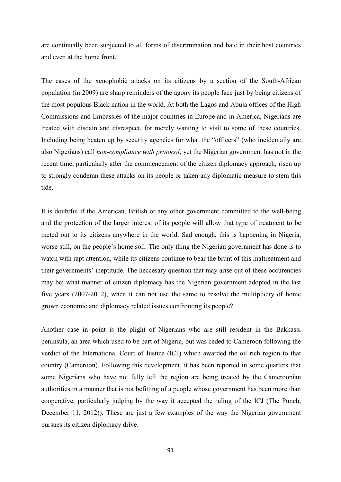are continually been subjected to all forms of discrimination and hate in their host countries and even at the home front.

The cases of the xenophobic attacks on its citizens by a section of the South-African population (in 2009) are sharp reminders of the agony its people face just by being citizens of the most populous Black nation in the world. At both the Lagos and Abuja offices of the High Commissions and Embassies of the major countries in Europe and in America, Nigerians are treated with disdain and disrespect, for merely wanting to visit to some of these countries. Including being beaten up by security agencies for what the "officers" (who incidentally are also Nigerians) call *non-compliance with protocol*, yet the Nigerian government has not in the recent time, particularly after the commencement of the citizen diplomacy approach, risen up to strongly condemn these attacks on its people or taken any diplomatic measure to stem this tide.

It is doubtful if the American, British or any other government committed to the well-being and the protection of the larger interest of its people will allow that type of treatment to be meted out to its citizens anywhere in the world. Sad enough, this is happening in Nigeria, worse still, on the people"s home soil. The only thing the Nigerian government has done is to watch with rapt attention, while its citizens continue to bear the brunt of this maltreatment and their governments' ineptitude. The neccesary question that may arise out of these occurencies may be; what manner of citizen diplomacy has the Nigerian government adopted in the last five years (2007-2012), when it can not use the same to resolve the multiplicity of home grown economic and diplomacy related issues confronting its people?

Another case in point is the plight of Nigerians who are still resident in the Bakkassi peninsula, an area which used to be part of Nigeria, but was ceded to Cameroon following the verdict of the International Court of Justice (ICJ) which awarded the oil rich region to that country (Cameroon). Following this development, it has been reported in some quarters that some Nigerians who have not fully left the region are being treated by the Cameroonian authorities in a manner that is not befitting of a people whose government has been more than cooperative, particularly judging by the way it accepted the ruling of the ICJ (The Punch, December 11, 2012)). These are just a few examples of the way the Nigerian government pursues its citizen diplomacy drive.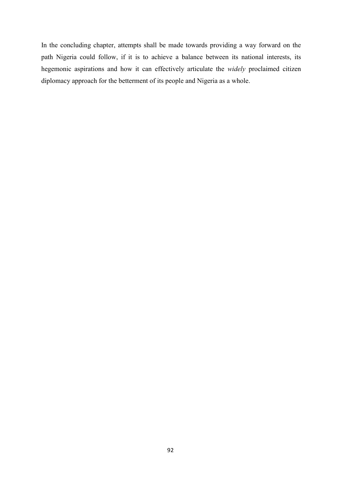In the concluding chapter, attempts shall be made towards providing a way forward on the path Nigeria could follow, if it is to achieve a balance between its national interests, its hegemonic aspirations and how it can effectively articulate the *widely* proclaimed citizen diplomacy approach for the betterment of its people and Nigeria as a whole.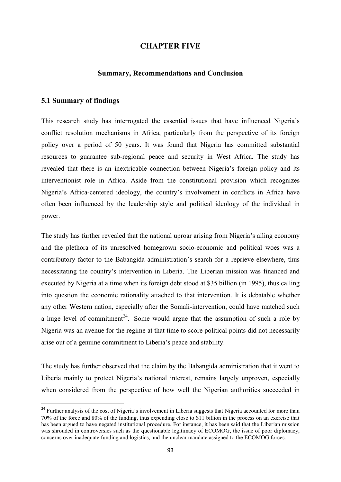## **CHAPTER FIVE**

#### **Summary, Recommendations and Conclusion**

#### **5.1 Summary of findings**

**.** 

This research study has interrogated the essential issues that have influenced Nigeria"s conflict resolution mechanisms in Africa, particularly from the perspective of its foreign policy over a period of 50 years. It was found that Nigeria has committed substantial resources to guarantee sub-regional peace and security in West Africa. The study has revealed that there is an inextricable connection between Nigeria"s foreign policy and its interventionist role in Africa. Aside from the constitutional provision which recognizes Nigeria"s Africa-centered ideology, the country"s involvement in conflicts in Africa have often been influenced by the leadership style and political ideology of the individual in power.

The study has further revealed that the national uproar arising from Nigeria's ailing economy and the plethora of its unresolved homegrown socio-economic and political woes was a contributory factor to the Babangida administration's search for a reprieve elsewhere, thus necessitating the country"s intervention in Liberia. The Liberian mission was financed and executed by Nigeria at a time when its foreign debt stood at \$35 billion (in 1995), thus calling into question the economic rationality attached to that intervention. It is debatable whether any other Western nation, especially after the Somali-intervention, could have matched such a huge level of commitment<sup>24</sup>. Some would argue that the assumption of such a role by Nigeria was an avenue for the regime at that time to score political points did not necessarily arise out of a genuine commitment to Liberia"s peace and stability.

The study has further observed that the claim by the Babangida administration that it went to Liberia mainly to protect Nigeria's national interest, remains largely unproven, especially when considered from the perspective of how well the Nigerian authorities succeeded in

<sup>&</sup>lt;sup>24</sup> Further analysis of the cost of Nigeria's involvement in Liberia suggests that Nigeria accounted for more than 70% of the force and 80% of the funding, thus expending close to \$11 billion in the process on an exercise that has been argued to have negated institutional procedure. For instance, it has been said that the Liberian mission was shrouded in controversies such as the questionable legitimacy of ECOMOG, the issue of poor diplomacy, concerns over inadequate funding and logistics, and the unclear mandate assigned to the ECOMOG forces.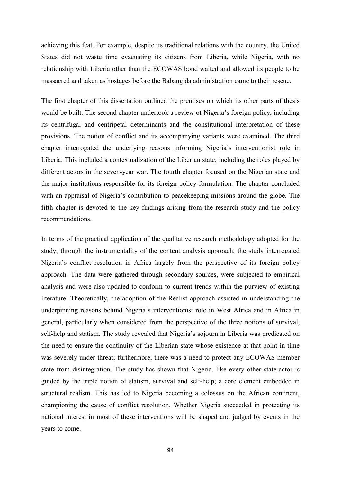achieving this feat. For example, despite its traditional relations with the country, the United States did not waste time evacuating its citizens from Liberia, while Nigeria, with no relationship with Liberia other than the ECOWAS bond waited and allowed its people to be massacred and taken as hostages before the Babangida administration came to their rescue.

The first chapter of this dissertation outlined the premises on which its other parts of thesis would be built. The second chapter undertook a review of Nigeria's foreign policy, including its centrifugal and centripetal determinants and the constitutional interpretation of these provisions. The notion of conflict and its accompanying variants were examined. The third chapter interrogated the underlying reasons informing Nigeria's interventionist role in Liberia. This included a contextualization of the Liberian state; including the roles played by different actors in the seven-year war. The fourth chapter focused on the Nigerian state and the major institutions responsible for its foreign policy formulation. The chapter concluded with an appraisal of Nigeria's contribution to peacekeeping missions around the globe. The fifth chapter is devoted to the key findings arising from the research study and the policy recommendations.

In terms of the practical application of the qualitative research methodology adopted for the study, through the instrumentality of the content analysis approach, the study interrogated Nigeria"s conflict resolution in Africa largely from the perspective of its foreign policy approach. The data were gathered through secondary sources, were subjected to empirical analysis and were also updated to conform to current trends within the purview of existing literature. Theoretically, the adoption of the Realist approach assisted in understanding the underpinning reasons behind Nigeria"s interventionist role in West Africa and in Africa in general, particularly when considered from the perspective of the three notions of survival, self-help and statism. The study revealed that Nigeria's sojourn in Liberia was predicated on the need to ensure the continuity of the Liberian state whose existence at that point in time was severely under threat; furthermore, there was a need to protect any ECOWAS member state from disintegration. The study has shown that Nigeria, like every other state-actor is guided by the triple notion of statism, survival and self-help; a core element embedded in structural realism. This has led to Nigeria becoming a colossus on the African continent, championing the cause of conflict resolution. Whether Nigeria succeeded in protecting its national interest in most of these interventions will be shaped and judged by events in the years to come.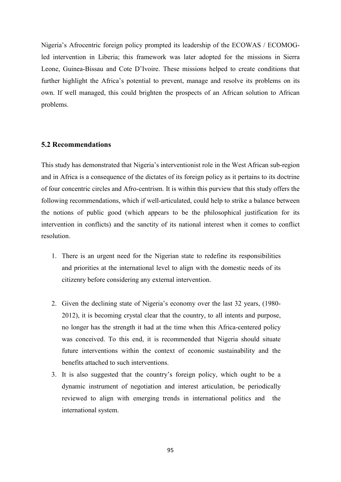Nigeria"s Afrocentric foreign policy prompted its leadership of the ECOWAS / ECOMOGled intervention in Liberia; this framework was later adopted for the missions in Sierra Leone, Guinea-Bissau and Cote D"Ivoire. These missions helped to create conditions that further highlight the Africa's potential to prevent, manage and resolve its problems on its own. If well managed, this could brighten the prospects of an African solution to African problems.

## **5.2 Recommendations**

This study has demonstrated that Nigeria"s interventionist role in the West African sub-region and in Africa is a consequence of the dictates of its foreign policy as it pertains to its doctrine of four concentric circles and Afro-centrism. It is within this purview that this study offers the following recommendations, which if well-articulated, could help to strike a balance between the notions of public good (which appears to be the philosophical justification for its intervention in conflicts) and the sanctity of its national interest when it comes to conflict resolution.

- 1. There is an urgent need for the Nigerian state to redefine its responsibilities and priorities at the international level to align with the domestic needs of its citizenry before considering any external intervention.
- 2. Given the declining state of Nigeria"s economy over the last 32 years, (1980- 2012), it is becoming crystal clear that the country, to all intents and purpose, no longer has the strength it had at the time when this Africa-centered policy was conceived. To this end, it is recommended that Nigeria should situate future interventions within the context of economic sustainability and the benefits attached to such interventions.
- 3. It is also suggested that the country"s foreign policy, which ought to be a dynamic instrument of negotiation and interest articulation, be periodically reviewed to align with emerging trends in international politics and the international system.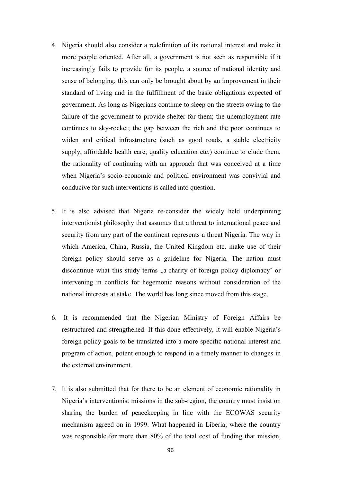- 4. Nigeria should also consider a redefinition of its national interest and make it more people oriented. After all, a government is not seen as responsible if it increasingly fails to provide for its people, a source of national identity and sense of belonging; this can only be brought about by an improvement in their standard of living and in the fulfillment of the basic obligations expected of government. As long as Nigerians continue to sleep on the streets owing to the failure of the government to provide shelter for them; the unemployment rate continues to sky-rocket; the gap between the rich and the poor continues to widen and critical infrastructure (such as good roads, a stable electricity supply, affordable health care; quality education etc.) continue to elude them, the rationality of continuing with an approach that was conceived at a time when Nigeria's socio-economic and political environment was convivial and conducive for such interventions is called into question.
- 5. It is also advised that Nigeria re-consider the widely held underpinning interventionist philosophy that assumes that a threat to international peace and security from any part of the continent represents a threat Nigeria. The way in which America, China, Russia, the United Kingdom etc. make use of their foreign policy should serve as a guideline for Nigeria. The nation must discontinue what this study terms "a charity of foreign policy diplomacy' or intervening in conflicts for hegemonic reasons without consideration of the national interests at stake. The world has long since moved from this stage.
- 6. It is recommended that the Nigerian Ministry of Foreign Affairs be restructured and strengthened. If this done effectively, it will enable Nigeria"s foreign policy goals to be translated into a more specific national interest and program of action, potent enough to respond in a timely manner to changes in the external environment.
- 7. It is also submitted that for there to be an element of economic rationality in Nigeria's interventionist missions in the sub-region, the country must insist on sharing the burden of peacekeeping in line with the ECOWAS security mechanism agreed on in 1999. What happened in Liberia; where the country was responsible for more than 80% of the total cost of funding that mission,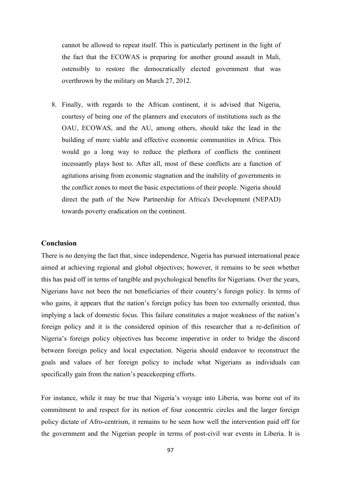cannot be allowed to repeat itself. This is particularly pertinent in the light of the fact that the ECOWAS is preparing for another ground assault in Mali, ostensibly to restore the democratically elected government that was overthrown by the military on March 27, 2012.

8. Finally, with regards to the African continent, it is advised that Nigeria, courtesy of being one of the planners and executors of institutions such as the OAU, ECOWAS, and the AU, among others, should take the lead in the building of more viable and effective economic communities in Africa. This would go a long way to reduce the plethora of conflicts the continent incessantly plays host to. After all, most of these conflicts are a function of agitations arising from economic stagnation and the inability of governments in the conflict zones to meet the basic expectations of their people. Nigeria should direct the path of the New Partnership for Africa's Development (NEPAD) towards poverty eradication on the continent.

## **Conclusion**

There is no denying the fact that, since independence, Nigeria has pursued international peace aimed at achieving regional and global objectives; however, it remains to be seen whether this has paid off in terms of tangible and psychological benefits for Nigerians. Over the years, Nigerians have not been the net beneficiaries of their country"s foreign policy. In terms of who gains, it appears that the nation's foreign policy has been too externally oriented, thus implying a lack of domestic focus. This failure constitutes a major weakness of the nation"s foreign policy and it is the considered opinion of this researcher that a re-definition of Nigeria"s foreign policy objectives has become imperative in order to bridge the discord between foreign policy and local expectation. Nigeria should endeavor to reconstruct the goals and values of her foreign policy to include what Nigerians as individuals can specifically gain from the nation's peacekeeping efforts.

For instance, while it may be true that Nigeria's voyage into Liberia, was borne out of its commitment to and respect for its notion of four concentric circles and the larger foreign policy dictate of Afro-centrism, it remains to be seen how well the intervention paid off for the government and the Nigerian people in terms of post-civil war events in Liberia. It is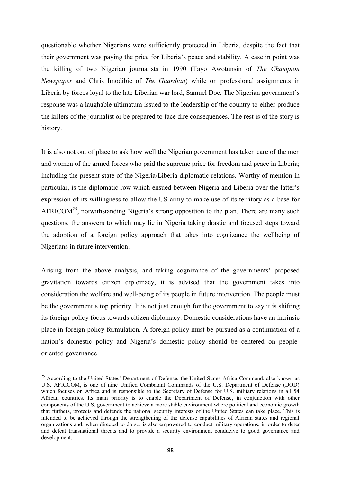questionable whether Nigerians were sufficiently protected in Liberia, despite the fact that their government was paying the price for Liberia"s peace and stability. A case in point was the killing of two Nigerian journalists in 1990 (Tayo Awotunsin of *The Champion Newspaper* and Chris Imodibie of *The Guardian*) while on professional assignments in Liberia by forces loyal to the late Liberian war lord, Samuel Doe. The Nigerian government"s response was a laughable ultimatum issued to the leadership of the country to either produce the killers of the journalist or be prepared to face dire consequences. The rest is of the story is history.

It is also not out of place to ask how well the Nigerian government has taken care of the men and women of the armed forces who paid the supreme price for freedom and peace in Liberia; including the present state of the Nigeria/Liberia diplomatic relations. Worthy of mention in particular, is the diplomatic row which ensued between Nigeria and Liberia over the latter"s expression of its willingness to allow the US army to make use of its territory as a base for AFRICOM<sup>25</sup>, notwithstanding Nigeria's strong opposition to the plan. There are many such questions, the answers to which may lie in Nigeria taking drastic and focused steps toward the adoption of a foreign policy approach that takes into cognizance the wellbeing of Nigerians in future intervention.

Arising from the above analysis, and taking cognizance of the governments' proposed gravitation towards citizen diplomacy, it is advised that the government takes into consideration the welfare and well-being of its people in future intervention. The people must be the government's top priority. It is not just enough for the government to say it is shifting its foreign policy focus towards citizen diplomacy. Domestic considerations have an intrinsic place in foreign policy formulation. A foreign policy must be pursued as a continuation of a nation's domestic policy and Nigeria's domestic policy should be centered on peopleoriented governance.

**.** 

<sup>&</sup>lt;sup>25</sup> According to the United States' Department of Defense, the United States Africa Command, also known as U.S. AFRICOM, is one of nine Unified Combatant Commands of the U.S. Department of Defense (DOD) which focuses on Africa and is responsible to the Secretary of Defense for U.S. military relations in all 54 African countries. Its main priority is to enable the Department of Defense, in conjunction with other components of the U.S. government to achieve a more stable environment where political and economic growth that furthers, protects and defends the national security interests of the United States can take place. This is intended to be achieved through the strengthening of the defense capabilities of African states and regional organizations and, when directed to do so, is also empowered to conduct military operations, in order to deter and defeat transnational threats and to provide a security environment conducive to good governance and development.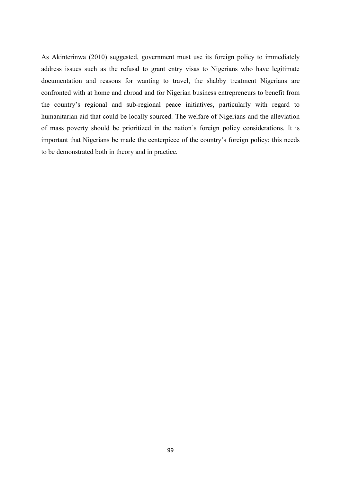As Akinterinwa (2010) suggested, government must use its foreign policy to immediately address issues such as the refusal to grant entry visas to Nigerians who have legitimate documentation and reasons for wanting to travel, the shabby treatment Nigerians are confronted with at home and abroad and for Nigerian business entrepreneurs to benefit from the country"s regional and sub-regional peace initiatives, particularly with regard to humanitarian aid that could be locally sourced. The welfare of Nigerians and the alleviation of mass poverty should be prioritized in the nation"s foreign policy considerations. It is important that Nigerians be made the centerpiece of the country"s foreign policy; this needs to be demonstrated both in theory and in practice.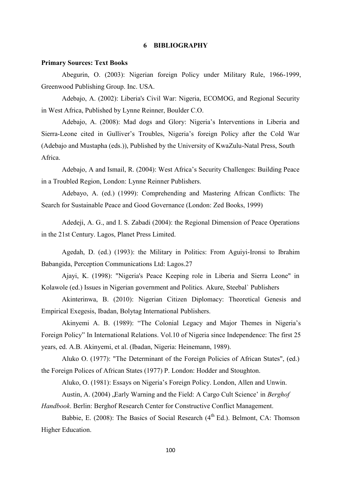# **6 BIBLIOGRAPHY**

#### **Primary Sources: Text Books**

Abegurin, O. (2003): Nigerian foreign Policy under Military Rule, 1966-1999, Greenwood Publishing Group. Inc. USA.

Adebajo, A. (2002): Liberia's Civil War: Nigeria, ECOMOG, and Regional Security in West Africa, Published by Lynne Reinner, Boulder C.O.

Adebajo, A. (2008): Mad dogs and Glory: Nigeria"s Interventions in Liberia and Sierra-Leone cited in Gulliver"s Troubles, Nigeria"s foreign Policy after the Cold War (Adebajo and Mustapha (eds.)), Published by the University of KwaZulu-Natal Press, South Africa.

Adebajo, A and Ismail, R. (2004): West Africa"s Security Challenges: Building Peace in a Troubled Region, London: Lynne Reinner Publishers.

Adebayo, A. (ed.) (1999): Comprehending and Mastering African Conflicts: The Search for Sustainable Peace and Good Governance (London: Zed Books, 1999)

Adedeji, A. G., and I. S. Zabadi (2004): the Regional Dimension of Peace Operations in the 21st Century. Lagos, Planet Press Limited.

Agedah, D. (ed.) (1993): the Military in Politics: From Aguiyi-Ironsi to Ibrahim Babangida, Perception Communications Ltd: Lagos.27

Ajayi, K. (1998): "Nigeria's Peace Keeping role in Liberia and Sierra Leone" in Kolawole (ed.) Issues in Nigerian government and Politics*.* Akure, Steebal` Publishers

Akinterinwa, B. (2010): Nigerian Citizen Diplomacy: Theoretical Genesis and Empirical Exegesis, Ibadan, Bolytag International Publishers.

Akinyemi A. B. (1989): "The Colonial Legacy and Major Themes in Nigeria"s Foreign Policy" In International Relations. Vol.10 of Nigeria since Independence: The first 25 years, ed. A.B. Akinyemi, et al. (Ibadan, Nigeria: Heinemann, 1989).

 Aluko O. (1977): "The Determinant of the Foreign Policies of African States", (ed.) the Foreign Polices of African States (1977) P. London: Hodder and Stoughton.

Aluko, O. (1981): Essays on Nigeria"s Foreign Policy. London, Allen and Unwin.

Austin, A. (2004), Early Warning and the Field: A Cargo Cult Science' in *Berghof* 

*Handbook*. Berlin: Berghof Research Center for Constructive Conflict Management.

Babbie, E. (2008): The Basics of Social Research  $(4<sup>th</sup> Ed.)$ . Belmont, CA: Thomson Higher Education.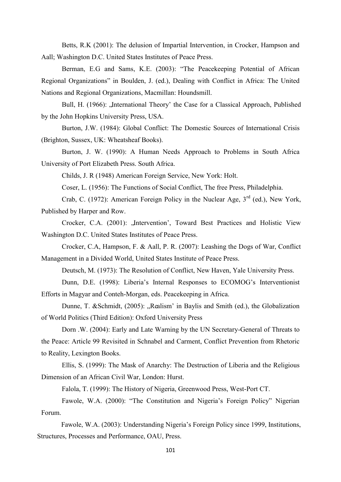Betts, R.K (2001): The delusion of Impartial Intervention, in Crocker, Hampson and Aall; Washington D.C. United States Institutes of Peace Press.

Berman, E.G and Sams, K.E. (2003): "The Peacekeeping Potential of African Regional Organizations" in Boulden, J. (ed.), Dealing with Conflict in Africa: The United Nations and Regional Organizations, Macmillan: Houndsmill.

Bull, H. (1966): "International Theory' the Case for a Classical Approach, Published by the John Hopkins University Press, USA.

Burton, J.W. (1984): Global Conflict: The Domestic Sources of International Crisis (Brighton, Sussex, UK: Wheatsheaf Books).

Burton, J. W. (1990): A Human Needs Approach to Problems in South Africa University of Port Elizabeth Press. South Africa.

Childs, J. R (1948) American Foreign Service, New York: Holt.

Coser, L. (1956): The Functions of Social Conflict, The free Press, Philadelphia.

Crab, C. (1972): American Foreign Policy in the Nuclear Age,  $3<sup>rd</sup>$  (ed.), New York, Published by Harper and Row.

Crocker, C.A. (2001): "Intervention', Toward Best Practices and Holistic View Washington D.C. United States Institutes of Peace Press.

Crocker, C.A, Hampson, F. & Aall, P. R. (2007): Leashing the Dogs of War, Conflict Management in a Divided World, United States Institute of Peace Press.

Deutsch, M. (1973): The Resolution of Conflict, New Haven, Yale University Press.

Dunn, D.E. (1998): Liberia's Internal Responses to ECOMOG's Interventionist Efforts in Magyar and Conteh-Morgan, eds. Peacekeeping in Africa.

Dunne, T. & Schmidt, (2005): "Realism' in Baylis and Smith (ed.), the Globalization of World Politics (Third Edition): Oxford University Press

Dorn .W. (2004): Early and Late Warning by the UN Secretary-General of Threats to the Peace: Article 99 Revisited in Schnabel and Carment, Conflict Prevention from Rhetoric to Reality, Lexington Books.

Ellis, S. (1999): The Mask of Anarchy: The Destruction of Liberia and the Religious Dimension of an African Civil War, London: Hurst.

Falola, T. (1999): The History of Nigeria, Greenwood Press, West-Port CT.

Fawole, W.A. (2000): "The Constitution and Nigeria's Foreign Policy" Nigerian Forum.

Fawole, W.A. (2003): Understanding Nigeria's Foreign Policy since 1999, Institutions, Structures, Processes and Performance, OAU, Press.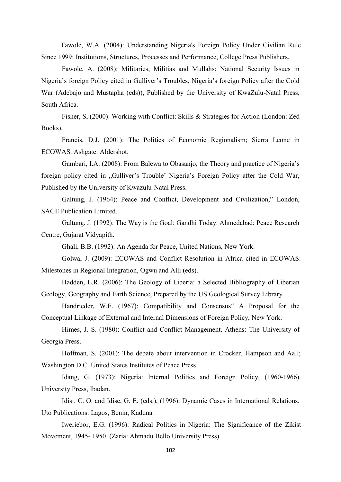Fawole, W.A. (2004): Understanding Nigeria's Foreign Policy Under Civilian Rule Since 1999: Institutions, Structures, Processes and Performance, College Press Publishers.

Fawole, A. (2008): Militaries, Militias and Mullahs: National Security Issues in Nigeria"s foreign Policy cited in Gulliver"s Troubles, Nigeria"s foreign Policy after the Cold War (Adebajo and Mustapha (eds)), Published by the University of KwaZulu-Natal Press, South Africa.

Fisher, S, (2000): Working with Conflict: Skills & Strategies for Action (London: Zed Books).

Francis, D.J. (2001): The Politics of Economic Regionalism; Sierra Leone in ECOWAS. Ashgate: Aldershot.

Gambari, I.A. (2008): From Balewa to Obasanjo, the Theory and practice of Nigeria"s foreign policy cited in "Gulliver's Trouble' Nigeria's Foreign Policy after the Cold War, Published by the University of Kwazulu-Natal Press.

Galtung, J. (1964): Peace and Conflict, Development and Civilization," London, SAGE Publication Limited.

Galtung, J. (1992): The Way is the Goal: Gandhi Today. Ahmedabad: Peace Research Centre, Gujarat Vidyapith.

Ghali, B.B. (1992): An Agenda for Peace, United Nations, New York.

Golwa, J. (2009): ECOWAS and Conflict Resolution in Africa cited in ECOWAS: Milestones in Regional Integration, Ogwu and Alli (eds).

Hadden, L.R. (2006): The Geology of Liberia: a Selected Bibliography of Liberian Geology, Geography and Earth Science, Prepared by the US Geological Survey Library

Handrieder, W.F. (1967): Compatibility and Consensus" A Proposal for the Conceptual Linkage of External and Internal Dimensions of Foreign Policy, New York.

Himes, J. S. (1980): Conflict and Conflict Management. Athens: The University of Georgia Press.

Hoffman, S. (2001): The debate about intervention in Crocker, Hampson and Aall; Washington D.C. United States Institutes of Peace Press.

Idang, G. (1973): Nigeria: Internal Politics and Foreign Policy, (1960-1966). University Press, Ibadan.

Idisi, C. O. and Idise, G. E. (eds.), (1996): Dynamic Cases in International Relations, Uto Publications: Lagos, Benin, Kaduna.

Iweriebor, E.G. (1996): Radical Politics in Nigeria: The Significance of the Zikist Movement, 1945- 1950. (Zaria: Ahmadu Bello University Press).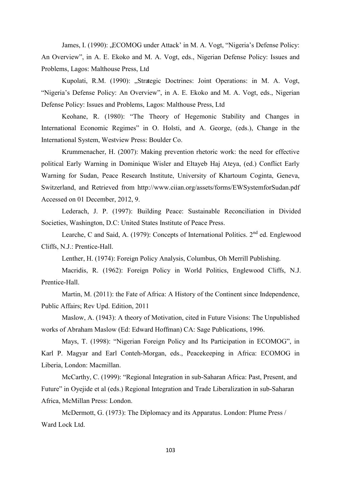James, I. (1990): "ECOMOG under Attack' in M. A. Vogt, "Nigeria's Defense Policy: An Overview", in A. E. Ekoko and M. A. Vogt, eds., Nigerian Defense Policy: Issues and Problems, Lagos: Malthouse Press, Ltd

Kupolati, R.M. (1990): "Strategic Doctrines: Joint Operations: in M. A. Vogt, "Nigeria's Defense Policy: An Overview", in A. E. Ekoko and M. A. Vogt, eds., Nigerian Defense Policy: Issues and Problems, Lagos: Malthouse Press, Ltd

Keohane, R. (1980): "The Theory of Hegemonic Stability and Changes in International Economic Regimes" in O. Holsti, and A. George, (eds.), Change in the International System, Westview Press: Boulder Co.

Krummenacher, H. (2007): Making prevention rhetoric work: the need for effective political Early Warning in Dominique Wisler and Eltayeb Haj Ateya, (ed.) Conflict Early Warning for Sudan, Peace Research Institute, University of Khartoum Coginta, Geneva, Switzerland, and Retrieved from http://www.ciian.org/assets/forms/EWSystemforSudan.pdf Accessed on 01 December, 2012, 9.

Lederach, J. P. (1997): Building Peace: Sustainable Reconciliation in Divided Societies, Washington, D.C: United States Institute of Peace Press.

Learche, C and Said, A. (1979): Concepts of International Politics.  $2<sup>nd</sup>$  ed. Englewood Cliffs, N.J.: Prentice-Hall.

Lenther, H. (1974): Foreign Policy Analysis, Columbus, Oh Merrill Publishing.

Macridis, R. (1962): Foreign Policy in World Politics, Englewood Cliffs, N.J. Prentice-Hall.

Martin, M. (2011): the Fate of Africa: A History of the Continent since Independence, Public Affairs; Rev Upd. Edition, 2011

Maslow, A. (1943): A theory of Motivation, cited in Future Visions: The Unpublished works of Abraham Maslow (Ed: Edward Hoffman) CA: Sage Publications, 1996.

Mays, T. (1998): "Nigerian Foreign Policy and Its Participation in ECOMOG", in Karl P. Magyar and Earl Conteh-Morgan, eds., Peacekeeping in Africa: ECOMOG in Liberia, London: Macmillan.

McCarthy, C. (1999): "Regional Integration in sub-Saharan Africa: Past, Present, and Future" in Oyejide et al (eds.) Regional Integration and Trade Liberalization in sub-Saharan Africa, McMillan Press: London.

McDermott, G. (1973): The Diplomacy and its Apparatus. London: Plume Press / Ward Lock Ltd.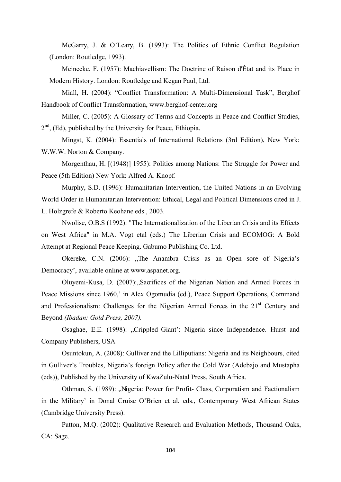McGarry, J. & O"Leary, B. (1993): The Politics of Ethnic Conflict Regulation (London: Routledge, 1993).

Meinecke, F. (1957): Machiavellism: The Doctrine of Raison d'État and its Place in Modern History. London: Routledge and Kegan Paul, Ltd.

Miall, H. (2004): "Conflict Transformation: A Multi-Dimensional Task", Berghof Handbook of Conflict Transformation, www.berghof-center.org

Miller, C. (2005): A Glossary of Terms and Concepts in Peace and Conflict Studies, 2<sup>nd</sup>, (Ed), published by the University for Peace, Ethiopia.

Mingst, K. (2004): Essentials of International Relations (3rd Edition), New York: W.W.W. Norton & Company.

Morgenthau, H. [(1948)] 1955): Politics among Nations: The Struggle for Power and Peace (5th Edition) New York: Alfred A. Knopf.

Murphy, S.D. (1996): Humanitarian Intervention, the United Nations in an Evolving World Order in Humanitarian Intervention: Ethical, Legal and Political Dimensions cited in J. L. Holzgrefe & Roberto Keohane eds., 2003.

Nwolise, O.B.S (1992): "The Internationalization of the Liberian Crisis and its Effects on West Africa" in M.A. Vogt etal (eds.) The Liberian Crisis and ECOMOG: A Bold Attempt at Regional Peace Keeping. Gabumo Publishing Co. Ltd.

Okereke, C.N. (2006): "The Anambra Crisis as an Open sore of Nigeria's Democracy", available online at www.aspanet.org.

Oluyemi-Kusa, D. (2007): Sacrifices of the Nigerian Nation and Armed Forces in Peace Missions since 1960," in Alex Ogomudia (ed.), Peace Support Operations, Command and Professionalism: Challenges for the Nigerian Armed Forces in the 21<sup>st</sup> Century and Beyond *(Ibadan: Gold Press, 2007).* 

Osaghae, E.E. (1998): "Crippled Giant': Nigeria since Independence. Hurst and Company Publishers, USA

Osuntokun, A. (2008): Gulliver and the Lilliputians: Nigeria and its Neighbours, cited in Gulliver's Troubles, Nigeria's foreign Policy after the Cold War (Adebajo and Mustapha (eds)), Published by the University of KwaZulu-Natal Press, South Africa.

Othman, S. (1989): "Nigeria: Power for Profit- Class, Corporatism and Factionalism in the Military" in Donal Cruise O"Brien et al. eds., Contemporary West African States (Cambridge University Press).

Patton, M.Q. (2002): Qualitative Research and Evaluation Methods, Thousand Oaks, CA: Sage.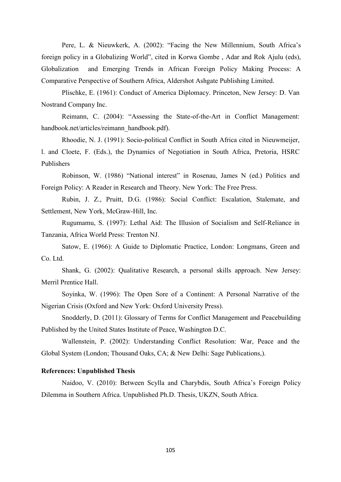Pere, L. & Nieuwkerk, A. (2002): "Facing the New Millennium, South Africa's foreign policy in a Globalizing World", cited in Korwa Gombe , Adar and Rok Ajulu (eds), Globalization and Emerging Trends in African Foreign Policy Making Process: A Comparative Perspective of Southern Africa, Aldershot Ashgate Publishing Limited.

Plischke, E. (1961): Conduct of America Diplomacy. Princeton, New Jersey: D. Van Nostrand Company Inc.

Reimann, C. (2004): "Assessing the State-of-the-Art in Conflict Management: handbook.net/articles/reimann\_handbook.pdf).

Rhoodie, N. J. (1991): Socio-political Conflict in South Africa cited in Nieuwmeijer, l. and Cloete, F. (Eds.), the Dynamics of Negotiation in South Africa, Pretoria, HSRC Publishers

Robinson, W. (1986) "National interest" in Rosenau, James N (ed.) Politics and Foreign Policy: A Reader in Research and Theory. New York: The Free Press.

Rubin, J. Z., Pruitt, D.G. (1986): Social Conflict: Escalation, Stalemate, and Settlement, New York, McGraw-Hill, Inc.

Rugumamu, S. (1997): Lethal Aid: The Illusion of Socialism and Self-Reliance in Tanzania, Africa World Press: Trenton NJ.

Satow, E. (1966): A Guide to Diplomatic Practice, London: Longmans, Green and Co. Ltd.

Shank, G. (2002): Qualitative Research, a personal skills approach. New Jersey: Merril Prentice Hall.

Soyinka, W. (1996): The Open Sore of a Continent: A Personal Narrative of the Nigerian Crisis (Oxford and New York: Oxford University Press).

Snodderly, D. (2011): Glossary of Terms for Conflict Management and Peacebuilding Published by the United States Institute of Peace, Washington D.C.

Wallenstein, P. (2002): Understanding Conflict Resolution: War, Peace and the Global System (London; Thousand Oaks, CA; & New Delhi: Sage Publications,).

# **References: Unpublished Thesis**

Naidoo, V. (2010): Between Scylla and Charybdis, South Africa's Foreign Policy Dilemma in Southern Africa. Unpublished Ph.D. Thesis, UKZN, South Africa.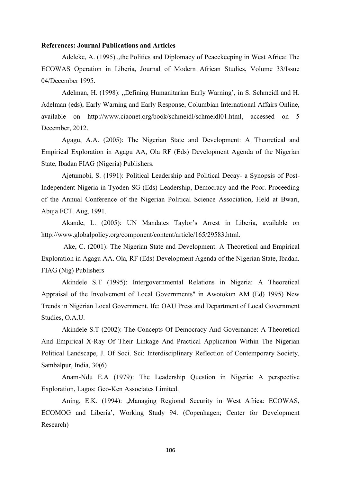### **References: Journal Publications and Articles**

Adeleke, A. (1995), the Politics and Diplomacy of Peacekeeping in West Africa: The ECOWAS Operation in Liberia, Journal of Modern African Studies, Volume 33/Issue 04/December 1995.

Adelman, H. (1998): "Defining Humanitarian Early Warning', in S. Schmeidl and H. Adelman (eds), Early Warning and Early Response, Columbian International Affairs Online, available on http://www.ciaonet.org/book/schmeidl/schmeidl01.html, accessed on 5 December, 2012.

Agagu, A.A. (2005): The Nigerian State and Development: A Theoretical and Empirical Exploration in Agagu AA, Ola RF (Eds) Development Agenda of the Nigerian State, Ibadan FIAG (Nigeria) Publishers.

Ajetumobi, S. (1991): Political Leadership and Political Decay- a Synopsis of Post-Independent Nigeria in Tyoden SG (Eds) Leadership, Democracy and the Poor. Proceeding of the Annual Conference of the Nigerian Political Science Association, Held at Bwari, Abuja FCT. Aug, 1991.

Akande, L. (2005): UN Mandates Taylor's Arrest in Liberia, available on http://www.globalpolicy.org/component/content/article/165/29583.html.

Ake, C. (2001): The Nigerian State and Development: A Theoretical and Empirical Exploration in Agagu AA. Ola, RF (Eds) Development Agenda of the Nigerian State, Ibadan. FIAG (Nig) Publishers

Akindele S.T (1995): Intergovernmental Relations in Nigeria: A Theoretical Appraisal of the Involvement of Local Governments" in Awotokun AM (Ed) 1995) New Trends in Nigerian Local Government. Ife: OAU Press and Department of Local Government Studies, O.A.U.

Akindele S.T (2002): The Concepts Of Democracy And Governance: A Theoretical And Empirical X-Ray Of Their Linkage And Practical Application Within The Nigerian Political Landscape, J. Of Soci. Sci: Interdisciplinary Reflection of Contemporary Society, Sambalpur, India, 30(6)

Anam-Ndu E.A (1979): The Leadership Question in Nigeria: A perspective Exploration, Lagos: Geo-Ken Associates Limited.

Aning, E.K. (1994): "Managing Regional Security in West Africa: ECOWAS, ECOMOG and Liberia", Working Study 94. (Copenhagen; Center for Development Research)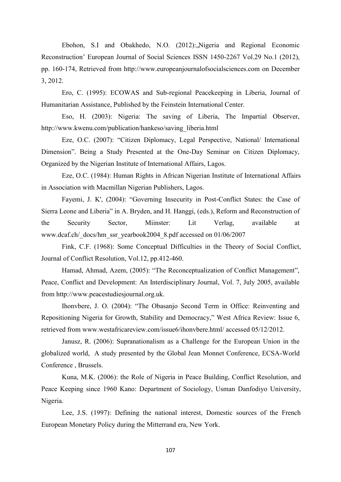Ebohon, S.I and Obakhedo, N.O. (2012): Nigeria and Regional Economic Reconstruction" European Journal of Social Sciences ISSN 1450-2267 Vol.29 No.1 (2012), pp. 160-174, Retrieved from http://www.europeanjournalofsocialsciences.com on December 3, 2012.

Ero, C. (1995): ECOWAS and Sub-regional Peacekeeping in Liberia, Journal of Humanitarian Assistance, Published by the Feinstein International Center.

Eso, H. (2003): Nigeria: The saving of Liberia, The Impartial Observer, http://www.kwenu.com/publication/hankeso/saving\_liberia.html

Eze, O.C. (2007): "Citizen Diplomacy, Legal Perspective, National/ International Dimension". Being a Study Presented at the One-Day Seminar on Citizen Diplomacy, Organized by the Nigerian Institute of International Affairs, Lagos.

Eze, O.C. (1984): Human Rights in African Nigerian Institute of International Affairs in Association with Macmillan Nigerian Publishers, Lagos.

Fayemi, J. K', (2004): "Governing Insecurity in Post-Conflict States: the Case of Sierra Leone and Liberia" in A. Bryden, and H. Hanggi, (eds.), Reform and Reconstruction of the Security Sector, Miinster: Lit Verlag, available at www.dcaf.ch/\_docs/hm\_ssr\_yearbook2004\_8.pdf accessed on 01/06/2007

Fink, C.F. (1968): Some Conceptual Difficulties in the Theory of Social Conflict, Journal of Conflict Resolution, Vol.12, pp.412-460.

Hamad, Ahmad, Azem, (2005): "The Reconceptualization of Conflict Management", Peace, Conflict and Development: An Interdisciplinary Journal, Vol. 7, July 2005, available from http://www.peacestudiesjournal.org.uk.

Ihonvbere, J. O. (2004): "The Obasanjo Second Term in Office: Reinventing and Repositioning Nigeria for Growth, Stability and Democracy," West Africa Review: Issue 6, retrieved from www.westafricareview.com/issue6/ihonvbere.html/ accessed 05/12/2012.

Janusz, R. (2006): Supranationalism as a Challenge for the European Union in the globalized world, A study presented by the Global Jean Monnet Conference, ECSA-World Conference , Brussels.

Kuna, M.K. (2006): the Role of Nigeria in Peace Building, Conflict Resolution, and Peace Keeping since 1960 Kano: Department of Sociology, Usman Danfodiyo University, Nigeria.

Lee, J.S. (1997): Defining the national interest, Domestic sources of the French European Monetary Policy during the Mitterrand era, New York.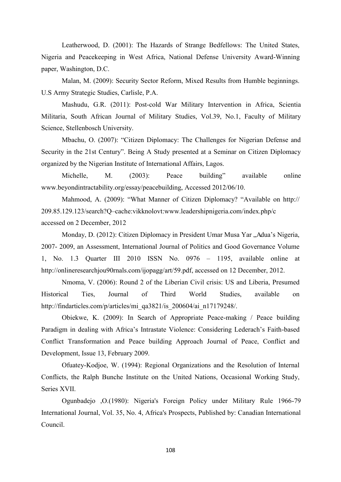Leatherwood, D. (2001): The Hazards of Strange Bedfellows: The United States, Nigeria and Peacekeeping in West Africa, National Defense University Award-Winning paper, Washington, D.C.

Malan, M. (2009): Security Sector Reform, Mixed Results from Humble beginnings. U.S Army Strategic Studies, Carlisle, P.A.

Mashudu, G.R. (2011): Post-cold War Military Intervention in Africa, Scientia Militaria, South African Journal of Military Studies, Vol.39, No.1, Faculty of Military Science, Stellenbosch University.

Mbachu, O. (2007): "Citizen Diplomacy: The Challenges for Nigerian Defense and Security in the 21st Century". Being A Study presented at a Seminar on Citizen Diplomacy organized by the Nigerian Institute of International Affairs, Lagos.

Michelle, M. (2003): Peace building" available online www.beyondintractability.org/essay/peacebuilding, Accessed 2012/06/10.

Mahmood, A. (2009): "What Manner of Citizen Diplomacy? "Available on http:// 209.85.129.123/search?Q–cache:vikknolovt:www.leadershipnigeria.com/index.php/c accessed on 2 December, 2012

Monday, D. (2012): Citizen Diplomacy in President Umar Musa Yar "Adua's Nigeria, 2007- 2009, an Assessment, International Journal of Politics and Good Governance Volume 1, No. 1.3 Quarter III 2010 ISSN No. 0976 – 1195, available online at http://onlineresearchjou90rnals.com/ijopagg/art/59.pdf, accessed on 12 December, 2012.

Nmoma, V. (2006): Round 2 of the Liberian Civil crisis: US and Liberia, Presumed Historical Ties, Journal of Third World Studies, available on http://findarticles.com/p/articles/mi\_qa3821/is\_200604/ai\_n17179248/.

Obiekwe, K. (2009): In Search of Appropriate Peace-making / Peace building Paradigm in dealing with Africa's Intrastate Violence: Considering Lederach's Faith-based Conflict Transformation and Peace building Approach Journal of Peace, Conflict and Development, Issue 13, February 2009.

Ofuatey-Kodjoe, W. (1994): Regional Organizations and the Resolution of Internal Conflicts, the Ralph Bunche Institute on the United Nations, Occasional Working Study, Series XVII.

Ogunbadejo ,O.(1980): Nigeria's Foreign Policy under Military Rule 1966-79 International Journal, Vol. 35, No. 4, Africa's Prospects, Published by: Canadian International Council.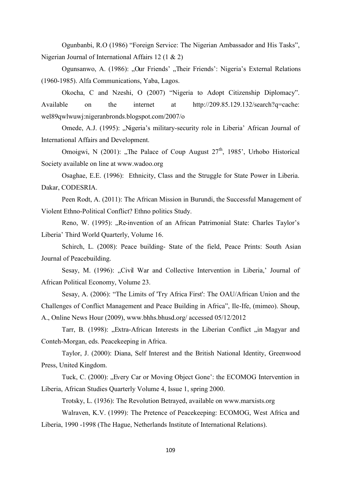Ogunbanbi, R.O (1986) "Foreign Service: The Nigerian Ambassador and His Tasks", Nigerian Journal of International Affairs 12 (1 & 2)

Ogunsanwo, A. (1986): "Our Friends' "Their Friends': Nigeria's External Relations (1960-1985). Alfa Communications, Yaba, Lagos.

Okocha, C and Nzeshi, O (2007) "Nigeria to Adopt Citizenship Diplomacy". Available on the internet at http://209.85.129.132/search?q=cache: wel89qwlwuwj:nigeranbronds.blogspot.com/2007/o

Omede, A.J. (1995): "Nigeria's military-security role in Liberia' African Journal of International Affairs and Development.

Omoigwi, N (2001): "The Palace of Coup August  $27<sup>th</sup>$ , 1985', Urhobo Historical Society available on line at www.wadoo.org

Osaghae, E.E. (1996): Ethnicity, Class and the Struggle for State Power in Liberia. Dakar, CODESRIA.

Peen Rodt, A. (2011): The African Mission in Burundi, the Successful Management of Violent Ethno-Political Conflict? Ethno politics Study.

Reno, W. (1995): "Re-invention of an African Patrimonial State: Charles Taylor's Liberia" Third World Quarterly, Volume 16.

Schirch, L. (2008): Peace building- State of the field, Peace Prints: South Asian Journal of Peacebuilding.

Sesay, M. (1996): "Civil War and Collective Intervention in Liberia,' Journal of African Political Economy, Volume 23.

Sesay, A. (2006): "The Limits of 'Try Africa First': The OAU/African Union and the Challenges of Conflict Management and Peace Building in Africa", Ile-Ife, (mimeo). Shoup, A., Online News Hour (2009), www.bhhs.bhusd.org/ accessed 05/12/2012

Tarr, B. (1998): "Extra-African Interests in the Liberian Conflict "in Magyar and Conteh-Morgan, eds. Peacekeeping in Africa.

Taylor, J. (2000): Diana, Self Interest and the British National Identity, Greenwood Press, United Kingdom.

Tuck, C. (2000): "Every Car or Moving Object Gone': the ECOMOG Intervention in Liberia, African Studies Quarterly Volume 4, Issue 1, spring 2000.

Trotsky, L. (1936): The Revolution Betrayed, available on www.marxists.org

Walraven, K.V. (1999): The Pretence of Peacekeeping: ECOMOG, West Africa and Liberia, 1990 -1998 (The Hague, Netherlands Institute of International Relations).